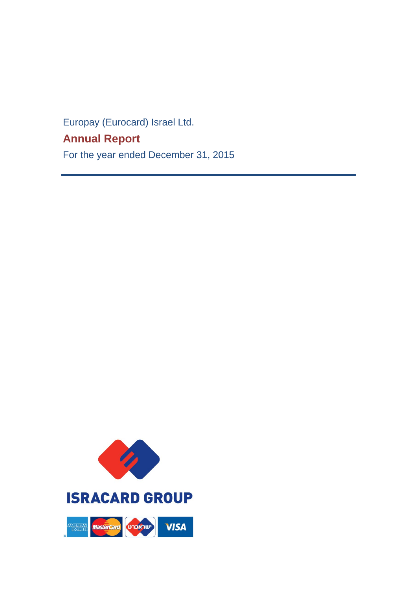Europay (Eurocard) Israel Ltd. **Annual Report** For the year ended December 31, 2015

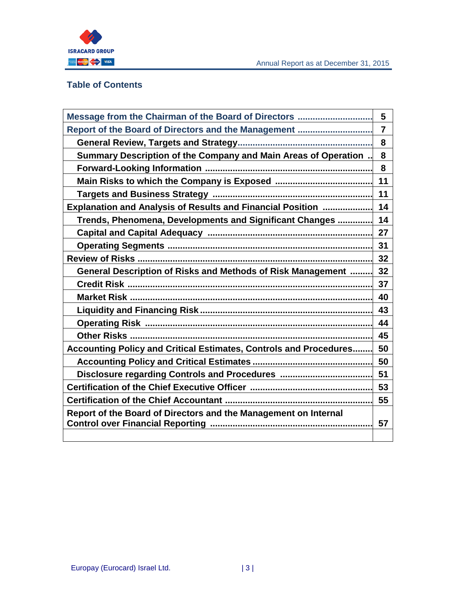



# **Table of Contents**

| Message from the Chairman of the Board of Directors                |                |  |  |
|--------------------------------------------------------------------|----------------|--|--|
| Report of the Board of Directors and the Management                | $\overline{7}$ |  |  |
|                                                                    | 8              |  |  |
| Summary Description of the Company and Main Areas of Operation.    | 8              |  |  |
|                                                                    | 8              |  |  |
|                                                                    | 11             |  |  |
|                                                                    | 11             |  |  |
| <b>Explanation and Analysis of Results and Financial Position </b> | 14             |  |  |
| Trends, Phenomena, Developments and Significant Changes            | 14             |  |  |
|                                                                    | 27             |  |  |
|                                                                    | 31             |  |  |
|                                                                    | 32             |  |  |
| General Description of Risks and Methods of Risk Management        | 32             |  |  |
|                                                                    | 37             |  |  |
|                                                                    | 40             |  |  |
|                                                                    | 43             |  |  |
|                                                                    | 44             |  |  |
|                                                                    | 45             |  |  |
| Accounting Policy and Critical Estimates, Controls and Procedures  | 50             |  |  |
|                                                                    | 50             |  |  |
|                                                                    | 51             |  |  |
|                                                                    | 53             |  |  |
|                                                                    | 55             |  |  |
| Report of the Board of Directors and the Management on Internal    |                |  |  |
|                                                                    | 57             |  |  |
|                                                                    |                |  |  |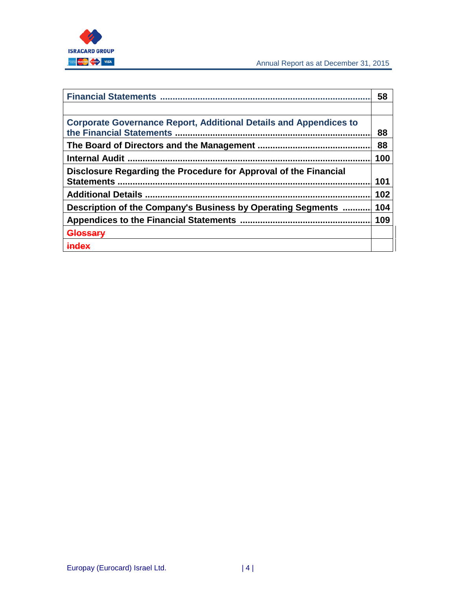

|                                                                                                      | 58  |
|------------------------------------------------------------------------------------------------------|-----|
|                                                                                                      |     |
| <b>Corporate Governance Report, Additional Details and Appendices to</b><br>the Financial Statements | 88  |
|                                                                                                      | 88  |
| <b>Internal Audit</b>                                                                                | 100 |
| Disclosure Regarding the Procedure for Approval of the Financial<br><b>Statements</b>                | 101 |
| <b>Additional Details</b>                                                                            | 102 |
| Description of the Company's Business by Operating Segments                                          | 104 |
|                                                                                                      | 109 |
| <u>Glossarv</u>                                                                                      |     |
|                                                                                                      |     |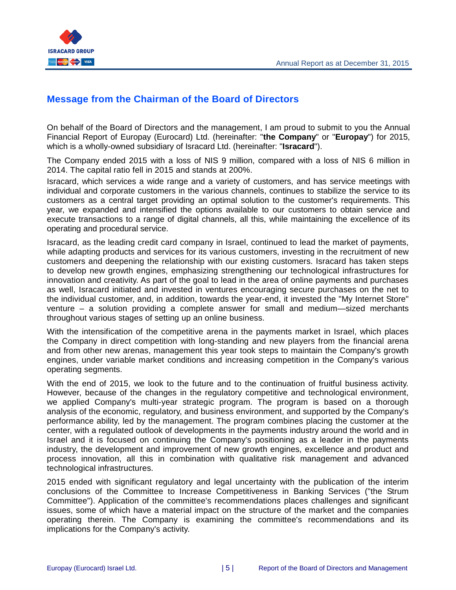

# **Message from the Chairman of the Board of Directors**

On behalf of the Board of Directors and the management, I am proud to submit to you the Annual Financial Report of Europay (Eurocard) Ltd. (hereinafter: "**the Company**" or "**Europay**") for 2015, which is a wholly-owned subsidiary of Isracard Ltd. (hereinafter: "**Isracard**").

The Company ended 2015 with a loss of NIS 9 million, compared with a loss of NIS 6 million in 2014. The capital ratio fell in 2015 and stands at 200%.

Isracard, which services a wide range and a variety of customers, and has service meetings with individual and corporate customers in the various channels, continues to stabilize the service to its customers as a central target providing an optimal solution to the customer's requirements. This year, we expanded and intensified the options available to our customers to obtain service and execute transactions to a range of digital channels, all this, while maintaining the excellence of its operating and procedural service.

Isracard, as the leading credit card company in Israel, continued to lead the market of payments, while adapting products and services for its various customers, investing in the recruitment of new customers and deepening the relationship with our existing customers. Isracard has taken steps to develop new growth engines, emphasizing strengthening our technological infrastructures for innovation and creativity. As part of the goal to lead in the area of online payments and purchases as well, Isracard initiated and invested in ventures encouraging secure purchases on the net to the individual customer, and, in addition, towards the year-end, it invested the "My Internet Store" venture – a solution providing a complete answer for small and medium—sized merchants throughout various stages of setting up an online business.

With the intensification of the competitive arena in the payments market in Israel, which places the Company in direct competition with long-standing and new players from the financial arena and from other new arenas, management this year took steps to maintain the Company's growth engines, under variable market conditions and increasing competition in the Company's various operating segments.

With the end of 2015, we look to the future and to the continuation of fruitful business activity. However, because of the changes in the regulatory competitive and technological environment, we applied Company's multi-year strategic program. The program is based on a thorough analysis of the economic, regulatory, and business environment, and supported by the Company's performance ability, led by the management. The program combines placing the customer at the center, with a regulated outlook of developments in the payments industry around the world and in Israel and it is focused on continuing the Company's positioning as a leader in the payments industry, the development and improvement of new growth engines, excellence and product and process innovation, all this in combination with qualitative risk management and advanced technological infrastructures.

2015 ended with significant regulatory and legal uncertainty with the publication of the interim conclusions of the Committee to Increase Competitiveness in Banking Services ("the Strum Committee"). Application of the committee's recommendations places challenges and significant issues, some of which have a material impact on the structure of the market and the companies operating therein. The Company is examining the committee's recommendations and its implications for the Company's activity.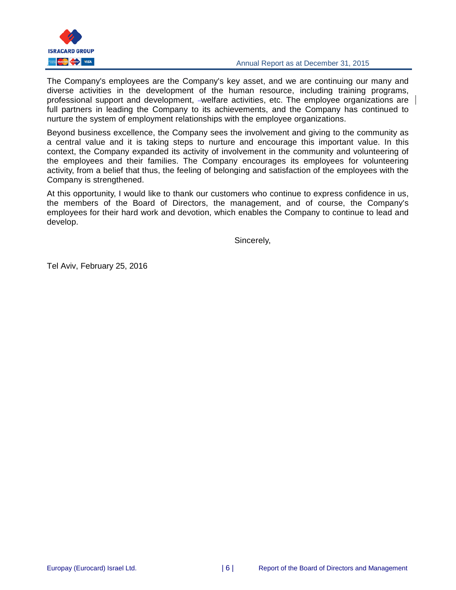

The Company's employees are the Company's key asset, and we are continuing our many and diverse activities in the development of the human resource, including training programs, professional support and development, -welfare activities, etc. The employee organizations are  $\parallel$ full partners in leading the Company to its achievements, and the Company has continued to nurture the system of employment relationships with the employee organizations.

Beyond business excellence, the Company sees the involvement and giving to the community as a central value and it is taking steps to nurture and encourage this important value. In this context, the Company expanded its activity of involvement in the community and volunteering of the employees and their families. The Company encourages its employees for volunteering activity, from a belief that thus, the feeling of belonging and satisfaction of the employees with the Company is strengthened.

At this opportunity, I would like to thank our customers who continue to express confidence in us, the members of the Board of Directors, the management, and of course, the Company's employees for their hard work and devotion, which enables the Company to continue to lead and develop.

Sincerely,

Tel Aviv, February 25, 2016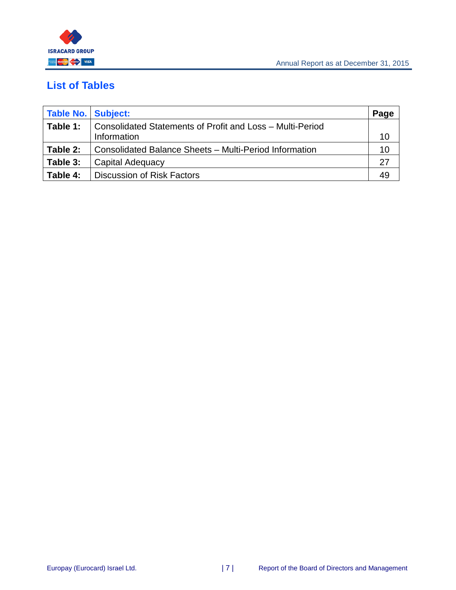

# **List of Tables**

| <b>Table No.   Subject:</b> |                                                           | Page |
|-----------------------------|-----------------------------------------------------------|------|
| Table 1: I                  | Consolidated Statements of Profit and Loss - Multi-Period |      |
|                             | Information                                               | 10   |
| Table 2:                    | Consolidated Balance Sheets - Multi-Period Information    | 10   |
| Table 3:                    | Capital Adequacy                                          | 27   |
| Table 4:                    | <b>Discussion of Risk Factors</b>                         | 49   |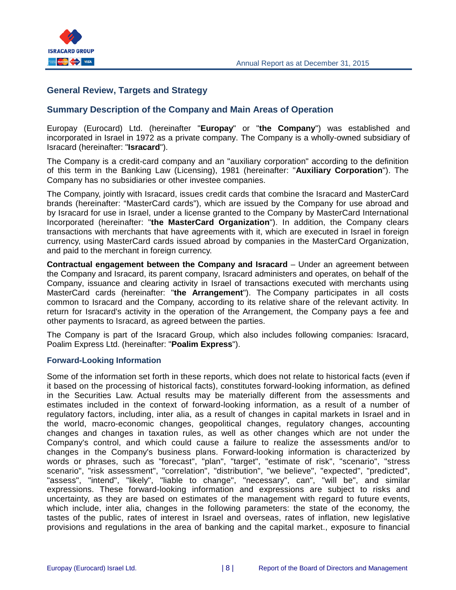

## **General Review, Targets and Strategy**

## **Summary Description of the Company and Main Areas of Operation**

Europay (Eurocard) Ltd. (hereinafter "**Europay**" or "**the Company**") was established and incorporated in Israel in 1972 as a private company. The Company is a wholly-owned subsidiary of Isracard (hereinafter: "**Isracard**").

The Company is a credit-card company and an "auxiliary corporation" according to the definition of this term in the Banking Law (Licensing), 1981 (hereinafter: "**Auxiliary Corporation**"). The Company has no subsidiaries or other investee companies.

The Company, jointly with Isracard, issues credit cards that combine the Isracard and MasterCard brands (hereinafter: "MasterCard cards"), which are issued by the Company for use abroad and by Isracard for use in Israel, under a license granted to the Company by MasterCard International Incorporated (hereinafter: "**the MasterCard Organization**"). In addition, the Company clears transactions with merchants that have agreements with it, which are executed in Israel in foreign currency, using MasterCard cards issued abroad by companies in the MasterCard Organization, and paid to the merchant in foreign currency.

**Contractual engagement between the Company and Isracard** – Under an agreement between the Company and Isracard, its parent company, Isracard administers and operates, on behalf of the Company, issuance and clearing activity in Israel of transactions executed with merchants using MasterCard cards (hereinafter: "**the Arrangement**"). The Company participates in all costs common to Isracard and the Company, according to its relative share of the relevant activity. In return for Isracard's activity in the operation of the Arrangement, the Company pays a fee and other payments to Isracard, as agreed between the parties.

The Company is part of the Isracard Group, which also includes following companies: Isracard, Poalim Express Ltd. (hereinafter: "**Poalim Express**").

#### **Forward-Looking Information**

Some of the information set forth in these reports, which does not relate to historical facts (even if it based on the processing of historical facts), constitutes forward-looking information, as defined in the Securities Law. Actual results may be materially different from the assessments and estimates included in the context of forward-looking information, as a result of a number of regulatory factors, including, inter alia, as a result of changes in capital markets in Israel and in the world, macro-economic changes, geopolitical changes, regulatory changes, accounting changes and changes in taxation rules, as well as other changes which are not under the Company's control, and which could cause a failure to realize the assessments and/or to changes in the Company's business plans. Forward-looking information is characterized by words or phrases, such as "forecast", "plan", "target", "estimate of risk", "scenario", "stress scenario", "risk assessment", "correlation", "distribution", "we believe", "expected", "predicted", "assess", "intend", "likely", "liable to change", "necessary", can", "will be", and similar expressions. These forward-looking information and expressions are subject to risks and uncertainty, as they are based on estimates of the management with regard to future events, which include, inter alia, changes in the following parameters: the state of the economy, the tastes of the public, rates of interest in Israel and overseas, rates of inflation, new legislative provisions and regulations in the area of banking and the capital market., exposure to financial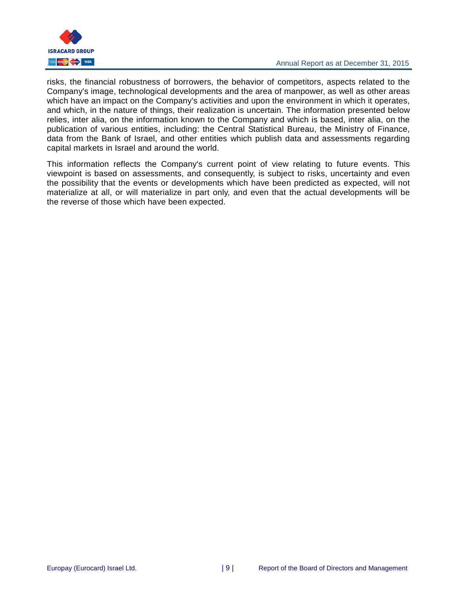

risks, the financial robustness of borrowers, the behavior of competitors, aspects related to the Company's image, technological developments and the area of manpower, as well as other areas which have an impact on the Company's activities and upon the environment in which it operates, and which, in the nature of things, their realization is uncertain. The information presented below relies, inter alia, on the information known to the Company and which is based, inter alia, on the publication of various entities, including: the Central Statistical Bureau, the Ministry of Finance, data from the Bank of Israel, and other entities which publish data and assessments regarding capital markets in Israel and around the world.

This information reflects the Company's current point of view relating to future events. This viewpoint is based on assessments, and consequently, is subject to risks, uncertainty and even the possibility that the events or developments which have been predicted as expected, will not materialize at all, or will materialize in part only, and even that the actual developments will be the reverse of those which have been expected.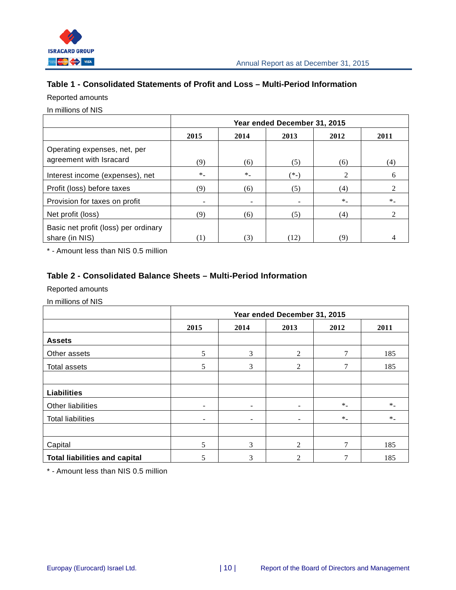

## **Table 1 - Consolidated Statements of Profit and Loss – Multi-Period Information**

Reported amounts

In millions of NIS

|                                                         | Year ended December 31, 2015 |      |         |                     |      |
|---------------------------------------------------------|------------------------------|------|---------|---------------------|------|
|                                                         | 2015                         | 2014 | 2013    | 2012                | 2011 |
| Operating expenses, net, per<br>agreement with Isracard | (9)                          | (6)  | (5)     | (6)                 | (4)  |
| Interest income (expenses), net                         | $*$                          | $*$  | $(*_-)$ | 2                   |      |
| Profit (loss) before taxes                              | (9)                          | (6)  | (5)     | $\scriptstyle{(4)}$ | 2    |
| Provision for taxes on profit                           |                              |      |         | $*$                 | $*$  |
| Net profit (loss)                                       | (9)                          | (6)  | (5)     | (4)                 |      |
| Basic net profit (loss) per ordinary<br>share (in NIS)  | (1)                          | (3)  | (12)    | (9)                 |      |

\* - Amount less than NIS 0.5 million

## **Table 2 - Consolidated Balance Sheets – Multi-Period Information**

Reported amounts

In millions of NIS

|                                      | Year ended December 31, 2015 |      |      |      |      |
|--------------------------------------|------------------------------|------|------|------|------|
|                                      | 2015                         | 2014 | 2013 | 2012 | 2011 |
| <b>Assets</b>                        |                              |      |      |      |      |
| Other assets                         | 5                            | 3    | 2    | 7    | 185  |
| <b>Total assets</b>                  | 5                            | 3    | 2    |      | 185  |
|                                      |                              |      |      |      |      |
| <b>Liabilities</b>                   |                              |      |      |      |      |
| Other liabilities                    | -                            | -    | ۰    | $*$  | $*$  |
| <b>Total liabilities</b>             |                              |      |      | $*$  | $*$  |
|                                      |                              |      |      |      |      |
| Capital                              | 5                            | 3    | 2    | 7    | 185  |
| <b>Total liabilities and capital</b> | 5                            | 3    | 2    | 7    | 185  |

\* - Amount less than NIS 0.5 million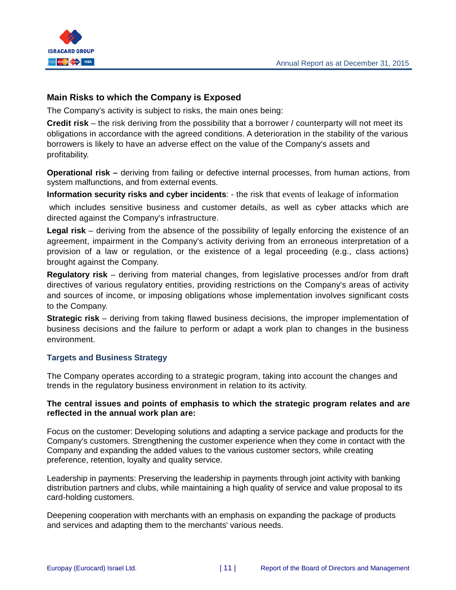

## **Main Risks to which the Company is Exposed**

The Company's activity is subject to risks, the main ones being:

**Credit risk** – the risk deriving from the possibility that a borrower / counterparty will not meet its obligations in accordance with the agreed conditions. A deterioration in the stability of the various borrowers is likely to have an adverse effect on the value of the Company's assets and profitability.

**Operational risk –** deriving from failing or defective internal processes, from human actions, from system malfunctions, and from external events.

**Information security risks and cyber incidents**: - the risk that events of leakage of information

which includes sensitive business and customer details, as well as cyber attacks which are directed against the Company's infrastructure.

**Legal risk** – deriving from the absence of the possibility of legally enforcing the existence of an agreement, impairment in the Company's activity deriving from an erroneous interpretation of a provision of a law or regulation, or the existence of a legal proceeding (e.g., class actions) brought against the Company.

**Regulatory risk** – deriving from material changes, from legislative processes and/or from draft directives of various regulatory entities, providing restrictions on the Company's areas of activity and sources of income, or imposing obligations whose implementation involves significant costs to the Company.

**Strategic risk** – deriving from taking flawed business decisions, the improper implementation of business decisions and the failure to perform or adapt a work plan to changes in the business environment.

#### **Targets and Business Strategy**

The Company operates according to a strategic program, taking into account the changes and trends in the regulatory business environment in relation to its activity.

#### **The central issues and points of emphasis to which the strategic program relates and are reflected in the annual work plan are:**

Focus on the customer: Developing solutions and adapting a service package and products for the Company's customers. Strengthening the customer experience when they come in contact with the Company and expanding the added values to the various customer sectors, while creating preference, retention, loyalty and quality service.

Leadership in payments: Preserving the leadership in payments through joint activity with banking distribution partners and clubs, while maintaining a high quality of service and value proposal to its card-holding customers.

Deepening cooperation with merchants with an emphasis on expanding the package of products and services and adapting them to the merchants' various needs.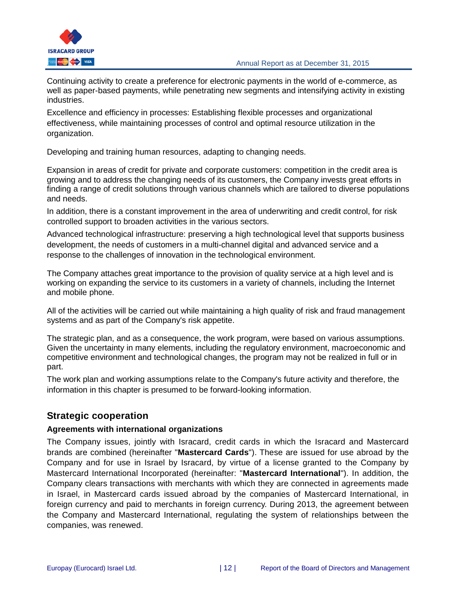Continuing activity to create a preference for electronic payments in the world of e-commerce, as well as paper-based payments, while penetrating new segments and intensifying activity in existing industries.

Excellence and efficiency in processes: Establishing flexible processes and organizational effectiveness, while maintaining processes of control and optimal resource utilization in the organization.

Developing and training human resources, adapting to changing needs.

Expansion in areas of credit for private and corporate customers: competition in the credit area is growing and to address the changing needs of its customers, the Company invests great efforts in finding a range of credit solutions through various channels which are tailored to diverse populations and needs.

In addition, there is a constant improvement in the area of underwriting and credit control, for risk controlled support to broaden activities in the various sectors.

Advanced technological infrastructure: preserving a high technological level that supports business development, the needs of customers in a multi-channel digital and advanced service and a response to the challenges of innovation in the technological environment.

The Company attaches great importance to the provision of quality service at a high level and is working on expanding the service to its customers in a variety of channels, including the Internet and mobile phone.

All of the activities will be carried out while maintaining a high quality of risk and fraud management systems and as part of the Company's risk appetite.

The strategic plan, and as a consequence, the work program, were based on various assumptions. Given the uncertainty in many elements, including the regulatory environment, macroeconomic and competitive environment and technological changes, the program may not be realized in full or in part.

The work plan and working assumptions relate to the Company's future activity and therefore, the information in this chapter is presumed to be forward-looking information.

# **Strategic cooperation**

# **Agreements with international organizations**

The Company issues, jointly with Isracard, credit cards in which the Isracard and Mastercard brands are combined (hereinafter "**Mastercard Cards**"). These are issued for use abroad by the Company and for use in Israel by Isracard, by virtue of a license granted to the Company by Mastercard International Incorporated (hereinafter: "**Mastercard International**"). In addition, the Company clears transactions with merchants with which they are connected in agreements made in Israel, in Mastercard cards issued abroad by the companies of Mastercard International, in foreign currency and paid to merchants in foreign currency. During 2013, the agreement between the Company and Mastercard International, regulating the system of relationships between the companies, was renewed.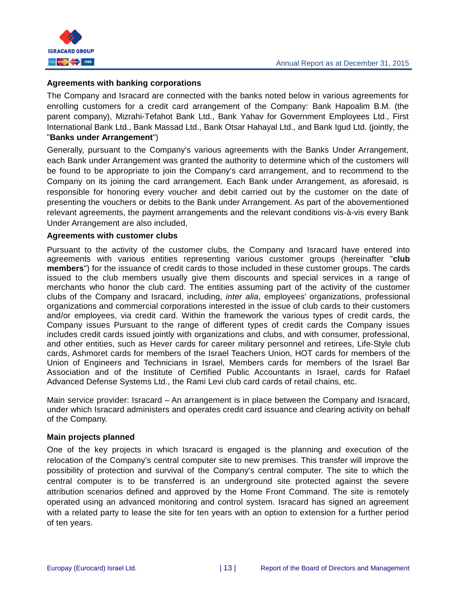

## **Agreements with banking corporations**

The Company and Isracard are connected with the banks noted below in various agreements for enrolling customers for a credit card arrangement of the Company: Bank Hapoalim B.M. (the parent company), Mizrahi-Tefahot Bank Ltd., Bank Yahav for Government Employees Ltd., First International Bank Ltd., Bank Massad Ltd., Bank Otsar Hahayal Ltd., and Bank Igud Ltd. (jointly, the "**Banks under Arrangement**")

Generally, pursuant to the Company's various agreements with the Banks Under Arrangement, each Bank under Arrangement was granted the authority to determine which of the customers will be found to be appropriate to join the Company's card arrangement, and to recommend to the Company on its joining the card arrangement. Each Bank under Arrangement, as aforesaid, is responsible for honoring every voucher and debit carried out by the customer on the date of presenting the vouchers or debits to the Bank under Arrangement. As part of the abovementioned relevant agreements, the payment arrangements and the relevant conditions vis-à-vis every Bank Under Arrangement are also included,

## **Agreements with customer clubs**

Pursuant to the activity of the customer clubs, the Company and Isracard have entered into agreements with various entities representing various customer groups (hereinafter "**club members**") for the issuance of credit cards to those included in these customer groups. The cards issued to the club members usually give them discounts and special services in a range of merchants who honor the club card. The entities assuming part of the activity of the customer clubs of the Company and Isracard, including, *inter alia*, employees' organizations, professional organizations and commercial corporations interested in the issue of club cards to their customers and/or employees, via credit card. Within the framework the various types of credit cards, the Company issues Pursuant to the range of different types of credit cards the Company issues includes credit cards issued jointly with organizations and clubs, and with consumer, professional, and other entities, such as Hever cards for career military personnel and retirees, Life-Style club cards, Ashmoret cards for members of the Israel Teachers Union, HOT cards for members of the Union of Engineers and Technicians in Israel, Members cards for members of the Israel Bar Association and of the Institute of Certified Public Accountants in Israel, cards for Rafael Advanced Defense Systems Ltd., the Rami Levi club card cards of retail chains, etc.

Main service provider: Isracard – An arrangement is in place between the Company and Isracard, under which Isracard administers and operates credit card issuance and clearing activity on behalf of the Company.

#### **Main projects planned**

One of the key projects in which Isracard is engaged is the planning and execution of the relocation of the Company's central computer site to new premises. This transfer will improve the possibility of protection and survival of the Company's central computer. The site to which the central computer is to be transferred is an underground site protected against the severe attribution scenarios defined and approved by the Home Front Command. The site is remotely operated using an advanced monitoring and control system. Isracard has signed an agreement with a related party to lease the site for ten years with an option to extension for a further period of ten years.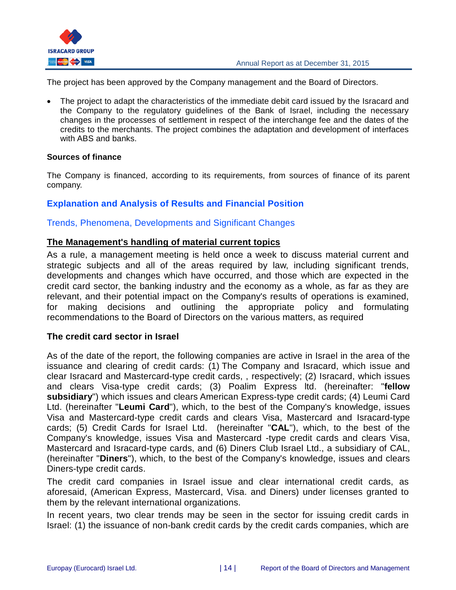

The project has been approved by the Company management and the Board of Directors.

• The project to adapt the characteristics of the immediate debit card issued by the Isracard and the Company to the regulatory guidelines of the Bank of Israel, including the necessary changes in the processes of settlement in respect of the interchange fee and the dates of the credits to the merchants. The project combines the adaptation and development of interfaces with ABS and banks.

## **Sources of finance**

The Company is financed, according to its requirements, from sources of finance of its parent company.

# **Explanation and Analysis of Results and Financial Position**

## Trends, Phenomena, Developments and Significant Changes

## **The Management's handling of material current topics**

As a rule, a management meeting is held once a week to discuss material current and strategic subjects and all of the areas required by law, including significant trends, developments and changes which have occurred, and those which are expected in the credit card sector, the banking industry and the economy as a whole, as far as they are relevant, and their potential impact on the Company's results of operations is examined, for making decisions and outlining the appropriate policy and formulating recommendations to the Board of Directors on the various matters, as required

## **The credit card sector in Israel**

As of the date of the report, the following companies are active in Israel in the area of the issuance and clearing of credit cards: (1) The Company and Isracard, which issue and clear Isracard and Mastercard-type credit cards, , respectively; (2) Isracard, which issues and clears Visa-type credit cards; (3) Poalim Express ltd. (hereinafter: "**fellow subsidiary**") which issues and clears American Express-type credit cards; (4) Leumi Card Ltd. (hereinafter "**Leumi Card**"), which, to the best of the Company's knowledge, issues Visa and Mastercard-type credit cards and clears Visa, Mastercard and Isracard-type cards; (5) Credit Cards for Israel Ltd. (hereinafter "**CAL**"), which, to the best of the Company's knowledge, issues Visa and Mastercard -type credit cards and clears Visa, Mastercard and Isracard-type cards, and (6) Diners Club Israel Ltd., a subsidiary of CAL, (hereinafter "**Diners**"), which, to the best of the Company's knowledge, issues and clears Diners-type credit cards.

The credit card companies in Israel issue and clear international credit cards, as aforesaid, (American Express, Mastercard, Visa. and Diners) under licenses granted to them by the relevant international organizations.

In recent years, two clear trends may be seen in the sector for issuing credit cards in Israel: (1) the issuance of non-bank credit cards by the credit cards companies, which are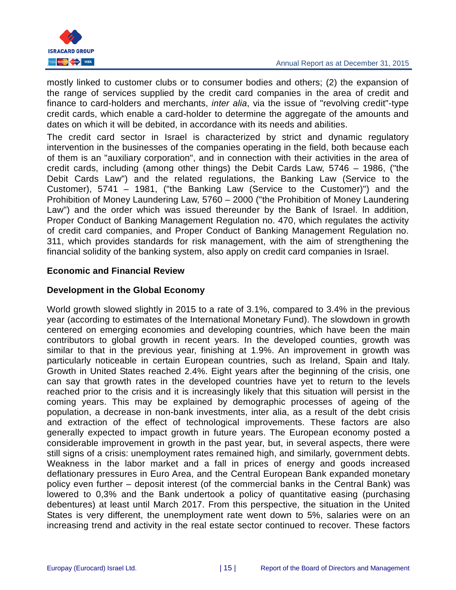

mostly linked to customer clubs or to consumer bodies and others; (2) the expansion of the range of services supplied by the credit card companies in the area of credit and finance to card-holders and merchants, *inter alia*, via the issue of "revolving credit"-type credit cards, which enable a card-holder to determine the aggregate of the amounts and dates on which it will be debited, in accordance with its needs and abilities.

The credit card sector in Israel is characterized by strict and dynamic regulatory intervention in the businesses of the companies operating in the field, both because each of them is an "auxiliary corporation", and in connection with their activities in the area of credit cards, including (among other things) the Debit Cards Law, 5746 – 1986, ("the Debit Cards Law") and the related regulations, the Banking Law (Service to the Customer), 5741 – 1981, ("the Banking Law (Service to the Customer)") and the Prohibition of Money Laundering Law, 5760 – 2000 ("the Prohibition of Money Laundering Law") and the order which was issued thereunder by the Bank of Israel. In addition, Proper Conduct of Banking Management Regulation no. 470, which regulates the activity of credit card companies, and Proper Conduct of Banking Management Regulation no. 311, which provides standards for risk management, with the aim of strengthening the financial solidity of the banking system, also apply on credit card companies in Israel.

# **Economic and Financial Review**

# **Development in the Global Economy**

World growth slowed slightly in 2015 to a rate of 3.1%, compared to 3.4% in the previous year (according to estimates of the International Monetary Fund). The slowdown in growth centered on emerging economies and developing countries, which have been the main contributors to global growth in recent years. In the developed counties, growth was similar to that in the previous year, finishing at 1.9%. An improvement in growth was particularly noticeable in certain European countries, such as Ireland, Spain and Italy. Growth in United States reached 2.4%. Eight years after the beginning of the crisis, one can say that growth rates in the developed countries have yet to return to the levels reached prior to the crisis and it is increasingly likely that this situation will persist in the coming years. This may be explained by demographic processes of ageing of the population, a decrease in non-bank investments, inter alia, as a result of the debt crisis and extraction of the effect of technological improvements. These factors are also generally expected to impact growth in future years. The European economy posted a considerable improvement in growth in the past year, but, in several aspects, there were still signs of a crisis: unemployment rates remained high, and similarly, government debts. Weakness in the labor market and a fall in prices of energy and goods increased deflationary pressures in Euro Area, and the Central European Bank expanded monetary policy even further – deposit interest (of the commercial banks in the Central Bank) was lowered to 0,3% and the Bank undertook a policy of quantitative easing (purchasing debentures) at least until March 2017. From this perspective, the situation in the United States is very different, the unemployment rate went down to 5%, salaries were on an increasing trend and activity in the real estate sector continued to recover. These factors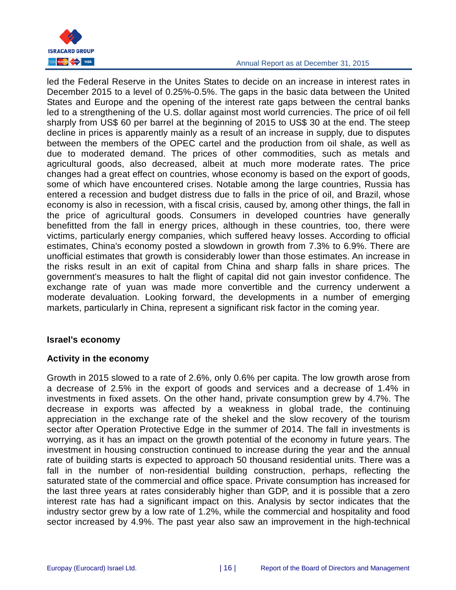

led the Federal Reserve in the Unites States to decide on an increase in interest rates in December 2015 to a level of 0.25%-0.5%. The gaps in the basic data between the United States and Europe and the opening of the interest rate gaps between the central banks led to a strengthening of the U.S. dollar against most world currencies. The price of oil fell sharply from US\$ 60 per barrel at the beginning of 2015 to US\$ 30 at the end. The steep decline in prices is apparently mainly as a result of an increase in supply, due to disputes between the members of the OPEC cartel and the production from oil shale, as well as due to moderated demand. The prices of other commodities, such as metals and agricultural goods, also decreased, albeit at much more moderate rates. The price changes had a great effect on countries, whose economy is based on the export of goods, some of which have encountered crises. Notable among the large countries, Russia has entered a recession and budget distress due to falls in the price of oil, and Brazil, whose economy is also in recession, with a fiscal crisis, caused by, among other things, the fall in the price of agricultural goods. Consumers in developed countries have generally benefitted from the fall in energy prices, although in these countries, too, there were victims, particularly energy companies, which suffered heavy losses. According to official estimates, China's economy posted a slowdown in growth from 7.3% to 6.9%. There are unofficial estimates that growth is considerably lower than those estimates. An increase in the risks result in an exit of capital from China and sharp falls in share prices. The government's measures to halt the flight of capital did not gain investor confidence. The exchange rate of yuan was made more convertible and the currency underwent a moderate devaluation. Looking forward, the developments in a number of emerging markets, particularly in China, represent a significant risk factor in the coming year.

## **Israel's economy**

# **Activity in the economy**

Growth in 2015 slowed to a rate of 2.6%, only 0.6% per capita. The low growth arose from a decrease of 2.5% in the export of goods and services and a decrease of 1.4% in investments in fixed assets. On the other hand, private consumption grew by 4.7%. The decrease in exports was affected by a weakness in global trade, the continuing appreciation in the exchange rate of the shekel and the slow recovery of the tourism sector after Operation Protective Edge in the summer of 2014. The fall in investments is worrying, as it has an impact on the growth potential of the economy in future years. The investment in housing construction continued to increase during the year and the annual rate of building starts is expected to approach 50 thousand residential units. There was a fall in the number of non-residential building construction, perhaps, reflecting the saturated state of the commercial and office space. Private consumption has increased for the last three years at rates considerably higher than GDP, and it is possible that a zero interest rate has had a significant impact on this. Analysis by sector indicates that the industry sector grew by a low rate of 1.2%, while the commercial and hospitality and food sector increased by 4.9%. The past year also saw an improvement in the high-technical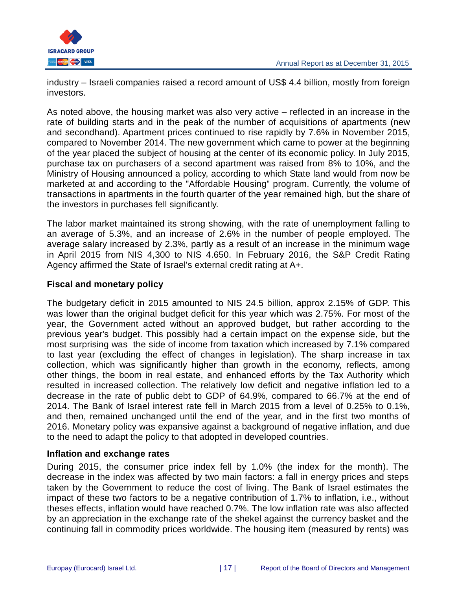

industry – Israeli companies raised a record amount of US\$ 4.4 billion, mostly from foreign investors.

As noted above, the housing market was also very active – reflected in an increase in the rate of building starts and in the peak of the number of acquisitions of apartments (new and secondhand). Apartment prices continued to rise rapidly by 7.6% in November 2015, compared to November 2014. The new government which came to power at the beginning of the year placed the subject of housing at the center of its economic policy. In July 2015, purchase tax on purchasers of a second apartment was raised from 8% to 10%, and the Ministry of Housing announced a policy, according to which State land would from now be marketed at and according to the "Affordable Housing" program. Currently, the volume of transactions in apartments in the fourth quarter of the year remained high, but the share of the investors in purchases fell significantly.

The labor market maintained its strong showing, with the rate of unemployment falling to an average of 5.3%, and an increase of 2.6% in the number of people employed. The average salary increased by 2.3%, partly as a result of an increase in the minimum wage in April 2015 from NIS 4,300 to NIS 4.650. In February 2016, the S&P Credit Rating Agency affirmed the State of Israel's external credit rating at A+.

# **Fiscal and monetary policy**

The budgetary deficit in 2015 amounted to NIS 24.5 billion, approx 2.15% of GDP. This was lower than the original budget deficit for this year which was 2.75%. For most of the year, the Government acted without an approved budget, but rather according to the previous year's budget. This possibly had a certain impact on the expense side, but the most surprising was the side of income from taxation which increased by 7.1% compared to last year (excluding the effect of changes in legislation). The sharp increase in tax collection, which was significantly higher than growth in the economy, reflects, among other things, the boom in real estate, and enhanced efforts by the Tax Authority which resulted in increased collection. The relatively low deficit and negative inflation led to a decrease in the rate of public debt to GDP of 64.9%, compared to 66.7% at the end of 2014. The Bank of Israel interest rate fell in March 2015 from a level of 0.25% to 0.1%, and then, remained unchanged until the end of the year, and in the first two months of 2016. Monetary policy was expansive against a background of negative inflation, and due to the need to adapt the policy to that adopted in developed countries.

# **Inflation and exchange rates**

During 2015, the consumer price index fell by 1.0% (the index for the month). The decrease in the index was affected by two main factors: a fall in energy prices and steps taken by the Government to reduce the cost of living. The Bank of Israel estimates the impact of these two factors to be a negative contribution of 1.7% to inflation, i.e., without theses effects, inflation would have reached 0.7%. The low inflation rate was also affected by an appreciation in the exchange rate of the shekel against the currency basket and the continuing fall in commodity prices worldwide. The housing item (measured by rents) was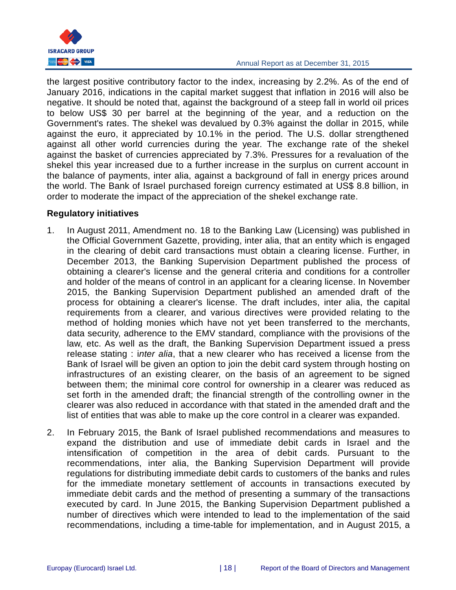

the largest positive contributory factor to the index, increasing by 2.2%. As of the end of January 2016, indications in the capital market suggest that inflation in 2016 will also be negative. It should be noted that, against the background of a steep fall in world oil prices to below US\$ 30 per barrel at the beginning of the year, and a reduction on the Government's rates. The shekel was devalued by 0.3% against the dollar in 2015, while against the euro, it appreciated by 10.1% in the period. The U.S. dollar strengthened against all other world currencies during the year. The exchange rate of the shekel against the basket of currencies appreciated by 7.3%. Pressures for a revaluation of the shekel this year increased due to a further increase in the surplus on current account in the balance of payments, inter alia, against a background of fall in energy prices around the world. The Bank of Israel purchased foreign currency estimated at US\$ 8.8 billion, in order to moderate the impact of the appreciation of the shekel exchange rate.

# **Regulatory initiatives**

- 1. In August 2011, Amendment no. 18 to the Banking Law (Licensing) was published in the Official Government Gazette, providing, inter alia, that an entity which is engaged in the clearing of debit card transactions must obtain a clearing license. Further, in December 2013, the Banking Supervision Department published the process of obtaining a clearer's license and the general criteria and conditions for a controller and holder of the means of control in an applicant for a clearing license. In November 2015, the Banking Supervision Department published an amended draft of the process for obtaining a clearer's license. The draft includes, inter alia, the capital requirements from a clearer, and various directives were provided relating to the method of holding monies which have not yet been transferred to the merchants, data security, adherence to the EMV standard, compliance with the provisions of the law, etc. As well as the draft, the Banking Supervision Department issued a press release stating : i*nter alia*, that a new clearer who has received a license from the Bank of Israel will be given an option to join the debit card system through hosting on infrastructures of an existing clearer, on the basis of an agreement to be signed between them; the minimal core control for ownership in a clearer was reduced as set forth in the amended draft; the financial strength of the controlling owner in the clearer was also reduced in accordance with that stated in the amended draft and the list of entities that was able to make up the core control in a clearer was expanded.
- 2. In February 2015, the Bank of Israel published recommendations and measures to expand the distribution and use of immediate debit cards in Israel and the intensification of competition in the area of debit cards. Pursuant to the recommendations, inter alia, the Banking Supervision Department will provide regulations for distributing immediate debit cards to customers of the banks and rules for the immediate monetary settlement of accounts in transactions executed by immediate debit cards and the method of presenting a summary of the transactions executed by card. In June 2015, the Banking Supervision Department published a number of directives which were intended to lead to the implementation of the said recommendations, including a time-table for implementation, and in August 2015, a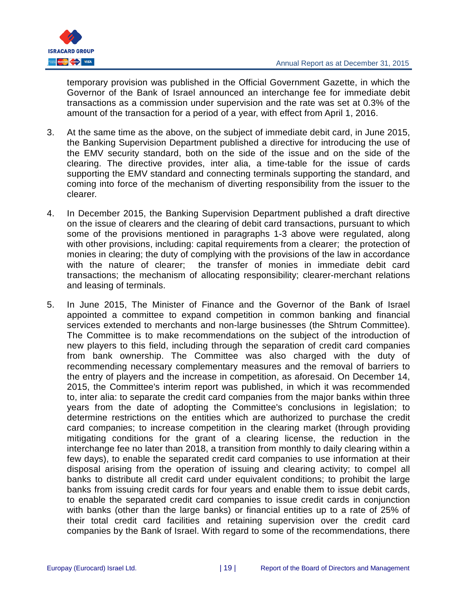

temporary provision was published in the Official Government Gazette, in which the Governor of the Bank of Israel announced an interchange fee for immediate debit transactions as a commission under supervision and the rate was set at 0.3% of the amount of the transaction for a period of a year, with effect from April 1, 2016.

- 3. At the same time as the above, on the subject of immediate debit card, in June 2015, the Banking Supervision Department published a directive for introducing the use of the EMV security standard, both on the side of the issue and on the side of the clearing. The directive provides, inter alia, a time-table for the issue of cards supporting the EMV standard and connecting terminals supporting the standard, and coming into force of the mechanism of diverting responsibility from the issuer to the clearer.
- 4. In December 2015, the Banking Supervision Department published a draft directive on the issue of clearers and the clearing of debit card transactions, pursuant to which some of the provisions mentioned in paragraphs 1-3 above were regulated, along with other provisions, including: capital requirements from a clearer; the protection of monies in clearing; the duty of complying with the provisions of the law in accordance with the nature of clearer; the transfer of monies in immediate debit card transactions; the mechanism of allocating responsibility; clearer-merchant relations and leasing of terminals.
- 5. In June 2015, The Minister of Finance and the Governor of the Bank of Israel appointed a committee to expand competition in common banking and financial services extended to merchants and non-large businesses (the Shtrum Committee). The Committee is to make recommendations on the subject of the introduction of new players to this field, including through the separation of credit card companies from bank ownership. The Committee was also charged with the duty of recommending necessary complementary measures and the removal of barriers to the entry of players and the increase in competition, as aforesaid. On December 14, 2015, the Committee's interim report was published, in which it was recommended to, inter alia: to separate the credit card companies from the major banks within three years from the date of adopting the Committee's conclusions in legislation; to determine restrictions on the entities which are authorized to purchase the credit card companies; to increase competition in the clearing market (through providing mitigating conditions for the grant of a clearing license, the reduction in the interchange fee no later than 2018, a transition from monthly to daily clearing within a few days), to enable the separated credit card companies to use information at their disposal arising from the operation of issuing and clearing activity; to compel all banks to distribute all credit card under equivalent conditions; to prohibit the large banks from issuing credit cards for four years and enable them to issue debit cards, to enable the separated credit card companies to issue credit cards in conjunction with banks (other than the large banks) or financial entities up to a rate of 25% of their total credit card facilities and retaining supervision over the credit card companies by the Bank of Israel. With regard to some of the recommendations, there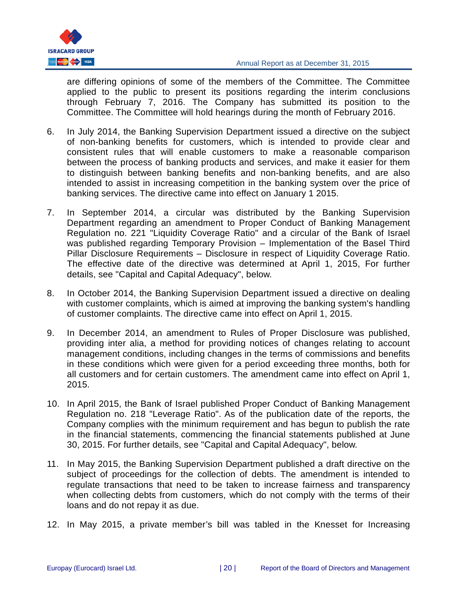

are differing opinions of some of the members of the Committee. The Committee applied to the public to present its positions regarding the interim conclusions through February 7, 2016. The Company has submitted its position to the Committee. The Committee will hold hearings during the month of February 2016.

- 6. In July 2014, the Banking Supervision Department issued a directive on the subject of non-banking benefits for customers, which is intended to provide clear and consistent rules that will enable customers to make a reasonable comparison between the process of banking products and services, and make it easier for them to distinguish between banking benefits and non-banking benefits, and are also intended to assist in increasing competition in the banking system over the price of banking services. The directive came into effect on January 1 2015.
- 7. In September 2014, a circular was distributed by the Banking Supervision Department regarding an amendment to Proper Conduct of Banking Management Regulation no. 221 "Liquidity Coverage Ratio" and a circular of the Bank of Israel was published regarding Temporary Provision – Implementation of the Basel Third Pillar Disclosure Requirements – Disclosure in respect of Liquidity Coverage Ratio. The effective date of the directive was determined at April 1, 2015, For further details, see "Capital and Capital Adequacy", below.
- 8. In October 2014, the Banking Supervision Department issued a directive on dealing with customer complaints, which is aimed at improving the banking system's handling of customer complaints. The directive came into effect on April 1, 2015.
- 9. In December 2014, an amendment to Rules of Proper Disclosure was published, providing inter alia, a method for providing notices of changes relating to account management conditions, including changes in the terms of commissions and benefits in these conditions which were given for a period exceeding three months, both for all customers and for certain customers. The amendment came into effect on April 1, 2015.
- 10. In April 2015, the Bank of Israel published Proper Conduct of Banking Management Regulation no. 218 "Leverage Ratio". As of the publication date of the reports, the Company complies with the minimum requirement and has begun to publish the rate in the financial statements, commencing the financial statements published at June 30, 2015. For further details, see "Capital and Capital Adequacy", below.
- 11. In May 2015, the Banking Supervision Department published a draft directive on the subject of proceedings for the collection of debts. The amendment is intended to regulate transactions that need to be taken to increase fairness and transparency when collecting debts from customers, which do not comply with the terms of their loans and do not repay it as due.
- 12. In May 2015, a private member's bill was tabled in the Knesset for Increasing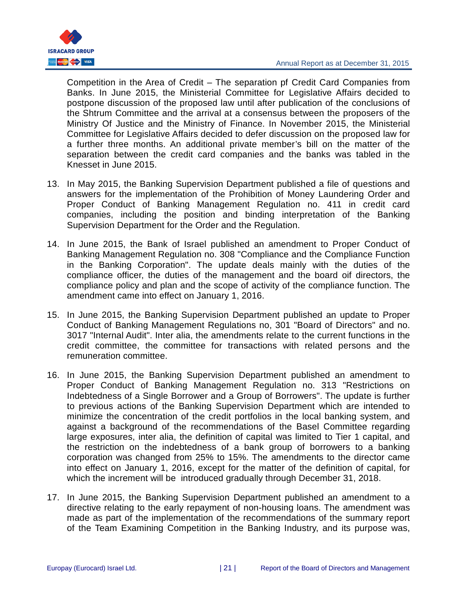

Competition in the Area of Credit – The separation pf Credit Card Companies from Banks. In June 2015, the Ministerial Committee for Legislative Affairs decided to postpone discussion of the proposed law until after publication of the conclusions of the Shtrum Committee and the arrival at a consensus between the proposers of the Ministry Of Justice and the Ministry of Finance. In November 2015, the Ministerial Committee for Legislative Affairs decided to defer discussion on the proposed law for a further three months. An additional private member's bill on the matter of the separation between the credit card companies and the banks was tabled in the Knesset in June 2015.

- 13. In May 2015, the Banking Supervision Department published a file of questions and answers for the implementation of the Prohibition of Money Laundering Order and Proper Conduct of Banking Management Regulation no. 411 in credit card companies, including the position and binding interpretation of the Banking Supervision Department for the Order and the Regulation.
- 14. In June 2015, the Bank of Israel published an amendment to Proper Conduct of Banking Management Regulation no. 308 "Compliance and the Compliance Function in the Banking Corporation". The update deals mainly with the duties of the compliance officer, the duties of the management and the board oif directors, the compliance policy and plan and the scope of activity of the compliance function. The amendment came into effect on January 1, 2016.
- 15. In June 2015, the Banking Supervision Department published an update to Proper Conduct of Banking Management Regulations no, 301 "Board of Directors" and no. 3017 "Internal Audit". Inter alia, the amendments relate to the current functions in the credit committee, the committee for transactions with related persons and the remuneration committee.
- 16. In June 2015, the Banking Supervision Department published an amendment to Proper Conduct of Banking Management Regulation no. 313 "Restrictions on Indebtedness of a Single Borrower and a Group of Borrowers". The update is further to previous actions of the Banking Supervision Department which are intended to minimize the concentration of the credit portfolios in the local banking system, and against a background of the recommendations of the Basel Committee regarding large exposures, inter alia, the definition of capital was limited to Tier 1 capital, and the restriction on the indebtedness of a bank group of borrowers to a banking corporation was changed from 25% to 15%. The amendments to the director came into effect on January 1, 2016, except for the matter of the definition of capital, for which the increment will be introduced gradually through December 31, 2018.
- 17. In June 2015, the Banking Supervision Department published an amendment to a directive relating to the early repayment of non-housing loans. The amendment was made as part of the implementation of the recommendations of the summary report of the Team Examining Competition in the Banking Industry, and its purpose was,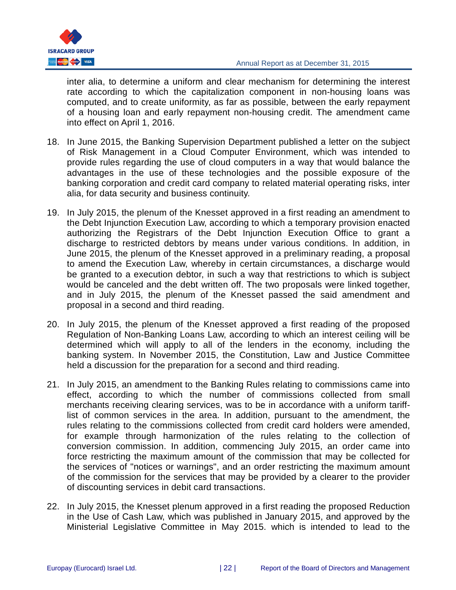

inter alia, to determine a uniform and clear mechanism for determining the interest rate according to which the capitalization component in non-housing loans was computed, and to create uniformity, as far as possible, between the early repayment of a housing loan and early repayment non-housing credit. The amendment came into effect on April 1, 2016.

- 18. In June 2015, the Banking Supervision Department published a letter on the subject of Risk Management in a Cloud Computer Environment, which was intended to provide rules regarding the use of cloud computers in a way that would balance the advantages in the use of these technologies and the possible exposure of the banking corporation and credit card company to related material operating risks, inter alia, for data security and business continuity.
- 19. In July 2015, the plenum of the Knesset approved in a first reading an amendment to the Debt Injunction Execution Law, according to which a temporary provision enacted authorizing the Registrars of the Debt Injunction Execution Office to grant a discharge to restricted debtors by means under various conditions. In addition, in June 2015, the plenum of the Knesset approved in a preliminary reading, a proposal to amend the Execution Law, whereby in certain circumstances, a discharge would be granted to a execution debtor, in such a way that restrictions to which is subject would be canceled and the debt written off. The two proposals were linked together, and in July 2015, the plenum of the Knesset passed the said amendment and proposal in a second and third reading.
- 20. In July 2015, the plenum of the Knesset approved a first reading of the proposed Regulation of Non-Banking Loans Law, according to which an interest ceiling will be determined which will apply to all of the lenders in the economy, including the banking system. In November 2015, the Constitution, Law and Justice Committee held a discussion for the preparation for a second and third reading.
- 21. In July 2015, an amendment to the Banking Rules relating to commissions came into effect, according to which the number of commissions collected from small merchants receiving clearing services, was to be in accordance with a uniform tarifflist of common services in the area. In addition, pursuant to the amendment, the rules relating to the commissions collected from credit card holders were amended, for example through harmonization of the rules relating to the collection of conversion commission. In addition, commencing July 2015, an order came into force restricting the maximum amount of the commission that may be collected for the services of "notices or warnings", and an order restricting the maximum amount of the commission for the services that may be provided by a clearer to the provider of discounting services in debit card transactions.
- 22. In July 2015, the Knesset plenum approved in a first reading the proposed Reduction in the Use of Cash Law, which was published in January 2015, and approved by the Ministerial Legislative Committee in May 2015. which is intended to lead to the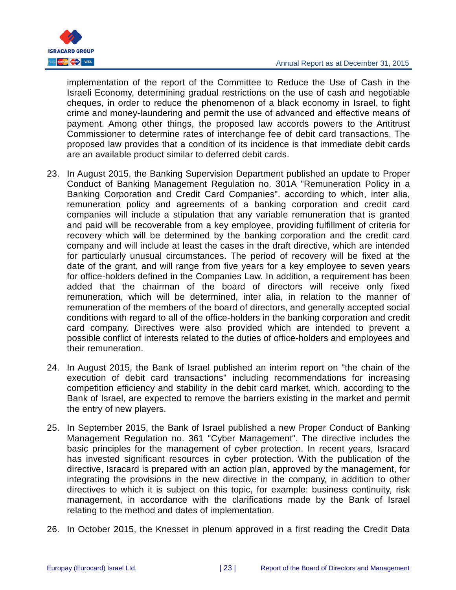

implementation of the report of the Committee to Reduce the Use of Cash in the Israeli Economy, determining gradual restrictions on the use of cash and negotiable cheques, in order to reduce the phenomenon of a black economy in Israel, to fight crime and money-laundering and permit the use of advanced and effective means of payment. Among other things, the proposed law accords powers to the Antitrust Commissioner to determine rates of interchange fee of debit card transactions. The proposed law provides that a condition of its incidence is that immediate debit cards are an available product similar to deferred debit cards.

- 23. In August 2015, the Banking Supervision Department published an update to Proper Conduct of Banking Management Regulation no. 301A "Remuneration Policy in a Banking Corporation and Credit Card Companies". according to which, inter alia, remuneration policy and agreements of a banking corporation and credit card companies will include a stipulation that any variable remuneration that is granted and paid will be recoverable from a key employee, providing fulfillment of criteria for recovery which will be determined by the banking corporation and the credit card company and will include at least the cases in the draft directive, which are intended for particularly unusual circumstances. The period of recovery will be fixed at the date of the grant, and will range from five years for a key employee to seven years for office-holders defined in the Companies Law. In addition, a requirement has been added that the chairman of the board of directors will receive only fixed remuneration, which will be determined, inter alia, in relation to the manner of remuneration of the members of the board of directors, and generally accepted social conditions with regard to all of the office-holders in the banking corporation and credit card company. Directives were also provided which are intended to prevent a possible conflict of interests related to the duties of office-holders and employees and their remuneration.
- 24. In August 2015, the Bank of Israel published an interim report on "the chain of the execution of debit card transactions" including recommendations for increasing competition efficiency and stability in the debit card market, which, according to the Bank of Israel, are expected to remove the barriers existing in the market and permit the entry of new players.
- 25. In September 2015, the Bank of Israel published a new Proper Conduct of Banking Management Regulation no. 361 "Cyber Management". The directive includes the basic principles for the management of cyber protection. In recent years, Isracard has invested significant resources in cyber protection. With the publication of the directive, Isracard is prepared with an action plan, approved by the management, for integrating the provisions in the new directive in the company, in addition to other directives to which it is subject on this topic, for example: business continuity, risk management, in accordance with the clarifications made by the Bank of Israel relating to the method and dates of implementation.
- 26. In October 2015, the Knesset in plenum approved in a first reading the Credit Data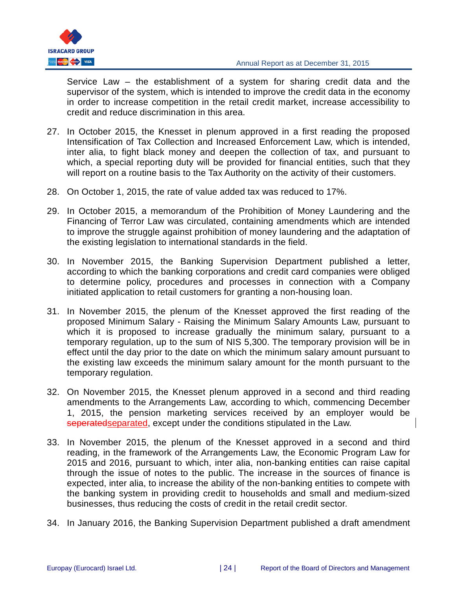

Service Law – the establishment of a system for sharing credit data and the supervisor of the system, which is intended to improve the credit data in the economy in order to increase competition in the retail credit market, increase accessibility to credit and reduce discrimination in this area.

- 27. In October 2015, the Knesset in plenum approved in a first reading the proposed Intensification of Tax Collection and Increased Enforcement Law, which is intended, inter alia, to fight black money and deepen the collection of tax, and pursuant to which, a special reporting duty will be provided for financial entities, such that they will report on a routine basis to the Tax Authority on the activity of their customers.
- 28. On October 1, 2015, the rate of value added tax was reduced to 17%.
- 29. In October 2015, a memorandum of the Prohibition of Money Laundering and the Financing of Terror Law was circulated, containing amendments which are intended to improve the struggle against prohibition of money laundering and the adaptation of the existing legislation to international standards in the field.
- 30. In November 2015, the Banking Supervision Department published a letter, according to which the banking corporations and credit card companies were obliged to determine policy, procedures and processes in connection with a Company initiated application to retail customers for granting a non-housing loan.
- 31. In November 2015, the plenum of the Knesset approved the first reading of the proposed Minimum Salary - Raising the Minimum Salary Amounts Law, pursuant to which it is proposed to increase gradually the minimum salary, pursuant to a temporary regulation, up to the sum of NIS 5,300. The temporary provision will be in effect until the day prior to the date on which the minimum salary amount pursuant to the existing law exceeds the minimum salary amount for the month pursuant to the temporary regulation.
- 32. On November 2015, the Knesset plenum approved in a second and third reading amendments to the Arrangements Law, according to which, commencing December 1, 2015, the pension marketing services received by an employer would be seperatedseparated, except under the conditions stipulated in the Law.
- 33. In November 2015, the plenum of the Knesset approved in a second and third reading, in the framework of the Arrangements Law, the Economic Program Law for 2015 and 2016, pursuant to which, inter alia, non-banking entities can raise capital through the issue of notes to the public. The increase in the sources of finance is expected, inter alia, to increase the ability of the non-banking entities to compete with the banking system in providing credit to households and small and medium-sized businesses, thus reducing the costs of credit in the retail credit sector.
- 34. In January 2016, the Banking Supervision Department published a draft amendment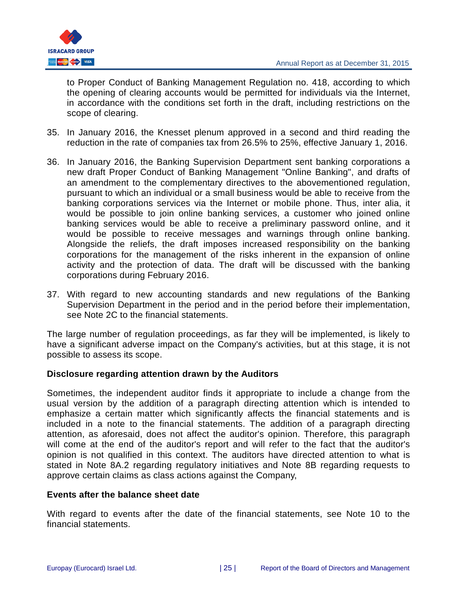



to Proper Conduct of Banking Management Regulation no. 418, according to which the opening of clearing accounts would be permitted for individuals via the Internet, in accordance with the conditions set forth in the draft, including restrictions on the scope of clearing.

- 35. In January 2016, the Knesset plenum approved in a second and third reading the reduction in the rate of companies tax from 26.5% to 25%, effective January 1, 2016.
- 36. In January 2016, the Banking Supervision Department sent banking corporations a new draft Proper Conduct of Banking Management "Online Banking", and drafts of an amendment to the complementary directives to the abovementioned regulation, pursuant to which an individual or a small business would be able to receive from the banking corporations services via the Internet or mobile phone. Thus, inter alia, it would be possible to join online banking services, a customer who joined online banking services would be able to receive a preliminary password online, and it would be possible to receive messages and warnings through online banking. Alongside the reliefs, the draft imposes increased responsibility on the banking corporations for the management of the risks inherent in the expansion of online activity and the protection of data. The draft will be discussed with the banking corporations during February 2016.
- 37. With regard to new accounting standards and new regulations of the Banking Supervision Department in the period and in the period before their implementation, see Note 2C to the financial statements.

The large number of regulation proceedings, as far they will be implemented, is likely to have a significant adverse impact on the Company's activities, but at this stage, it is not possible to assess its scope.

# **Disclosure regarding attention drawn by the Auditors**

Sometimes, the independent auditor finds it appropriate to include a change from the usual version by the addition of a paragraph directing attention which is intended to emphasize a certain matter which significantly affects the financial statements and is included in a note to the financial statements. The addition of a paragraph directing attention, as aforesaid, does not affect the auditor's opinion. Therefore, this paragraph will come at the end of the auditor's report and will refer to the fact that the auditor's opinion is not qualified in this context. The auditors have directed attention to what is stated in Note 8A.2 regarding regulatory initiatives and Note 8B regarding requests to approve certain claims as class actions against the Company,

# **Events after the balance sheet date**

With regard to events after the date of the financial statements, see Note 10 to the financial statements.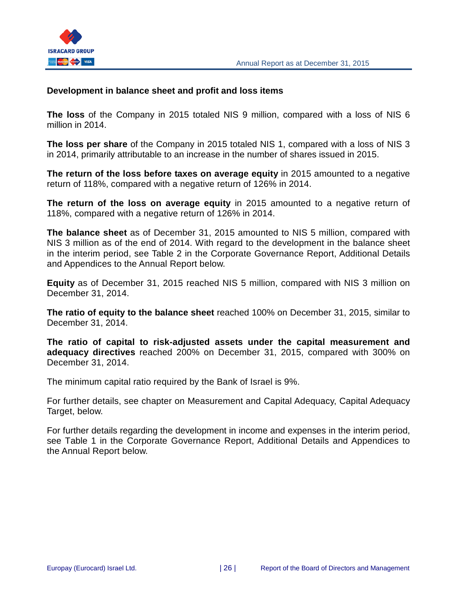

## **Development in balance sheet and profit and loss items**

**The loss** of the Company in 2015 totaled NIS 9 million, compared with a loss of NIS 6 million in 2014.

**The loss per share** of the Company in 2015 totaled NIS 1, compared with a loss of NIS 3 in 2014, primarily attributable to an increase in the number of shares issued in 2015.

**The return of the loss before taxes on average equity** in 2015 amounted to a negative return of 118%, compared with a negative return of 126% in 2014.

**The return of the loss on average equity** in 2015 amounted to a negative return of 118%, compared with a negative return of 126% in 2014.

**The balance sheet** as of December 31, 2015 amounted to NIS 5 million, compared with NIS 3 million as of the end of 2014. With regard to the development in the balance sheet in the interim period, see Table 2 in the Corporate Governance Report, Additional Details and Appendices to the Annual Report below.

**Equity** as of December 31, 2015 reached NIS 5 million, compared with NIS 3 million on December 31, 2014.

**The ratio of equity to the balance sheet** reached 100% on December 31, 2015, similar to December 31, 2014.

**The ratio of capital to risk-adjusted assets under the capital measurement and adequacy directives** reached 200% on December 31, 2015, compared with 300% on December 31, 2014.

The minimum capital ratio required by the Bank of Israel is 9%.

For further details, see chapter on Measurement and Capital Adequacy, Capital Adequacy Target, below.

For further details regarding the development in income and expenses in the interim period, see Table 1 in the Corporate Governance Report, Additional Details and Appendices to the Annual Report below.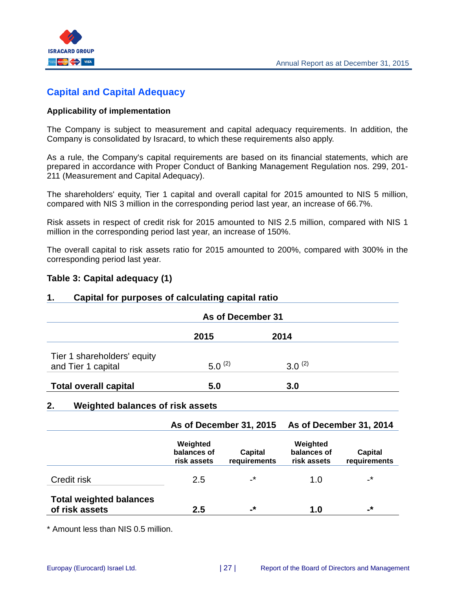

# **Capital and Capital Adequacy**

## **Applicability of implementation**

The Company is subject to measurement and capital adequacy requirements. In addition, the Company is consolidated by Isracard, to which these requirements also apply.

As a rule, the Company's capital requirements are based on its financial statements, which are prepared in accordance with Proper Conduct of Banking Management Regulation nos. 299, 201- 211 (Measurement and Capital Adequacy).

The shareholders' equity, Tier 1 capital and overall capital for 2015 amounted to NIS 5 million, compared with NIS 3 million in the corresponding period last year, an increase of 66.7%.

Risk assets in respect of credit risk for 2015 amounted to NIS 2.5 million, compared with NIS 1 million in the corresponding period last year, an increase of 150%.

The overall capital to risk assets ratio for 2015 amounted to 200%, compared with 300% in the corresponding period last year.

## **Table 3: Capital adequacy (1)**

| 1. |  | Capital for purposes of calculating capital ratio |  |
|----|--|---------------------------------------------------|--|
|    |  |                                                   |  |

|                                                   | As of December 31 |             |  |
|---------------------------------------------------|-------------------|-------------|--|
|                                                   | 2015              | 2014        |  |
| Tier 1 shareholders' equity<br>and Tier 1 capital | $5.0^{(2)}$       | $3.0^{(2)}$ |  |
| <b>Total overall capital</b>                      | 5.0               | 3.0         |  |

## **2. Weighted balances of risk assets**

|                                                  |                                        | As of December 31, 2015 |                                        | As of December 31, 2014    |
|--------------------------------------------------|----------------------------------------|-------------------------|----------------------------------------|----------------------------|
|                                                  | Weighted<br>balances of<br>risk assets | Capital<br>requirements | Weighted<br>balances of<br>risk assets | Capital<br>requirements    |
| Credit risk                                      | 2.5                                    | -*                      | 1.0                                    | $\overline{\phantom{a}}^*$ |
| <b>Total weighted balances</b><br>of risk assets | 2.5                                    | $\cdot^{\star}$         | 1.0                                    | -*                         |

\* Amount less than NIS 0.5 million.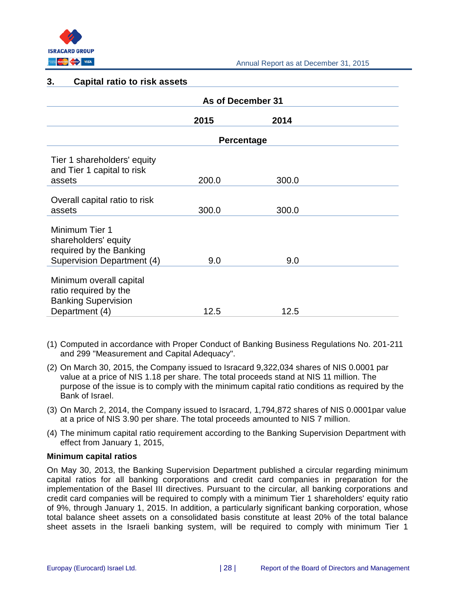

#### **3. Capital ratio to risk assets**

|                                                                                                  | As of December 31 |                   |  |
|--------------------------------------------------------------------------------------------------|-------------------|-------------------|--|
|                                                                                                  | 2015              | 2014              |  |
|                                                                                                  |                   | <b>Percentage</b> |  |
| Tier 1 shareholders' equity<br>and Tier 1 capital to risk<br>assets                              | 200.0             | 300.0             |  |
| Overall capital ratio to risk<br>assets                                                          | 300.0             | 300.0             |  |
| Minimum Tier 1<br>shareholders' equity<br>required by the Banking<br>Supervision Department (4)  | 9.0               | 9.0               |  |
| Minimum overall capital<br>ratio required by the<br><b>Banking Supervision</b><br>Department (4) | 12.5              | 12.5              |  |

- (1) Computed in accordance with Proper Conduct of Banking Business Regulations No. 201-211 and 299 "Measurement and Capital Adequacy".
- (2) On March 30, 2015, the Company issued to Isracard 9,322,034 shares of NIS 0.0001 par value at a price of NIS 1.18 per share. The total proceeds stand at NIS 11 million. The purpose of the issue is to comply with the minimum capital ratio conditions as required by the Bank of Israel.
- (3) On March 2, 2014, the Company issued to Isracard, 1,794,872 shares of NIS 0.0001par value at a price of NIS 3.90 per share. The total proceeds amounted to NIS 7 million.
- (4) The minimum capital ratio requirement according to the Banking Supervision Department with effect from January 1, 2015,

#### **Minimum capital ratios**

On May 30, 2013, the Banking Supervision Department published a circular regarding minimum capital ratios for all banking corporations and credit card companies in preparation for the implementation of the Basel III directives. Pursuant to the circular, all banking corporations and credit card companies will be required to comply with a minimum Tier 1 shareholders' equity ratio of 9%, through January 1, 2015. In addition, a particularly significant banking corporation, whose total balance sheet assets on a consolidated basis constitute at least 20% of the total balance sheet assets in the Israeli banking system, will be required to comply with minimum Tier 1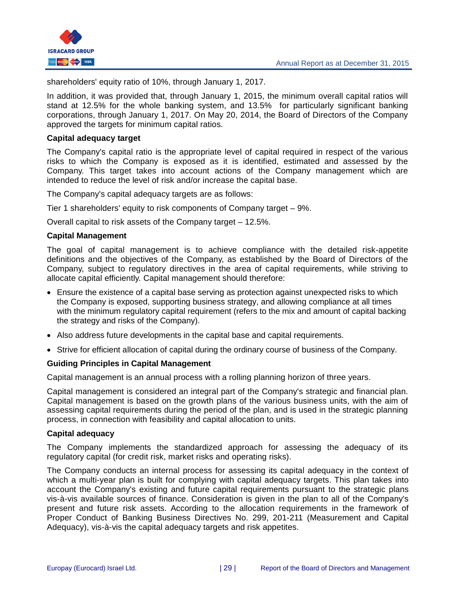

shareholders' equity ratio of 10%, through January 1, 2017.

In addition, it was provided that, through January 1, 2015, the minimum overall capital ratios will stand at 12.5% for the whole banking system, and 13.5% for particularly significant banking corporations, through January 1, 2017. On May 20, 2014, the Board of Directors of the Company approved the targets for minimum capital ratios.

#### **Capital adequacy target**

The Company's capital ratio is the appropriate level of capital required in respect of the various risks to which the Company is exposed as it is identified, estimated and assessed by the Company. This target takes into account actions of the Company management which are intended to reduce the level of risk and/or increase the capital base.

The Company's capital adequacy targets are as follows:

Tier 1 shareholders' equity to risk components of Company target – 9%.

Overall capital to risk assets of the Company target – 12.5%.

#### **Capital Management**

The goal of capital management is to achieve compliance with the detailed risk-appetite definitions and the objectives of the Company, as established by the Board of Directors of the Company, subject to regulatory directives in the area of capital requirements, while striving to allocate capital efficiently. Capital management should therefore:

- Ensure the existence of a capital base serving as protection against unexpected risks to which the Company is exposed, supporting business strategy, and allowing compliance at all times with the minimum regulatory capital requirement (refers to the mix and amount of capital backing the strategy and risks of the Company).
- Also address future developments in the capital base and capital requirements.
- Strive for efficient allocation of capital during the ordinary course of business of the Company.

## **Guiding Principles in Capital Management**

Capital management is an annual process with a rolling planning horizon of three years.

Capital management is considered an integral part of the Company's strategic and financial plan. Capital management is based on the growth plans of the various business units, with the aim of assessing capital requirements during the period of the plan, and is used in the strategic planning process, in connection with feasibility and capital allocation to units.

#### **Capital adequacy**

The Company implements the standardized approach for assessing the adequacy of its regulatory capital (for credit risk, market risks and operating risks).

The Company conducts an internal process for assessing its capital adequacy in the context of which a multi-year plan is built for complying with capital adequacy targets. This plan takes into account the Company's existing and future capital requirements pursuant to the strategic plans vis-à-vis available sources of finance. Consideration is given in the plan to all of the Company's present and future risk assets. According to the allocation requirements in the framework of Proper Conduct of Banking Business Directives No. 299, 201-211 (Measurement and Capital Adequacy), vis-à-vis the capital adequacy targets and risk appetites.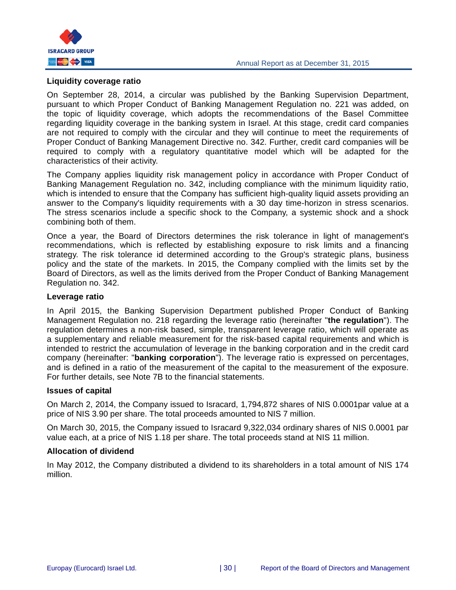



#### **Liquidity coverage ratio**

On September 28, 2014, a circular was published by the Banking Supervision Department, pursuant to which Proper Conduct of Banking Management Regulation no. 221 was added, on the topic of liquidity coverage, which adopts the recommendations of the Basel Committee regarding liquidity coverage in the banking system in Israel. At this stage, credit card companies are not required to comply with the circular and they will continue to meet the requirements of Proper Conduct of Banking Management Directive no. 342. Further, credit card companies will be required to comply with a regulatory quantitative model which will be adapted for the characteristics of their activity.

The Company applies liquidity risk management policy in accordance with Proper Conduct of Banking Management Regulation no. 342, including compliance with the minimum liquidity ratio, which is intended to ensure that the Company has sufficient high-quality liquid assets providing an answer to the Company's liquidity requirements with a 30 day time-horizon in stress scenarios. The stress scenarios include a specific shock to the Company, a systemic shock and a shock combining both of them.

Once a year, the Board of Directors determines the risk tolerance in light of management's recommendations, which is reflected by establishing exposure to risk limits and a financing strategy. The risk tolerance id determined according to the Group's strategic plans, business policy and the state of the markets. In 2015, the Company complied with the limits set by the Board of Directors, as well as the limits derived from the Proper Conduct of Banking Management Regulation no. 342.

#### **Leverage ratio**

In April 2015, the Banking Supervision Department published Proper Conduct of Banking Management Regulation no. 218 regarding the leverage ratio (hereinafter "**the regulation**"). The regulation determines a non-risk based, simple, transparent leverage ratio, which will operate as a supplementary and reliable measurement for the risk-based capital requirements and which is intended to restrict the accumulation of leverage in the banking corporation and in the credit card company (hereinafter: "**banking corporation**"). The leverage ratio is expressed on percentages, and is defined in a ratio of the measurement of the capital to the measurement of the exposure. For further details, see Note 7B to the financial statements.

#### **Issues of capital**

On March 2, 2014, the Company issued to Isracard, 1,794,872 shares of NIS 0.0001par value at a price of NIS 3.90 per share. The total proceeds amounted to NIS 7 million.

On March 30, 2015, the Company issued to Isracard 9,322,034 ordinary shares of NIS 0.0001 par value each, at a price of NIS 1.18 per share. The total proceeds stand at NIS 11 million.

#### **Allocation of dividend**

In May 2012, the Company distributed a dividend to its shareholders in a total amount of NIS 174 million.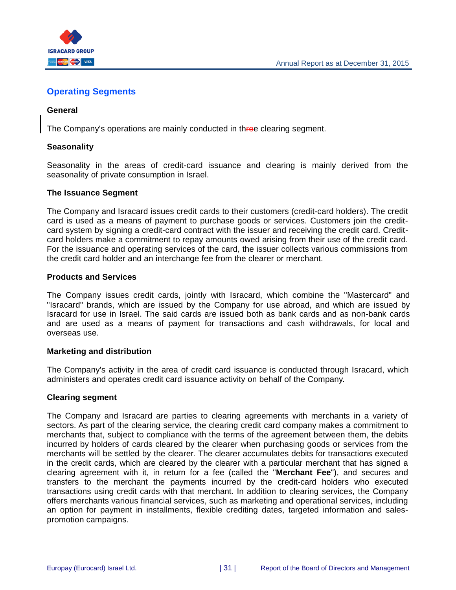

# **Operating Segments**

## **General**

The Company's operations are mainly conducted in three clearing segment.

## **Seasonality**

Seasonality in the areas of credit-card issuance and clearing is mainly derived from the seasonality of private consumption in Israel.

#### **The Issuance Segment**

The Company and Isracard issues credit cards to their customers (credit-card holders). The credit card is used as a means of payment to purchase goods or services. Customers join the creditcard system by signing a credit-card contract with the issuer and receiving the credit card. Creditcard holders make a commitment to repay amounts owed arising from their use of the credit card. For the issuance and operating services of the card, the issuer collects various commissions from the credit card holder and an interchange fee from the clearer or merchant.

#### **Products and Services**

The Company issues credit cards, jointly with Isracard, which combine the "Mastercard" and "Isracard" brands, which are issued by the Company for use abroad, and which are issued by Isracard for use in Israel. The said cards are issued both as bank cards and as non-bank cards and are used as a means of payment for transactions and cash withdrawals, for local and overseas use.

#### **Marketing and distribution**

The Company's activity in the area of credit card issuance is conducted through Isracard, which administers and operates credit card issuance activity on behalf of the Company.

#### **Clearing segment**

The Company and Isracard are parties to clearing agreements with merchants in a variety of sectors. As part of the clearing service, the clearing credit card company makes a commitment to merchants that, subject to compliance with the terms of the agreement between them, the debits incurred by holders of cards cleared by the clearer when purchasing goods or services from the merchants will be settled by the clearer. The clearer accumulates debits for transactions executed in the credit cards, which are cleared by the clearer with a particular merchant that has signed a clearing agreement with it, in return for a fee (called the "**Merchant Fee**"), and secures and transfers to the merchant the payments incurred by the credit-card holders who executed transactions using credit cards with that merchant. In addition to clearing services, the Company offers merchants various financial services, such as marketing and operational services, including an option for payment in installments, flexible crediting dates, targeted information and salespromotion campaigns.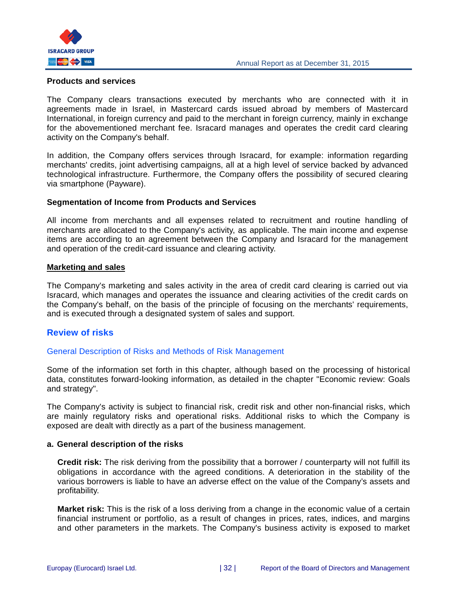

#### **Products and services**

The Company clears transactions executed by merchants who are connected with it in agreements made in Israel, in Mastercard cards issued abroad by members of Mastercard International, in foreign currency and paid to the merchant in foreign currency, mainly in exchange for the abovementioned merchant fee. Isracard manages and operates the credit card clearing activity on the Company's behalf.

In addition, the Company offers services through Isracard, for example: information regarding merchants' credits, joint advertising campaigns, all at a high level of service backed by advanced technological infrastructure. Furthermore, the Company offers the possibility of secured clearing via smartphone (Payware).

#### **Segmentation of Income from Products and Services**

All income from merchants and all expenses related to recruitment and routine handling of merchants are allocated to the Company's activity, as applicable. The main income and expense items are according to an agreement between the Company and Isracard for the management and operation of the credit-card issuance and clearing activity.

#### **Marketing and sales**

The Company's marketing and sales activity in the area of credit card clearing is carried out via Isracard, which manages and operates the issuance and clearing activities of the credit cards on the Company's behalf, on the basis of the principle of focusing on the merchants' requirements, and is executed through a designated system of sales and support.

## **Review of risks**

#### General Description of Risks and Methods of Risk Management

Some of the information set forth in this chapter, although based on the processing of historical data, constitutes forward-looking information, as detailed in the chapter "Economic review: Goals and strategy".

The Company's activity is subject to financial risk, credit risk and other non-financial risks, which are mainly regulatory risks and operational risks. Additional risks to which the Company is exposed are dealt with directly as a part of the business management.

#### **a. General description of the risks**

**Credit risk:** The risk deriving from the possibility that a borrower / counterparty will not fulfill its obligations in accordance with the agreed conditions. A deterioration in the stability of the various borrowers is liable to have an adverse effect on the value of the Company's assets and profitability.

**Market risk:** This is the risk of a loss deriving from a change in the economic value of a certain financial instrument or portfolio, as a result of changes in prices, rates, indices, and margins and other parameters in the markets. The Company's business activity is exposed to market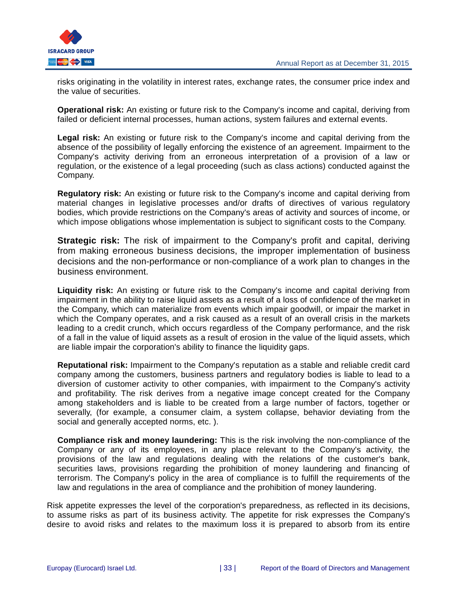

risks originating in the volatility in interest rates, exchange rates, the consumer price index and the value of securities.

**Operational risk:** An existing or future risk to the Company's income and capital, deriving from failed or deficient internal processes, human actions, system failures and external events.

**Legal risk:** An existing or future risk to the Company's income and capital deriving from the absence of the possibility of legally enforcing the existence of an agreement. Impairment to the Company's activity deriving from an erroneous interpretation of a provision of a law or regulation, or the existence of a legal proceeding (such as class actions) conducted against the Company.

**Regulatory risk:** An existing or future risk to the Company's income and capital deriving from material changes in legislative processes and/or drafts of directives of various regulatory bodies, which provide restrictions on the Company's areas of activity and sources of income, or which impose obligations whose implementation is subject to significant costs to the Company.

**Strategic risk:** The risk of impairment to the Company's profit and capital, deriving from making erroneous business decisions, the improper implementation of business decisions and the non-performance or non-compliance of a work plan to changes in the business environment.

**Liquidity risk:** An existing or future risk to the Company's income and capital deriving from impairment in the ability to raise liquid assets as a result of a loss of confidence of the market in the Company, which can materialize from events which impair goodwill, or impair the market in which the Company operates, and a risk caused as a result of an overall crisis in the markets leading to a credit crunch, which occurs regardless of the Company performance, and the risk of a fall in the value of liquid assets as a result of erosion in the value of the liquid assets, which are liable impair the corporation's ability to finance the liquidity gaps.

**Reputational risk:** Impairment to the Company's reputation as a stable and reliable credit card company among the customers, business partners and regulatory bodies is liable to lead to a diversion of customer activity to other companies, with impairment to the Company's activity and profitability. The risk derives from a negative image concept created for the Company among stakeholders and is liable to be created from a large number of factors, together or severally, (for example, a consumer claim, a system collapse, behavior deviating from the social and generally accepted norms, etc. ).

**Compliance risk and money laundering:** This is the risk involving the non-compliance of the Company or any of its employees, in any place relevant to the Company's activity, the provisions of the law and regulations dealing with the relations of the customer's bank, securities laws, provisions regarding the prohibition of money laundering and financing of terrorism. The Company's policy in the area of compliance is to fulfill the requirements of the law and regulations in the area of compliance and the prohibition of money laundering.

Risk appetite expresses the level of the corporation's preparedness, as reflected in its decisions, to assume risks as part of its business activity. The appetite for risk expresses the Company's desire to avoid risks and relates to the maximum loss it is prepared to absorb from its entire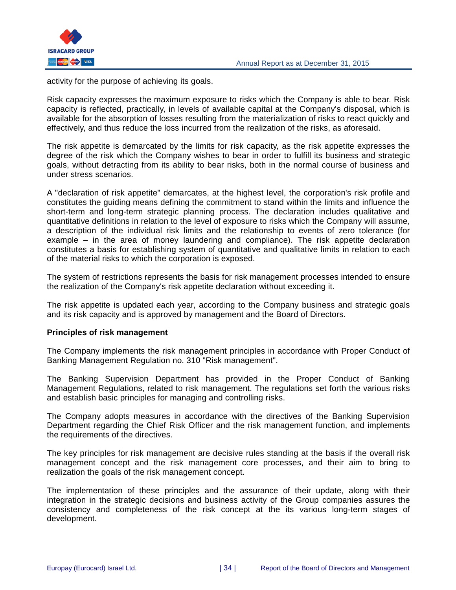activity for the purpose of achieving its goals.

Risk capacity expresses the maximum exposure to risks which the Company is able to bear. Risk capacity is reflected, practically, in levels of available capital at the Company's disposal, which is available for the absorption of losses resulting from the materialization of risks to react quickly and effectively, and thus reduce the loss incurred from the realization of the risks, as aforesaid.

The risk appetite is demarcated by the limits for risk capacity, as the risk appetite expresses the degree of the risk which the Company wishes to bear in order to fulfill its business and strategic goals, without detracting from its ability to bear risks, both in the normal course of business and under stress scenarios.

A "declaration of risk appetite" demarcates, at the highest level, the corporation's risk profile and constitutes the guiding means defining the commitment to stand within the limits and influence the short-term and long-term strategic planning process. The declaration includes qualitative and quantitative definitions in relation to the level of exposure to risks which the Company will assume, a description of the individual risk limits and the relationship to events of zero tolerance (for example – in the area of money laundering and compliance). The risk appetite declaration constitutes a basis for establishing system of quantitative and qualitative limits in relation to each of the material risks to which the corporation is exposed.

The system of restrictions represents the basis for risk management processes intended to ensure the realization of the Company's risk appetite declaration without exceeding it.

The risk appetite is updated each year, according to the Company business and strategic goals and its risk capacity and is approved by management and the Board of Directors.

## **Principles of risk management**

The Company implements the risk management principles in accordance with Proper Conduct of Banking Management Regulation no. 310 "Risk management".

The Banking Supervision Department has provided in the Proper Conduct of Banking Management Regulations, related to risk management. The regulations set forth the various risks and establish basic principles for managing and controlling risks.

The Company adopts measures in accordance with the directives of the Banking Supervision Department regarding the Chief Risk Officer and the risk management function, and implements the requirements of the directives.

The key principles for risk management are decisive rules standing at the basis if the overall risk management concept and the risk management core processes, and their aim to bring to realization the goals of the risk management concept.

The implementation of these principles and the assurance of their update, along with their integration in the strategic decisions and business activity of the Group companies assures the consistency and completeness of the risk concept at the its various long-term stages of development.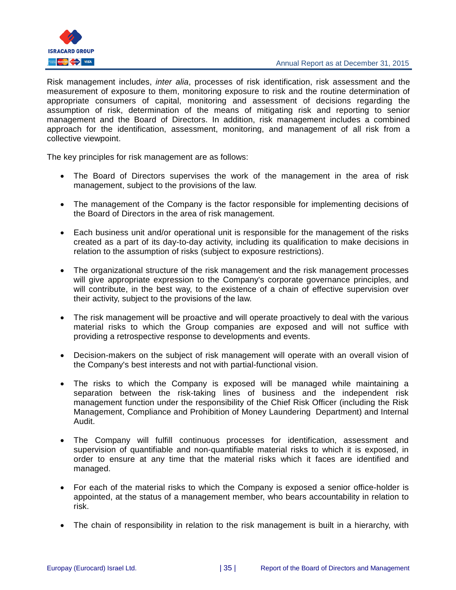

Risk management includes, *inter alia*, processes of risk identification, risk assessment and the measurement of exposure to them, monitoring exposure to risk and the routine determination of appropriate consumers of capital, monitoring and assessment of decisions regarding the assumption of risk, determination of the means of mitigating risk and reporting to senior management and the Board of Directors. In addition, risk management includes a combined approach for the identification, assessment, monitoring, and management of all risk from a collective viewpoint.

The key principles for risk management are as follows:

- The Board of Directors supervises the work of the management in the area of risk management, subject to the provisions of the law.
- The management of the Company is the factor responsible for implementing decisions of the Board of Directors in the area of risk management.
- Each business unit and/or operational unit is responsible for the management of the risks created as a part of its day-to-day activity, including its qualification to make decisions in relation to the assumption of risks (subject to exposure restrictions).
- The organizational structure of the risk management and the risk management processes will give appropriate expression to the Company's corporate governance principles, and will contribute, in the best way, to the existence of a chain of effective supervision over their activity, subject to the provisions of the law.
- The risk management will be proactive and will operate proactively to deal with the various material risks to which the Group companies are exposed and will not suffice with providing a retrospective response to developments and events.
- Decision-makers on the subject of risk management will operate with an overall vision of the Company's best interests and not with partial-functional vision.
- The risks to which the Company is exposed will be managed while maintaining a separation between the risk-taking lines of business and the independent risk management function under the responsibility of the Chief Risk Officer (including the Risk Management, Compliance and Prohibition of Money Laundering Department) and Internal Audit.
- The Company will fulfill continuous processes for identification, assessment and supervision of quantifiable and non-quantifiable material risks to which it is exposed, in order to ensure at any time that the material risks which it faces are identified and managed.
- For each of the material risks to which the Company is exposed a senior office-holder is appointed, at the status of a management member, who bears accountability in relation to risk.
- The chain of responsibility in relation to the risk management is built in a hierarchy, with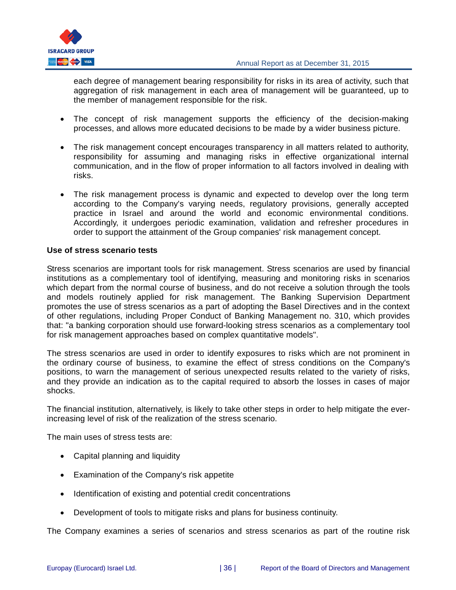

each degree of management bearing responsibility for risks in its area of activity, such that aggregation of risk management in each area of management will be guaranteed, up to the member of management responsible for the risk.

- The concept of risk management supports the efficiency of the decision-making processes, and allows more educated decisions to be made by a wider business picture.
- The risk management concept encourages transparency in all matters related to authority, responsibility for assuming and managing risks in effective organizational internal communication, and in the flow of proper information to all factors involved in dealing with risks.
- The risk management process is dynamic and expected to develop over the long term according to the Company's varying needs, regulatory provisions, generally accepted practice in Israel and around the world and economic environmental conditions. Accordingly, it undergoes periodic examination, validation and refresher procedures in order to support the attainment of the Group companies' risk management concept.

## **Use of stress scenario tests**

Stress scenarios are important tools for risk management. Stress scenarios are used by financial institutions as a complementary tool of identifying, measuring and monitoring risks in scenarios which depart from the normal course of business, and do not receive a solution through the tools and models routinely applied for risk management. The Banking Supervision Department promotes the use of stress scenarios as a part of adopting the Basel Directives and in the context of other regulations, including Proper Conduct of Banking Management no. 310, which provides that: "a banking corporation should use forward-looking stress scenarios as a complementary tool for risk management approaches based on complex quantitative models".

The stress scenarios are used in order to identify exposures to risks which are not prominent in the ordinary course of business, to examine the effect of stress conditions on the Company's positions, to warn the management of serious unexpected results related to the variety of risks, and they provide an indication as to the capital required to absorb the losses in cases of major shocks.

The financial institution, alternatively, is likely to take other steps in order to help mitigate the everincreasing level of risk of the realization of the stress scenario.

The main uses of stress tests are:

- Capital planning and liquidity
- Examination of the Company's risk appetite
- Identification of existing and potential credit concentrations
- Development of tools to mitigate risks and plans for business continuity.

The Company examines a series of scenarios and stress scenarios as part of the routine risk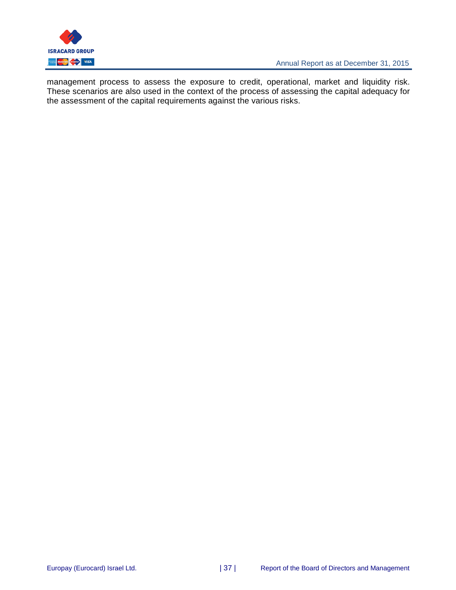

management process to assess the exposure to credit, operational, market and liquidity risk. These scenarios are also used in the context of the process of assessing the capital adequacy for the assessment of the capital requirements against the various risks.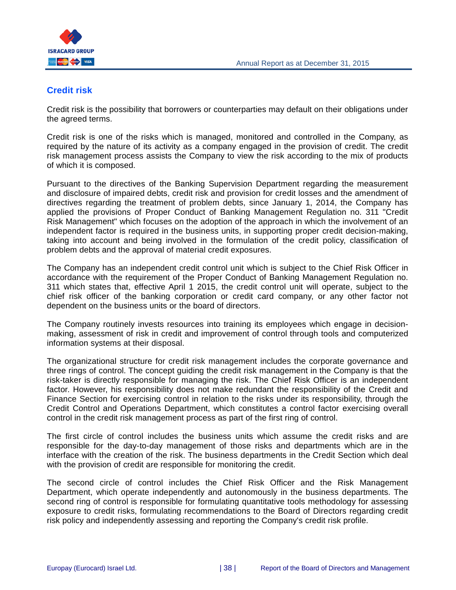

# **Credit risk**

Credit risk is the possibility that borrowers or counterparties may default on their obligations under the agreed terms.

Credit risk is one of the risks which is managed, monitored and controlled in the Company, as required by the nature of its activity as a company engaged in the provision of credit. The credit risk management process assists the Company to view the risk according to the mix of products of which it is composed.

Pursuant to the directives of the Banking Supervision Department regarding the measurement and disclosure of impaired debts, credit risk and provision for credit losses and the amendment of directives regarding the treatment of problem debts, since January 1, 2014, the Company has applied the provisions of Proper Conduct of Banking Management Regulation no. 311 "Credit Risk Management" which focuses on the adoption of the approach in which the involvement of an independent factor is required in the business units, in supporting proper credit decision-making, taking into account and being involved in the formulation of the credit policy, classification of problem debts and the approval of material credit exposures.

The Company has an independent credit control unit which is subject to the Chief Risk Officer in accordance with the requirement of the Proper Conduct of Banking Management Regulation no. 311 which states that, effective April 1 2015, the credit control unit will operate, subject to the chief risk officer of the banking corporation or credit card company, or any other factor not dependent on the business units or the board of directors.

The Company routinely invests resources into training its employees which engage in decisionmaking, assessment of risk in credit and improvement of control through tools and computerized information systems at their disposal.

The organizational structure for credit risk management includes the corporate governance and three rings of control. The concept guiding the credit risk management in the Company is that the risk-taker is directly responsible for managing the risk. The Chief Risk Officer is an independent factor. However, his responsibility does not make redundant the responsibility of the Credit and Finance Section for exercising control in relation to the risks under its responsibility, through the Credit Control and Operations Department, which constitutes a control factor exercising overall control in the credit risk management process as part of the first ring of control.

The first circle of control includes the business units which assume the credit risks and are responsible for the day-to-day management of those risks and departments which are in the interface with the creation of the risk. The business departments in the Credit Section which deal with the provision of credit are responsible for monitoring the credit.

The second circle of control includes the Chief Risk Officer and the Risk Management Department, which operate independently and autonomously in the business departments. The second ring of control is responsible for formulating quantitative tools methodology for assessing exposure to credit risks, formulating recommendations to the Board of Directors regarding credit risk policy and independently assessing and reporting the Company's credit risk profile.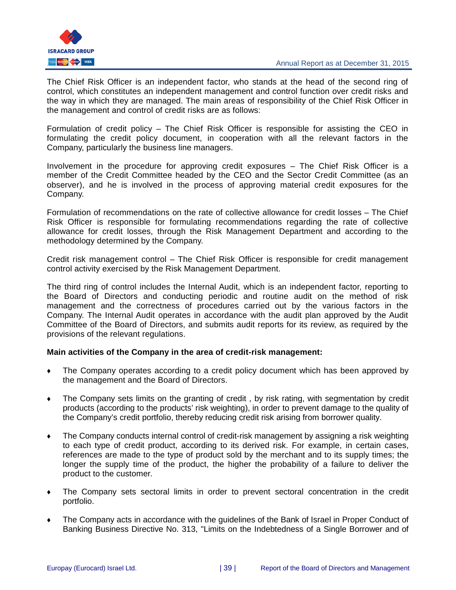

The Chief Risk Officer is an independent factor, who stands at the head of the second ring of control, which constitutes an independent management and control function over credit risks and the way in which they are managed. The main areas of responsibility of the Chief Risk Officer in the management and control of credit risks are as follows:

Formulation of credit policy – The Chief Risk Officer is responsible for assisting the CEO in formulating the credit policy document, in cooperation with all the relevant factors in the Company, particularly the business line managers.

Involvement in the procedure for approving credit exposures – The Chief Risk Officer is a member of the Credit Committee headed by the CEO and the Sector Credit Committee (as an observer), and he is involved in the process of approving material credit exposures for the Company.

Formulation of recommendations on the rate of collective allowance for credit losses – The Chief Risk Officer is responsible for formulating recommendations regarding the rate of collective allowance for credit losses, through the Risk Management Department and according to the methodology determined by the Company.

Credit risk management control – The Chief Risk Officer is responsible for credit management control activity exercised by the Risk Management Department.

The third ring of control includes the Internal Audit, which is an independent factor, reporting to the Board of Directors and conducting periodic and routine audit on the method of risk management and the correctness of procedures carried out by the various factors in the Company. The Internal Audit operates in accordance with the audit plan approved by the Audit Committee of the Board of Directors, and submits audit reports for its review, as required by the provisions of the relevant regulations.

### **Main activities of the Company in the area of credit-risk management:**

- The Company operates according to a credit policy document which has been approved by the management and the Board of Directors.
- The Company sets limits on the granting of credit, by risk rating, with segmentation by credit products (according to the products' risk weighting), in order to prevent damage to the quality of the Company's credit portfolio, thereby reducing credit risk arising from borrower quality.
- ♦ The Company conducts internal control of credit-risk management by assigning a risk weighting to each type of credit product, according to its derived risk. For example, in certain cases, references are made to the type of product sold by the merchant and to its supply times; the longer the supply time of the product, the higher the probability of a failure to deliver the product to the customer.
- ♦ The Company sets sectoral limits in order to prevent sectoral concentration in the credit portfolio.
- ♦ The Company acts in accordance with the guidelines of the Bank of Israel in Proper Conduct of Banking Business Directive No. 313, "Limits on the Indebtedness of a Single Borrower and of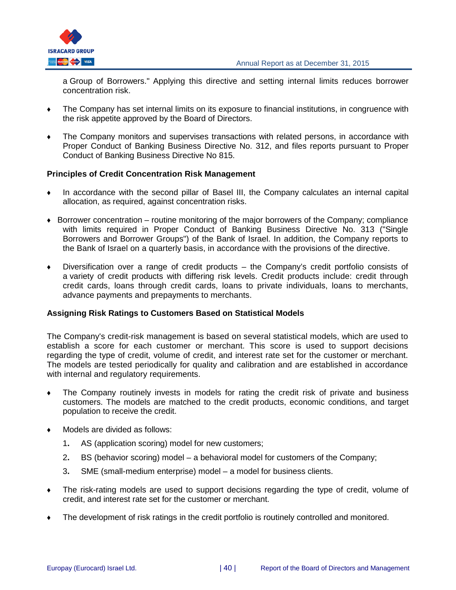

a Group of Borrowers." Applying this directive and setting internal limits reduces borrower concentration risk.

- ♦ The Company has set internal limits on its exposure to financial institutions, in congruence with the risk appetite approved by the Board of Directors.
- ♦ The Company monitors and supervises transactions with related persons, in accordance with Proper Conduct of Banking Business Directive No. 312, and files reports pursuant to Proper Conduct of Banking Business Directive No 815.

### **Principles of Credit Concentration Risk Management**

- ♦ In accordance with the second pillar of Basel III, the Company calculates an internal capital allocation, as required, against concentration risks.
- $\bullet$  Borrower concentration routine monitoring of the major borrowers of the Company; compliance with limits required in Proper Conduct of Banking Business Directive No. 313 ("Single Borrowers and Borrower Groups") of the Bank of Israel. In addition, the Company reports to the Bank of Israel on a quarterly basis, in accordance with the provisions of the directive.
- ♦ Diversification over a range of credit products the Company's credit portfolio consists of a variety of credit products with differing risk levels. Credit products include: credit through credit cards, loans through credit cards, loans to private individuals, loans to merchants, advance payments and prepayments to merchants.

### **Assigning Risk Ratings to Customers Based on Statistical Models**

The Company's credit-risk management is based on several statistical models, which are used to establish a score for each customer or merchant. This score is used to support decisions regarding the type of credit, volume of credit, and interest rate set for the customer or merchant. The models are tested periodically for quality and calibration and are established in accordance with internal and regulatory requirements.

- ♦ The Company routinely invests in models for rating the credit risk of private and business customers. The models are matched to the credit products, economic conditions, and target population to receive the credit.
- ♦ Models are divided as follows:
	- 1**.** AS (application scoring) model for new customers;
	- 2**.** BS (behavior scoring) model a behavioral model for customers of the Company;
	- 3**.** SME (small-medium enterprise) model a model for business clients.
- The risk-rating models are used to support decisions regarding the type of credit, volume of credit, and interest rate set for the customer or merchant.
- ♦ The development of risk ratings in the credit portfolio is routinely controlled and monitored.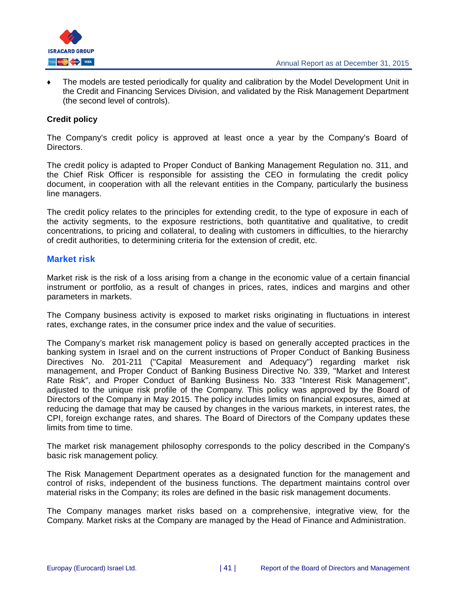

♦ The models are tested periodically for quality and calibration by the Model Development Unit in the Credit and Financing Services Division, and validated by the Risk Management Department (the second level of controls).

## **Credit policy**

The Company's credit policy is approved at least once a year by the Company's Board of Directors.

The credit policy is adapted to Proper Conduct of Banking Management Regulation no. 311, and the Chief Risk Officer is responsible for assisting the CEO in formulating the credit policy document, in cooperation with all the relevant entities in the Company, particularly the business line managers.

The credit policy relates to the principles for extending credit, to the type of exposure in each of the activity segments, to the exposure restrictions, both quantitative and qualitative, to credit concentrations, to pricing and collateral, to dealing with customers in difficulties, to the hierarchy of credit authorities, to determining criteria for the extension of credit, etc.

### **Market risk**

Market risk is the risk of a loss arising from a change in the economic value of a certain financial instrument or portfolio, as a result of changes in prices, rates, indices and margins and other parameters in markets.

The Company business activity is exposed to market risks originating in fluctuations in interest rates, exchange rates, in the consumer price index and the value of securities.

The Company's market risk management policy is based on generally accepted practices in the banking system in Israel and on the current instructions of Proper Conduct of Banking Business Directives No. 201-211 ("Capital Measurement and Adequacy") regarding market risk management, and Proper Conduct of Banking Business Directive No. 339, "Market and Interest Rate Risk", and Proper Conduct of Banking Business No. 333 "Interest Risk Management", adjusted to the unique risk profile of the Company. This policy was approved by the Board of Directors of the Company in May 2015. The policy includes limits on financial exposures, aimed at reducing the damage that may be caused by changes in the various markets, in interest rates, the CPI, foreign exchange rates, and shares. The Board of Directors of the Company updates these limits from time to time.

The market risk management philosophy corresponds to the policy described in the Company's basic risk management policy.

The Risk Management Department operates as a designated function for the management and control of risks, independent of the business functions. The department maintains control over material risks in the Company; its roles are defined in the basic risk management documents.

The Company manages market risks based on a comprehensive, integrative view, for the Company. Market risks at the Company are managed by the Head of Finance and Administration.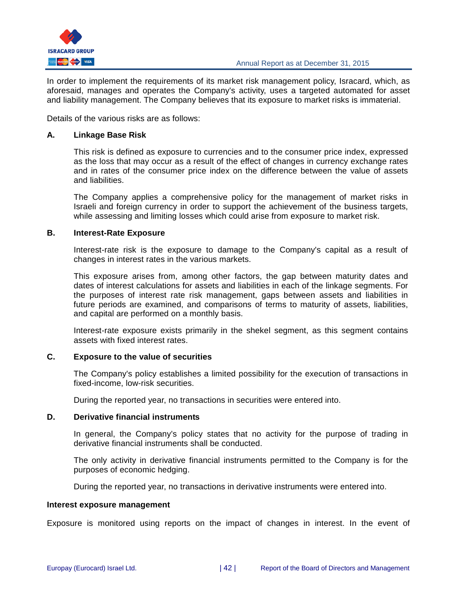

In order to implement the requirements of its market risk management policy, Isracard, which, as aforesaid, manages and operates the Company's activity, uses a targeted automated for asset and liability management. The Company believes that its exposure to market risks is immaterial.

Details of the various risks are as follows:

### **A. Linkage Base Risk**

This risk is defined as exposure to currencies and to the consumer price index, expressed as the loss that may occur as a result of the effect of changes in currency exchange rates and in rates of the consumer price index on the difference between the value of assets and liabilities.

The Company applies a comprehensive policy for the management of market risks in Israeli and foreign currency in order to support the achievement of the business targets, while assessing and limiting losses which could arise from exposure to market risk.

#### **B. Interest-Rate Exposure**

Interest-rate risk is the exposure to damage to the Company's capital as a result of changes in interest rates in the various markets.

This exposure arises from, among other factors, the gap between maturity dates and dates of interest calculations for assets and liabilities in each of the linkage segments. For the purposes of interest rate risk management, gaps between assets and liabilities in future periods are examined, and comparisons of terms to maturity of assets, liabilities, and capital are performed on a monthly basis.

Interest-rate exposure exists primarily in the shekel segment, as this segment contains assets with fixed interest rates.

#### **C. Exposure to the value of securities**

The Company's policy establishes a limited possibility for the execution of transactions in fixed-income, low-risk securities.

During the reported year, no transactions in securities were entered into.

#### **D. Derivative financial instruments**

In general, the Company's policy states that no activity for the purpose of trading in derivative financial instruments shall be conducted.

The only activity in derivative financial instruments permitted to the Company is for the purposes of economic hedging.

During the reported year, no transactions in derivative instruments were entered into.

#### **Interest exposure management**

Exposure is monitored using reports on the impact of changes in interest. In the event of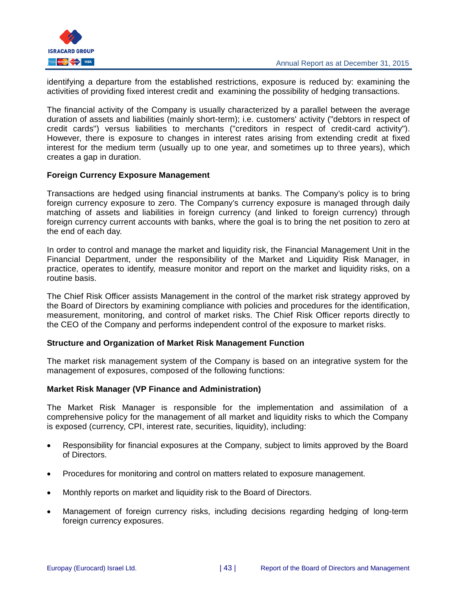

identifying a departure from the established restrictions, exposure is reduced by: examining the activities of providing fixed interest credit and examining the possibility of hedging transactions.

The financial activity of the Company is usually characterized by a parallel between the average duration of assets and liabilities (mainly short-term); i.e. customers' activity ("debtors in respect of credit cards") versus liabilities to merchants ("creditors in respect of credit-card activity"). However, there is exposure to changes in interest rates arising from extending credit at fixed interest for the medium term (usually up to one year, and sometimes up to three years), which creates a gap in duration.

#### **Foreign Currency Exposure Management**

Transactions are hedged using financial instruments at banks. The Company's policy is to bring foreign currency exposure to zero. The Company's currency exposure is managed through daily matching of assets and liabilities in foreign currency (and linked to foreign currency) through foreign currency current accounts with banks, where the goal is to bring the net position to zero at the end of each day.

In order to control and manage the market and liquidity risk, the Financial Management Unit in the Financial Department, under the responsibility of the Market and Liquidity Risk Manager, in practice, operates to identify, measure monitor and report on the market and liquidity risks, on a routine basis.

The Chief Risk Officer assists Management in the control of the market risk strategy approved by the Board of Directors by examining compliance with policies and procedures for the identification, measurement, monitoring, and control of market risks. The Chief Risk Officer reports directly to the CEO of the Company and performs independent control of the exposure to market risks.

#### **Structure and Organization of Market Risk Management Function**

The market risk management system of the Company is based on an integrative system for the management of exposures, composed of the following functions:

#### **Market Risk Manager (VP Finance and Administration)**

The Market Risk Manager is responsible for the implementation and assimilation of a comprehensive policy for the management of all market and liquidity risks to which the Company is exposed (currency, CPI, interest rate, securities, liquidity), including:

- Responsibility for financial exposures at the Company, subject to limits approved by the Board of Directors.
- Procedures for monitoring and control on matters related to exposure management.
- Monthly reports on market and liquidity risk to the Board of Directors.
- Management of foreign currency risks, including decisions regarding hedging of long-term foreign currency exposures.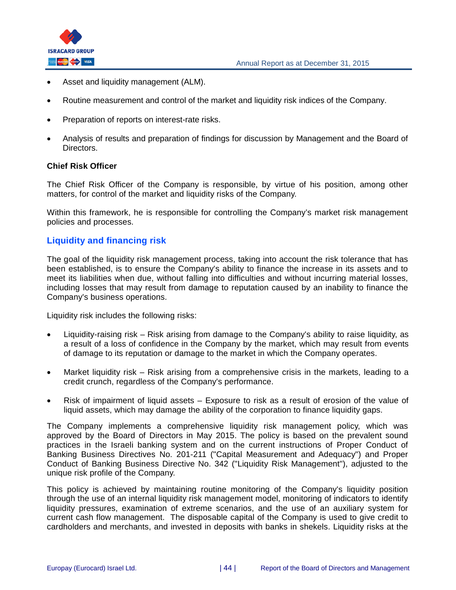

- Asset and liquidity management (ALM).
- Routine measurement and control of the market and liquidity risk indices of the Company.
- Preparation of reports on interest-rate risks.
- Analysis of results and preparation of findings for discussion by Management and the Board of Directors.

#### **Chief Risk Officer**

The Chief Risk Officer of the Company is responsible, by virtue of his position, among other matters, for control of the market and liquidity risks of the Company.

Within this framework, he is responsible for controlling the Company's market risk management policies and processes.

### **Liquidity and financing risk**

The goal of the liquidity risk management process, taking into account the risk tolerance that has been established, is to ensure the Company's ability to finance the increase in its assets and to meet its liabilities when due, without falling into difficulties and without incurring material losses, including losses that may result from damage to reputation caused by an inability to finance the Company's business operations.

Liquidity risk includes the following risks:

- Liquidity-raising risk Risk arising from damage to the Company's ability to raise liquidity, as a result of a loss of confidence in the Company by the market, which may result from events of damage to its reputation or damage to the market in which the Company operates.
- Market liquidity risk Risk arising from a comprehensive crisis in the markets, leading to a credit crunch, regardless of the Company's performance.
- Risk of impairment of liquid assets Exposure to risk as a result of erosion of the value of liquid assets, which may damage the ability of the corporation to finance liquidity gaps.

The Company implements a comprehensive liquidity risk management policy, which was approved by the Board of Directors in May 2015. The policy is based on the prevalent sound practices in the Israeli banking system and on the current instructions of Proper Conduct of Banking Business Directives No. 201-211 ("Capital Measurement and Adequacy") and Proper Conduct of Banking Business Directive No. 342 ("Liquidity Risk Management"), adjusted to the unique risk profile of the Company.

This policy is achieved by maintaining routine monitoring of the Company's liquidity position through the use of an internal liquidity risk management model, monitoring of indicators to identify liquidity pressures, examination of extreme scenarios, and the use of an auxiliary system for current cash flow management. The disposable capital of the Company is used to give credit to cardholders and merchants, and invested in deposits with banks in shekels. Liquidity risks at the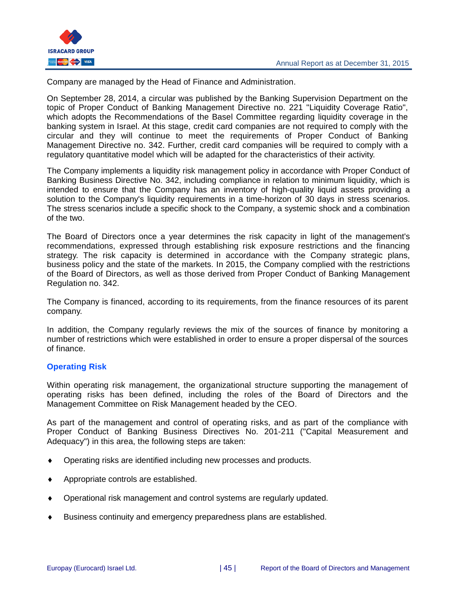

Company are managed by the Head of Finance and Administration.

On September 28, 2014, a circular was published by the Banking Supervision Department on the topic of Proper Conduct of Banking Management Directive no. 221 "Liquidity Coverage Ratio", which adopts the Recommendations of the Basel Committee regarding liquidity coverage in the banking system in Israel. At this stage, credit card companies are not required to comply with the circular and they will continue to meet the requirements of Proper Conduct of Banking Management Directive no. 342. Further, credit card companies will be required to comply with a regulatory quantitative model which will be adapted for the characteristics of their activity.

The Company implements a liquidity risk management policy in accordance with Proper Conduct of Banking Business Directive No. 342, including compliance in relation to minimum liquidity, which is intended to ensure that the Company has an inventory of high-quality liquid assets providing a solution to the Company's liquidity requirements in a time-horizon of 30 days in stress scenarios. The stress scenarios include a specific shock to the Company, a systemic shock and a combination of the two.

The Board of Directors once a year determines the risk capacity in light of the management's recommendations, expressed through establishing risk exposure restrictions and the financing strategy. The risk capacity is determined in accordance with the Company strategic plans, business policy and the state of the markets. In 2015, the Company complied with the restrictions of the Board of Directors, as well as those derived from Proper Conduct of Banking Management Regulation no. 342.

The Company is financed, according to its requirements, from the finance resources of its parent company.

In addition, the Company regularly reviews the mix of the sources of finance by monitoring a number of restrictions which were established in order to ensure a proper dispersal of the sources of finance.

### **Operating Risk**

Within operating risk management, the organizational structure supporting the management of operating risks has been defined, including the roles of the Board of Directors and the Management Committee on Risk Management headed by the CEO.

As part of the management and control of operating risks, and as part of the compliance with Proper Conduct of Banking Business Directives No. 201-211 ("Capital Measurement and Adequacy") in this area, the following steps are taken:

- ♦ Operating risks are identified including new processes and products.
- Appropriate controls are established.
- Operational risk management and control systems are regularly updated.
- ♦ Business continuity and emergency preparedness plans are established.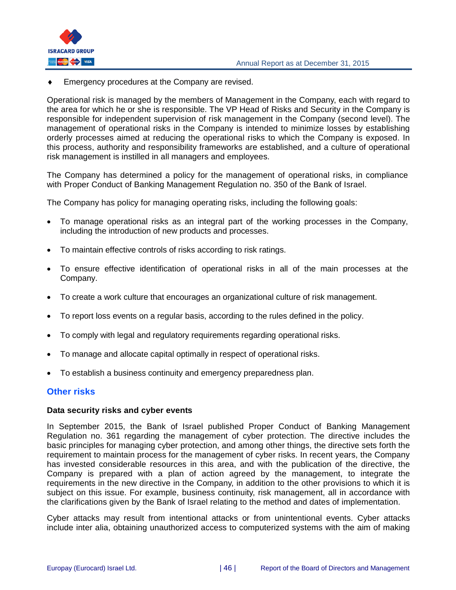

Emergency procedures at the Company are revised.

Operational risk is managed by the members of Management in the Company, each with regard to the area for which he or she is responsible. The VP Head of Risks and Security in the Company is responsible for independent supervision of risk management in the Company (second level). The management of operational risks in the Company is intended to minimize losses by establishing orderly processes aimed at reducing the operational risks to which the Company is exposed. In this process, authority and responsibility frameworks are established, and a culture of operational risk management is instilled in all managers and employees.

The Company has determined a policy for the management of operational risks, in compliance with Proper Conduct of Banking Management Regulation no. 350 of the Bank of Israel.

The Company has policy for managing operating risks, including the following goals:

- To manage operational risks as an integral part of the working processes in the Company, including the introduction of new products and processes.
- To maintain effective controls of risks according to risk ratings.
- To ensure effective identification of operational risks in all of the main processes at the Company.
- To create a work culture that encourages an organizational culture of risk management.
- To report loss events on a regular basis, according to the rules defined in the policy.
- To comply with legal and regulatory requirements regarding operational risks.
- To manage and allocate capital optimally in respect of operational risks.
- To establish a business continuity and emergency preparedness plan.

### **Other risks**

#### **Data security risks and cyber events**

In September 2015, the Bank of Israel published Proper Conduct of Banking Management Regulation no. 361 regarding the management of cyber protection. The directive includes the basic principles for managing cyber protection, and among other things, the directive sets forth the requirement to maintain process for the management of cyber risks. In recent years, the Company has invested considerable resources in this area, and with the publication of the directive, the Company is prepared with a plan of action agreed by the management, to integrate the requirements in the new directive in the Company, in addition to the other provisions to which it is subject on this issue. For example, business continuity, risk management, all in accordance with the clarifications given by the Bank of Israel relating to the method and dates of implementation.

Cyber attacks may result from intentional attacks or from unintentional events. Cyber attacks include inter alia, obtaining unauthorized access to computerized systems with the aim of making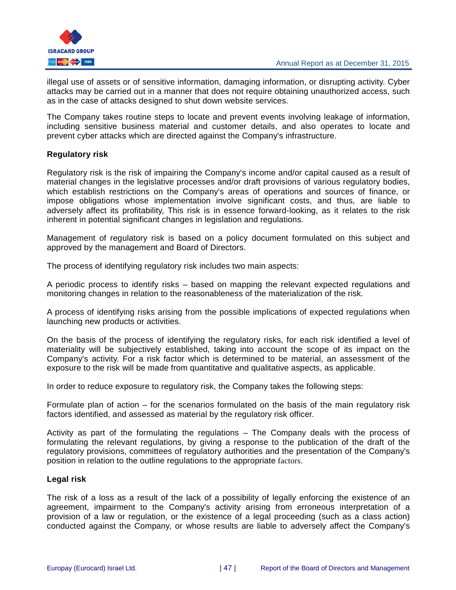

illegal use of assets or of sensitive information, damaging information, or disrupting activity. Cyber attacks may be carried out in a manner that does not require obtaining unauthorized access, such as in the case of attacks designed to shut down website services.

The Company takes routine steps to locate and prevent events involving leakage of information, including sensitive business material and customer details, and also operates to locate and prevent cyber attacks which are directed against the Company's infrastructure.

### **Regulatory risk**

Regulatory risk is the risk of impairing the Company's income and/or capital caused as a result of material changes in the legislative processes and/or draft provisions of various regulatory bodies, which establish restrictions on the Company's areas of operations and sources of finance, or impose obligations whose implementation involve significant costs, and thus, are liable to adversely affect its profitability, This risk is in essence forward-looking, as it relates to the risk inherent in potential significant changes in legislation and regulations.

Management of regulatory risk is based on a policy document formulated on this subject and approved by the management and Board of Directors.

The process of identifying regulatory risk includes two main aspects:

A periodic process to identify risks – based on mapping the relevant expected regulations and monitoring changes in relation to the reasonableness of the materialization of the risk.

A process of identifying risks arising from the possible implications of expected regulations when launching new products or activities.

On the basis of the process of identifying the regulatory risks, for each risk identified a level of materiality will be subjectively established, taking into account the scope of its impact on the Company's activity. For a risk factor which is determined to be material, an assessment of the exposure to the risk will be made from quantitative and qualitative aspects, as applicable.

In order to reduce exposure to regulatory risk, the Company takes the following steps:

Formulate plan of action – for the scenarios formulated on the basis of the main regulatory risk factors identified, and assessed as material by the regulatory risk officer.

Activity as part of the formulating the regulations – The Company deals with the process of formulating the relevant regulations, by giving a response to the publication of the draft of the regulatory provisions, committees of regulatory authorities and the presentation of the Company's position in relation to the outline regulations to the appropriate factors.

### **Legal risk**

The risk of a loss as a result of the lack of a possibility of legally enforcing the existence of an agreement, impairment to the Company's activity arising from erroneous interpretation of a provision of a law or regulation, or the existence of a legal proceeding (such as a class action) conducted against the Company, or whose results are liable to adversely affect the Company's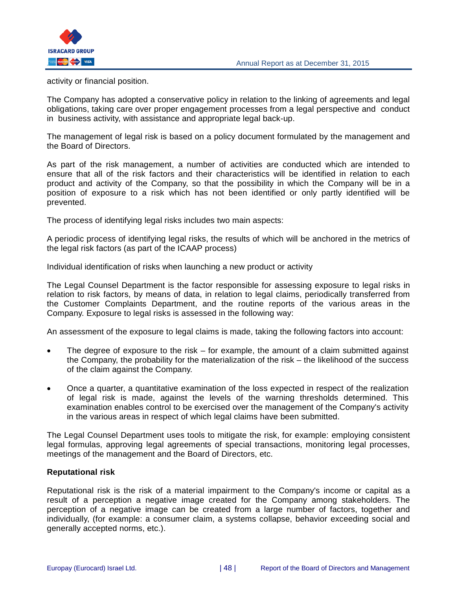

activity or financial position.

The Company has adopted a conservative policy in relation to the linking of agreements and legal obligations, taking care over proper engagement processes from a legal perspective and conduct in business activity, with assistance and appropriate legal back-up.

The management of legal risk is based on a policy document formulated by the management and the Board of Directors.

As part of the risk management, a number of activities are conducted which are intended to ensure that all of the risk factors and their characteristics will be identified in relation to each product and activity of the Company, so that the possibility in which the Company will be in a position of exposure to a risk which has not been identified or only partly identified will be prevented.

The process of identifying legal risks includes two main aspects:

A periodic process of identifying legal risks, the results of which will be anchored in the metrics of the legal risk factors (as part of the ICAAP process)

Individual identification of risks when launching a new product or activity

The Legal Counsel Department is the factor responsible for assessing exposure to legal risks in relation to risk factors, by means of data, in relation to legal claims, periodically transferred from the Customer Complaints Department, and the routine reports of the various areas in the Company. Exposure to legal risks is assessed in the following way:

An assessment of the exposure to legal claims is made, taking the following factors into account:

- The degree of exposure to the risk for example, the amount of a claim submitted against the Company, the probability for the materialization of the risk – the likelihood of the success of the claim against the Company.
- Once a quarter, a quantitative examination of the loss expected in respect of the realization of legal risk is made, against the levels of the warning thresholds determined. This examination enables control to be exercised over the management of the Company's activity in the various areas in respect of which legal claims have been submitted.

The Legal Counsel Department uses tools to mitigate the risk, for example: employing consistent legal formulas, approving legal agreements of special transactions, monitoring legal processes, meetings of the management and the Board of Directors, etc.

### **Reputational risk**

Reputational risk is the risk of a material impairment to the Company's income or capital as a result of a perception a negative image created for the Company among stakeholders. The perception of a negative image can be created from a large number of factors, together and individually, (for example: a consumer claim, a systems collapse, behavior exceeding social and generally accepted norms, etc.).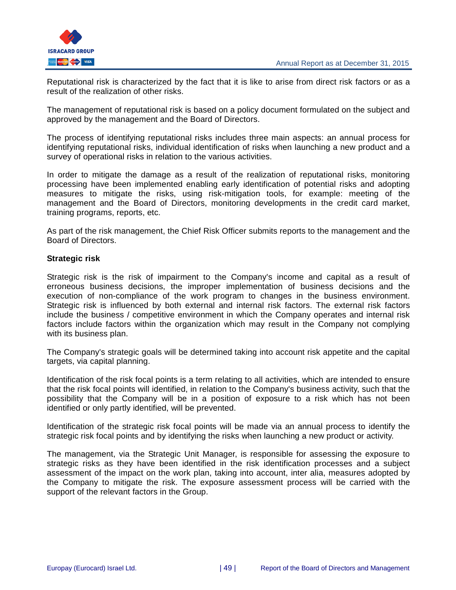

Reputational risk is characterized by the fact that it is like to arise from direct risk factors or as a result of the realization of other risks.

The management of reputational risk is based on a policy document formulated on the subject and approved by the management and the Board of Directors.

The process of identifying reputational risks includes three main aspects: an annual process for identifying reputational risks, individual identification of risks when launching a new product and a survey of operational risks in relation to the various activities.

In order to mitigate the damage as a result of the realization of reputational risks, monitoring processing have been implemented enabling early identification of potential risks and adopting measures to mitigate the risks, using risk-mitigation tools, for example: meeting of the management and the Board of Directors, monitoring developments in the credit card market, training programs, reports, etc.

As part of the risk management, the Chief Risk Officer submits reports to the management and the Board of Directors.

#### **Strategic risk**

Strategic risk is the risk of impairment to the Company's income and capital as a result of erroneous business decisions, the improper implementation of business decisions and the execution of non-compliance of the work program to changes in the business environment. Strategic risk is influenced by both external and internal risk factors. The external risk factors include the business / competitive environment in which the Company operates and internal risk factors include factors within the organization which may result in the Company not complying with its business plan.

The Company's strategic goals will be determined taking into account risk appetite and the capital targets, via capital planning.

Identification of the risk focal points is a term relating to all activities, which are intended to ensure that the risk focal points will identified, in relation to the Company's business activity, such that the possibility that the Company will be in a position of exposure to a risk which has not been identified or only partly identified, will be prevented.

Identification of the strategic risk focal points will be made via an annual process to identify the strategic risk focal points and by identifying the risks when launching a new product or activity.

The management, via the Strategic Unit Manager, is responsible for assessing the exposure to strategic risks as they have been identified in the risk identification processes and a subject assessment of the impact on the work plan, taking into account, inter alia, measures adopted by the Company to mitigate the risk. The exposure assessment process will be carried with the support of the relevant factors in the Group.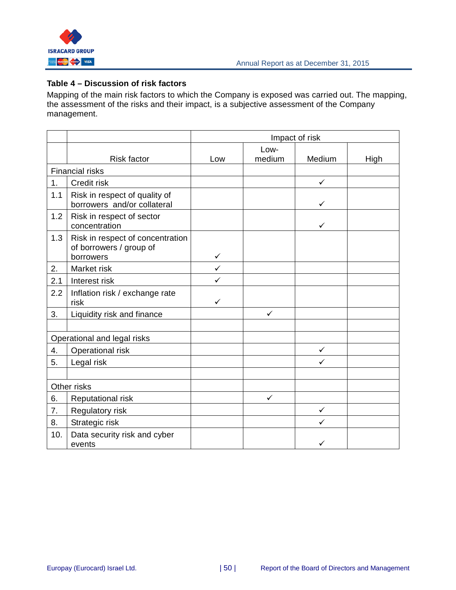

### **Table 4 – Discussion of risk factors**

Mapping of the main risk factors to which the Company is exposed was carried out. The mapping, the assessment of the risks and their impact, is a subjective assessment of the Company management.

|                             |                                                                          | Impact of risk |                |              |      |
|-----------------------------|--------------------------------------------------------------------------|----------------|----------------|--------------|------|
|                             | <b>Risk factor</b>                                                       | Low            | Low-<br>medium | Medium       | High |
|                             | <b>Financial risks</b>                                                   |                |                |              |      |
| 1.                          | Credit risk                                                              |                |                | $\checkmark$ |      |
| 1.1                         | Risk in respect of quality of<br>borrowers and/or collateral             |                |                | ✓            |      |
| 1.2                         | Risk in respect of sector<br>concentration                               |                |                | ✓            |      |
| 1.3                         | Risk in respect of concentration<br>of borrowers / group of<br>borrowers | ✓              |                |              |      |
| 2.                          | Market risk                                                              | $\checkmark$   |                |              |      |
| 2.1                         | Interest risk                                                            | ✓              |                |              |      |
| 2.2                         | Inflation risk / exchange rate<br>risk                                   | $\checkmark$   |                |              |      |
| 3.                          | Liquidity risk and finance                                               |                | $\checkmark$   |              |      |
| Operational and legal risks |                                                                          |                |                |              |      |
| 4.                          | Operational risk                                                         |                |                | $\checkmark$ |      |
| 5.                          | Legal risk                                                               |                |                | $\checkmark$ |      |
|                             |                                                                          |                |                |              |      |
| Other risks                 |                                                                          |                |                |              |      |
| 6.                          | Reputational risk                                                        |                | $\checkmark$   |              |      |
| 7.                          | Regulatory risk                                                          |                |                | $\checkmark$ |      |
| 8.                          | Strategic risk                                                           |                |                | ✓            |      |
| 10.                         | Data security risk and cyber<br>events                                   |                |                | ✓            |      |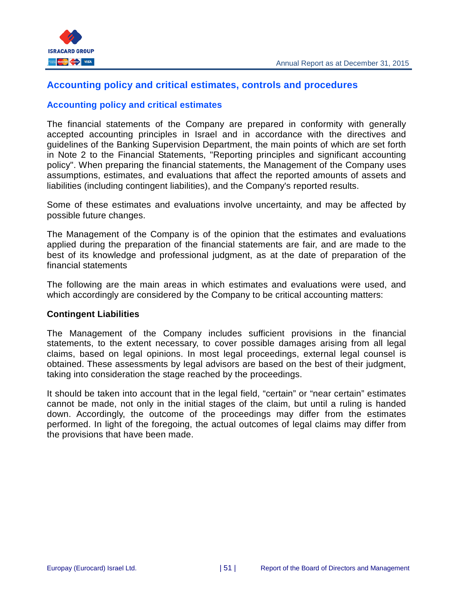

# **Accounting policy and critical estimates, controls and procedures**

# **Accounting policy and critical estimates**

The financial statements of the Company are prepared in conformity with generally accepted accounting principles in Israel and in accordance with the directives and guidelines of the Banking Supervision Department, the main points of which are set forth in Note 2 to the Financial Statements, "Reporting principles and significant accounting policy". When preparing the financial statements, the Management of the Company uses assumptions, estimates, and evaluations that affect the reported amounts of assets and liabilities (including contingent liabilities), and the Company's reported results.

Some of these estimates and evaluations involve uncertainty, and may be affected by possible future changes.

The Management of the Company is of the opinion that the estimates and evaluations applied during the preparation of the financial statements are fair, and are made to the best of its knowledge and professional judgment, as at the date of preparation of the financial statements

The following are the main areas in which estimates and evaluations were used, and which accordingly are considered by the Company to be critical accounting matters:

### **Contingent Liabilities**

The Management of the Company includes sufficient provisions in the financial statements, to the extent necessary, to cover possible damages arising from all legal claims, based on legal opinions. In most legal proceedings, external legal counsel is obtained. These assessments by legal advisors are based on the best of their judgment, taking into consideration the stage reached by the proceedings.

It should be taken into account that in the legal field, "certain" or "near certain" estimates cannot be made, not only in the initial stages of the claim, but until a ruling is handed down. Accordingly, the outcome of the proceedings may differ from the estimates performed. In light of the foregoing, the actual outcomes of legal claims may differ from the provisions that have been made.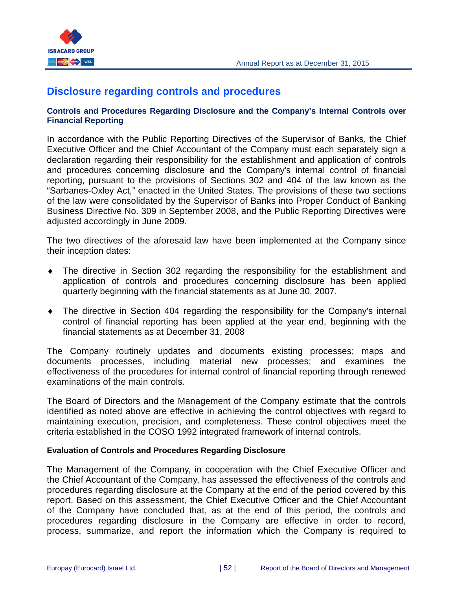

# **Disclosure regarding controls and procedures**

### **Controls and Procedures Regarding Disclosure and the Company's Internal Controls over Financial Reporting**

In accordance with the Public Reporting Directives of the Supervisor of Banks, the Chief Executive Officer and the Chief Accountant of the Company must each separately sign a declaration regarding their responsibility for the establishment and application of controls and procedures concerning disclosure and the Company's internal control of financial reporting, pursuant to the provisions of Sections 302 and 404 of the law known as the "Sarbanes-Oxley Act," enacted in the United States. The provisions of these two sections of the law were consolidated by the Supervisor of Banks into Proper Conduct of Banking Business Directive No. 309 in September 2008, and the Public Reporting Directives were adjusted accordingly in June 2009.

The two directives of the aforesaid law have been implemented at the Company since their inception dates:

- ♦ The directive in Section 302 regarding the responsibility for the establishment and application of controls and procedures concerning disclosure has been applied quarterly beginning with the financial statements as at June 30, 2007.
- ♦ The directive in Section 404 regarding the responsibility for the Company's internal control of financial reporting has been applied at the year end, beginning with the financial statements as at December 31, 2008

The Company routinely updates and documents existing processes; maps and documents processes, including material new processes; and examines the effectiveness of the procedures for internal control of financial reporting through renewed examinations of the main controls.

The Board of Directors and the Management of the Company estimate that the controls identified as noted above are effective in achieving the control objectives with regard to maintaining execution, precision, and completeness. These control objectives meet the criteria established in the COSO 1992 integrated framework of internal controls.

### **Evaluation of Controls and Procedures Regarding Disclosure**

The Management of the Company, in cooperation with the Chief Executive Officer and the Chief Accountant of the Company, has assessed the effectiveness of the controls and procedures regarding disclosure at the Company at the end of the period covered by this report. Based on this assessment, the Chief Executive Officer and the Chief Accountant of the Company have concluded that, as at the end of this period, the controls and procedures regarding disclosure in the Company are effective in order to record, process, summarize, and report the information which the Company is required to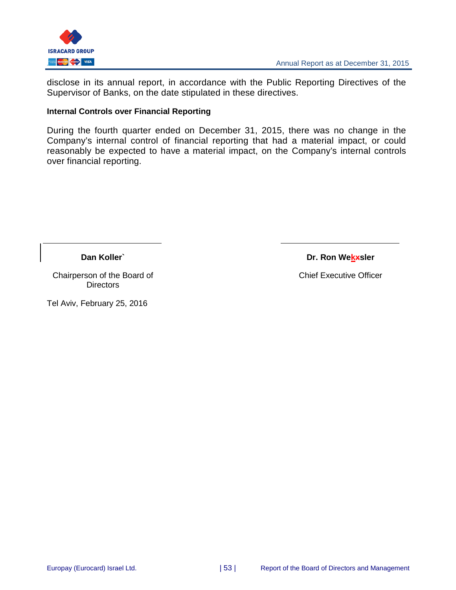

disclose in its annual report, in accordance with the Public Reporting Directives of the Supervisor of Banks, on the date stipulated in these directives.

## **Internal Controls over Financial Reporting**

During the fourth quarter ended on December 31, 2015, there was no change in the Company's internal control of financial reporting that had a material impact, or could reasonably be expected to have a material impact, on the Company's internal controls over financial reporting.

**Dan Koller`**

Chairperson of the Board of **Directors** 

Tel Aviv, February 25, 2016

**Dr. Ron Wekxsler**

Chief Executive Officer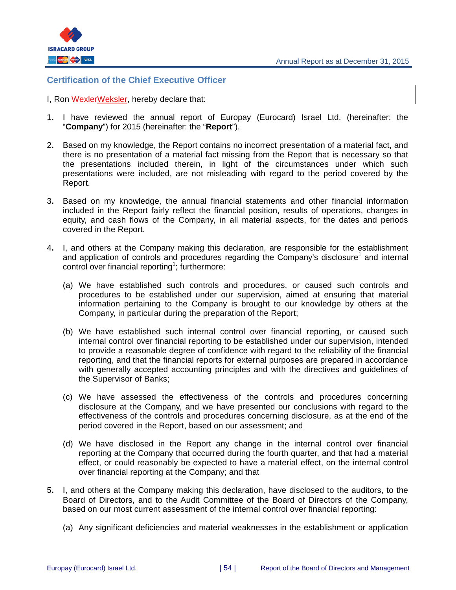

### **Certification of the Chief Executive Officer**

- I, Ron WexlerWeksler, hereby declare that:
- 1**.** I have reviewed the annual report of Europay (Eurocard) Israel Ltd. (hereinafter: the "**Company**") for 2015 (hereinafter: the "**Report**").
- 2**.** Based on my knowledge, the Report contains no incorrect presentation of a material fact, and there is no presentation of a material fact missing from the Report that is necessary so that the presentations included therein, in light of the circumstances under which such presentations were included, are not misleading with regard to the period covered by the Report.
- 3**.** Based on my knowledge, the annual financial statements and other financial information included in the Report fairly reflect the financial position, results of operations, changes in equity, and cash flows of the Company, in all material aspects, for the dates and periods covered in the Report.
- 4**.** I, and others at the Company making this declaration, are responsible for the establishment and application of controls and procedures regarding the Company's disclosure<sup>1</sup> and internal control over financial reporting<sup>1</sup>; furthermore:
	- (a) We have established such controls and procedures, or caused such controls and procedures to be established under our supervision, aimed at ensuring that material information pertaining to the Company is brought to our knowledge by others at the Company, in particular during the preparation of the Report;
	- (b) We have established such internal control over financial reporting, or caused such internal control over financial reporting to be established under our supervision, intended to provide a reasonable degree of confidence with regard to the reliability of the financial reporting, and that the financial reports for external purposes are prepared in accordance with generally accepted accounting principles and with the directives and guidelines of the Supervisor of Banks;
	- (c) We have assessed the effectiveness of the controls and procedures concerning disclosure at the Company, and we have presented our conclusions with regard to the effectiveness of the controls and procedures concerning disclosure, as at the end of the period covered in the Report, based on our assessment; and
	- (d) We have disclosed in the Report any change in the internal control over financial reporting at the Company that occurred during the fourth quarter, and that had a material effect, or could reasonably be expected to have a material effect, on the internal control over financial reporting at the Company; and that
- 5**.** I, and others at the Company making this declaration, have disclosed to the auditors, to the Board of Directors, and to the Audit Committee of the Board of Directors of the Company, based on our most current assessment of the internal control over financial reporting:
	- (a) Any significant deficiencies and material weaknesses in the establishment or application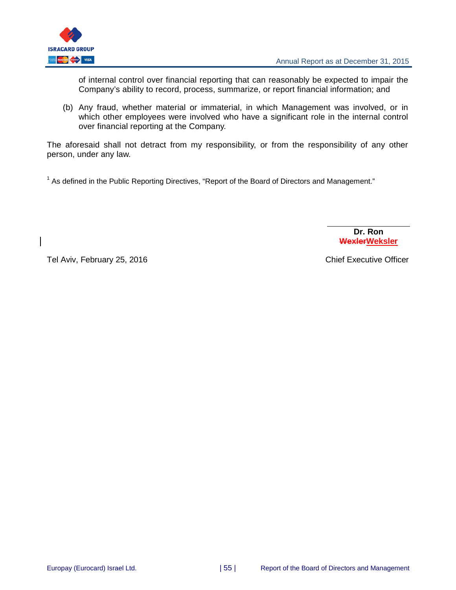

of internal control over financial reporting that can reasonably be expected to impair the Company's ability to record, process, summarize, or report financial information; and

(b) Any fraud, whether material or immaterial, in which Management was involved, or in which other employees were involved who have a significant role in the internal control over financial reporting at the Company.

The aforesaid shall not detract from my responsibility, or from the responsibility of any other person, under any law.

 $1$  As defined in the Public Reporting Directives, "Report of the Board of Directors and Management."

**Dr. Ron WexlerWeksler**

Tel Aviv, February 25, 2016 **Chief Executive Officer** Chief Executive Officer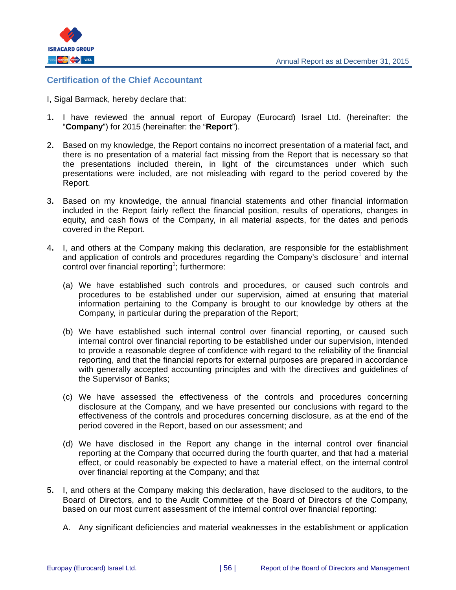

### **Certification of the Chief Accountant**

- I, Sigal Barmack, hereby declare that:
- 1**.** I have reviewed the annual report of Europay (Eurocard) Israel Ltd. (hereinafter: the "**Company**") for 2015 (hereinafter: the "**Report**").
- 2**.** Based on my knowledge, the Report contains no incorrect presentation of a material fact, and there is no presentation of a material fact missing from the Report that is necessary so that the presentations included therein, in light of the circumstances under which such presentations were included, are not misleading with regard to the period covered by the Report.
- 3**.** Based on my knowledge, the annual financial statements and other financial information included in the Report fairly reflect the financial position, results of operations, changes in equity, and cash flows of the Company, in all material aspects, for the dates and periods covered in the Report.
- 4**.** I, and others at the Company making this declaration, are responsible for the establishment and application of controls and procedures regarding the Company's disclosure<sup>1</sup> and internal control over financial reporting<sup>1</sup>; furthermore:
	- (a) We have established such controls and procedures, or caused such controls and procedures to be established under our supervision, aimed at ensuring that material information pertaining to the Company is brought to our knowledge by others at the Company, in particular during the preparation of the Report;
	- (b) We have established such internal control over financial reporting, or caused such internal control over financial reporting to be established under our supervision, intended to provide a reasonable degree of confidence with regard to the reliability of the financial reporting, and that the financial reports for external purposes are prepared in accordance with generally accepted accounting principles and with the directives and guidelines of the Supervisor of Banks;
	- (c) We have assessed the effectiveness of the controls and procedures concerning disclosure at the Company, and we have presented our conclusions with regard to the effectiveness of the controls and procedures concerning disclosure, as at the end of the period covered in the Report, based on our assessment; and
	- (d) We have disclosed in the Report any change in the internal control over financial reporting at the Company that occurred during the fourth quarter, and that had a material effect, or could reasonably be expected to have a material effect, on the internal control over financial reporting at the Company; and that
- 5**.** I, and others at the Company making this declaration, have disclosed to the auditors, to the Board of Directors, and to the Audit Committee of the Board of Directors of the Company, based on our most current assessment of the internal control over financial reporting:
	- A. Any significant deficiencies and material weaknesses in the establishment or application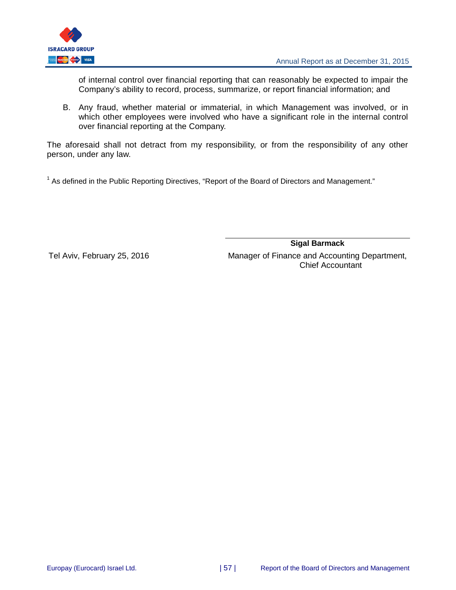

of internal control over financial reporting that can reasonably be expected to impair the Company's ability to record, process, summarize, or report financial information; and

B. Any fraud, whether material or immaterial, in which Management was involved, or in which other employees were involved who have a significant role in the internal control over financial reporting at the Company.

The aforesaid shall not detract from my responsibility, or from the responsibility of any other person, under any law.

 $1$  As defined in the Public Reporting Directives, "Report of the Board of Directors and Management."

**Sigal Barmack** Tel Aviv, February 25, 2016 Manager of Finance and Accounting Department, Chief Accountant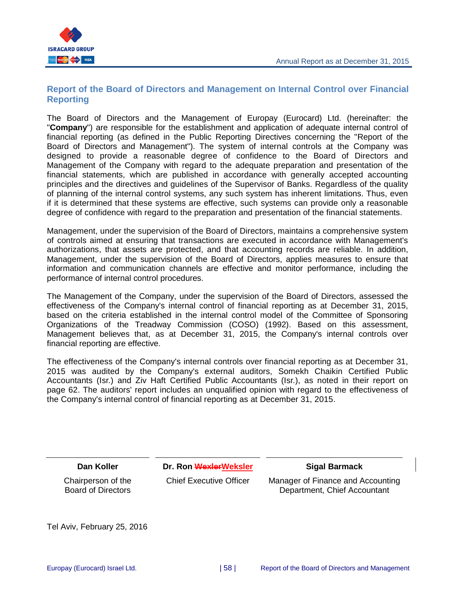

### **Report of the Board of Directors and Management on Internal Control over Financial Reporting**

The Board of Directors and the Management of Europay (Eurocard) Ltd. (hereinafter: the "**Company**") are responsible for the establishment and application of adequate internal control of financial reporting (as defined in the Public Reporting Directives concerning the "Report of the Board of Directors and Management"). The system of internal controls at the Company was designed to provide a reasonable degree of confidence to the Board of Directors and Management of the Company with regard to the adequate preparation and presentation of the financial statements, which are published in accordance with generally accepted accounting principles and the directives and guidelines of the Supervisor of Banks. Regardless of the quality of planning of the internal control systems, any such system has inherent limitations. Thus, even if it is determined that these systems are effective, such systems can provide only a reasonable degree of confidence with regard to the preparation and presentation of the financial statements.

Management, under the supervision of the Board of Directors, maintains a comprehensive system of controls aimed at ensuring that transactions are executed in accordance with Management's authorizations, that assets are protected, and that accounting records are reliable. In addition, Management, under the supervision of the Board of Directors, applies measures to ensure that information and communication channels are effective and monitor performance, including the performance of internal control procedures.

The Management of the Company, under the supervision of the Board of Directors, assessed the effectiveness of the Company's internal control of financial reporting as at December 31, 2015, based on the criteria established in the internal control model of the Committee of Sponsoring Organizations of the Treadway Commission (COSO) (1992). Based on this assessment, Management believes that, as at December 31, 2015, the Company's internal controls over financial reporting are effective.

The effectiveness of the Company's internal controls over financial reporting as at December 31, 2015 was audited by the Company's external auditors, Somekh Chaikin Certified Public Accountants (Isr.) and Ziv Haft Certified Public Accountants (Isr.), as noted in their report on page 62. The auditors' report includes an unqualified opinion with regard to the effectiveness of the Company's internal control of financial reporting as at December 31, 2015.

**Dan Koller Dr. Ron WexlerWeksler Sigal Barmack**

Chairperson of the Board of Directors

Chief Executive Officer Manager of Finance and Accounting Department, Chief Accountant

Tel Aviv, February 25, 2016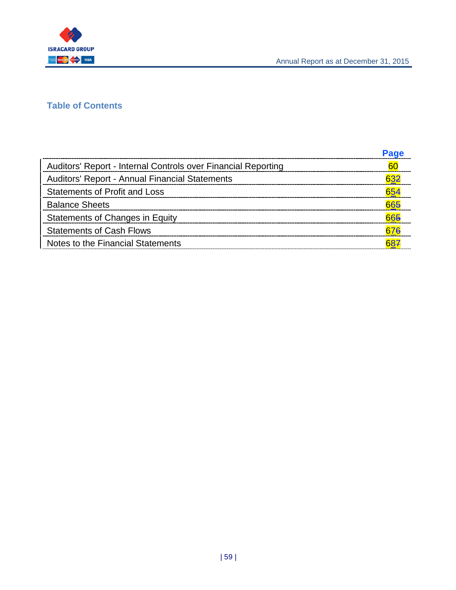

# **Table of Contents**

| Auditors' Report - Internal Controls over Financial Reporting |  |
|---------------------------------------------------------------|--|
| Auditors' Report - Annual Financial Statements                |  |
| <b>Statements of Profit and Loss</b>                          |  |
| <b>Balance Sheets</b>                                         |  |
| <b>Statements of Changes in Equity</b>                        |  |
| <b>Statements of Cash Flows</b>                               |  |
| Notes to the Financial Statements                             |  |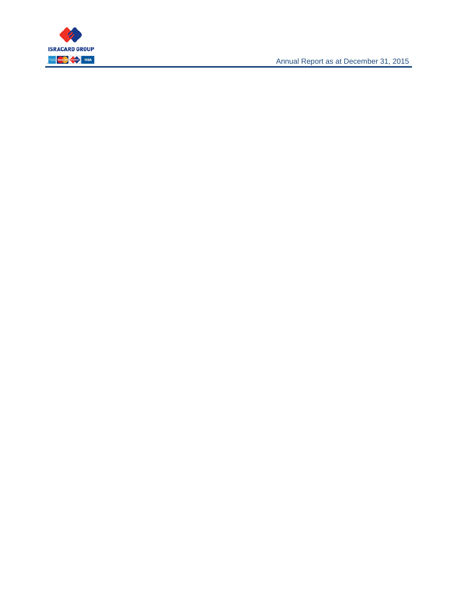

Annual Report as at December 31, 2015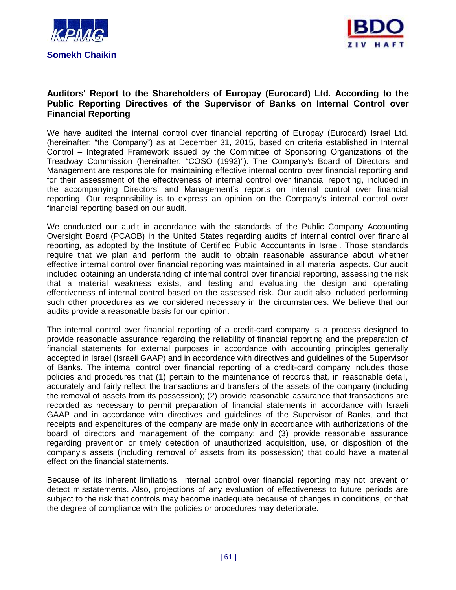



# **Auditors' Report to the Shareholders of Europay (Eurocard) Ltd. According to the Public Reporting Directives of the Supervisor of Banks on Internal Control over Financial Reporting**

We have audited the internal control over financial reporting of Europay (Eurocard) Israel Ltd. (hereinafter: "the Company") as at December 31, 2015, based on criteria established in Internal Control – Integrated Framework issued by the Committee of Sponsoring Organizations of the Treadway Commission (hereinafter: "COSO (1992)"). The Company's Board of Directors and Management are responsible for maintaining effective internal control over financial reporting and for their assessment of the effectiveness of internal control over financial reporting, included in the accompanying Directors' and Management's reports on internal control over financial reporting. Our responsibility is to express an opinion on the Company's internal control over financial reporting based on our audit.

We conducted our audit in accordance with the standards of the Public Company Accounting Oversight Board (PCAOB) in the United States regarding audits of internal control over financial reporting, as adopted by the Institute of Certified Public Accountants in Israel. Those standards require that we plan and perform the audit to obtain reasonable assurance about whether effective internal control over financial reporting was maintained in all material aspects. Our audit included obtaining an understanding of internal control over financial reporting, assessing the risk that a material weakness exists, and testing and evaluating the design and operating effectiveness of internal control based on the assessed risk. Our audit also included performing such other procedures as we considered necessary in the circumstances. We believe that our audits provide a reasonable basis for our opinion.

The internal control over financial reporting of a credit-card company is a process designed to provide reasonable assurance regarding the reliability of financial reporting and the preparation of financial statements for external purposes in accordance with accounting principles generally accepted in Israel (Israeli GAAP) and in accordance with directives and guidelines of the Supervisor of Banks. The internal control over financial reporting of a credit-card company includes those policies and procedures that (1) pertain to the maintenance of records that, in reasonable detail, accurately and fairly reflect the transactions and transfers of the assets of the company (including the removal of assets from its possession); (2) provide reasonable assurance that transactions are recorded as necessary to permit preparation of financial statements in accordance with Israeli GAAP and in accordance with directives and guidelines of the Supervisor of Banks, and that receipts and expenditures of the company are made only in accordance with authorizations of the board of directors and management of the company; and (3) provide reasonable assurance regarding prevention or timely detection of unauthorized acquisition, use, or disposition of the company's assets (including removal of assets from its possession) that could have a material effect on the financial statements.

Because of its inherent limitations, internal control over financial reporting may not prevent or detect misstatements. Also, projections of any evaluation of effectiveness to future periods are subject to the risk that controls may become inadequate because of changes in conditions, or that the degree of compliance with the policies or procedures may deteriorate.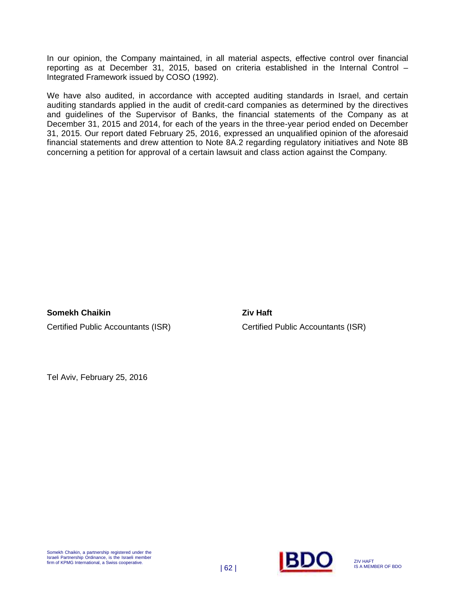In our opinion, the Company maintained, in all material aspects, effective control over financial reporting as at December 31, 2015, based on criteria established in the Internal Control – Integrated Framework issued by COSO (1992).

We have also audited, in accordance with accepted auditing standards in Israel, and certain auditing standards applied in the audit of credit-card companies as determined by the directives and guidelines of the Supervisor of Banks, the financial statements of the Company as at December 31, 2015 and 2014, for each of the years in the three-year period ended on December 31, 2015. Our report dated February 25, 2016, expressed an unqualified opinion of the aforesaid financial statements and drew attention to Note 8A.2 regarding regulatory initiatives and Note 8B concerning a petition for approval of a certain lawsuit and class action against the Company.

**Somekh Chaikin Ziv Haft** 

Certified Public Accountants (ISR) Certified Public Accountants (ISR)

Tel Aviv, February 25, 2016

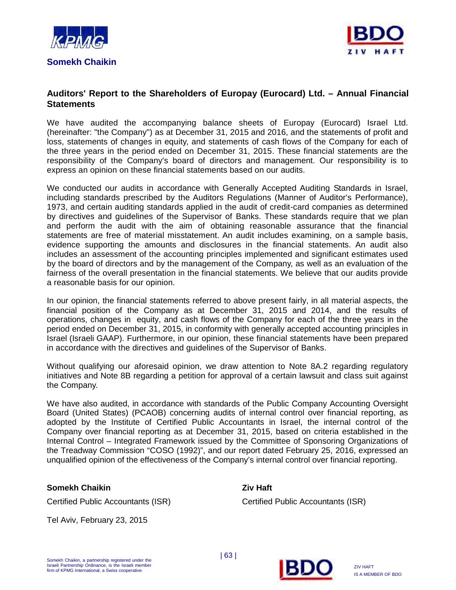



## **Auditors' Report to the Shareholders of Europay (Eurocard) Ltd. – Annual Financial Statements**

We have audited the accompanying balance sheets of Europay (Eurocard) Israel Ltd. (hereinafter: "the Company") as at December 31, 2015 and 2016, and the statements of profit and loss, statements of changes in equity, and statements of cash flows of the Company for each of the three years in the period ended on December 31, 2015. These financial statements are the responsibility of the Company's board of directors and management. Our responsibility is to express an opinion on these financial statements based on our audits.

We conducted our audits in accordance with Generally Accepted Auditing Standards in Israel, including standards prescribed by the Auditors Regulations (Manner of Auditor's Performance), 1973, and certain auditing standards applied in the audit of credit-card companies as determined by directives and guidelines of the Supervisor of Banks. These standards require that we plan and perform the audit with the aim of obtaining reasonable assurance that the financial statements are free of material misstatement. An audit includes examining, on a sample basis, evidence supporting the amounts and disclosures in the financial statements. An audit also includes an assessment of the accounting principles implemented and significant estimates used by the board of directors and by the management of the Company, as well as an evaluation of the fairness of the overall presentation in the financial statements. We believe that our audits provide a reasonable basis for our opinion.

In our opinion, the financial statements referred to above present fairly, in all material aspects, the financial position of the Company as at December 31, 2015 and 2014, and the results of operations, changes in equity, and cash flows of the Company for each of the three years in the period ended on December 31, 2015, in conformity with generally accepted accounting principles in Israel (Israeli GAAP). Furthermore, in our opinion, these financial statements have been prepared in accordance with the directives and guidelines of the Supervisor of Banks.

Without qualifying our aforesaid opinion, we draw attention to Note 8A.2 regarding regulatory initiatives and Note 8B regarding a petition for approval of a certain lawsuit and class suit against the Company.

We have also audited, in accordance with standards of the Public Company Accounting Oversight Board (United States) (PCAOB) concerning audits of internal control over financial reporting, as adopted by the Institute of Certified Public Accountants in Israel, the internal control of the Company over financial reporting as at December 31, 2015, based on criteria established in the Internal Control – Integrated Framework issued by the Committee of Sponsoring Organizations of the Treadway Commission "COSO (1992)", and our report dated February 25, 2016, expressed an unqualified opinion of the effectiveness of the Company's internal control over financial reporting.

### **Somekh Chaikin Ziv Haft**

Tel Aviv, February 23, 2015

Certified Public Accountants (ISR) Certified Public Accountants (ISR)

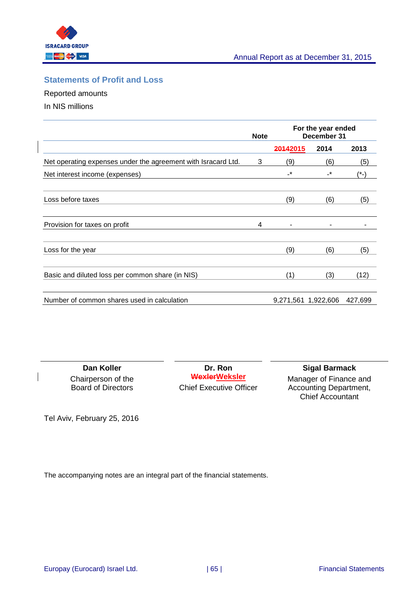

# **Statements of Profit and Loss**

### Reported amounts

In NIS millions

|                                                               | <b>Note</b> |                 | For the year ended<br>December 31 |         |
|---------------------------------------------------------------|-------------|-----------------|-----------------------------------|---------|
|                                                               |             | 20142015        | 2014                              | 2013    |
| Net operating expenses under the agreement with Isracard Ltd. | 3           | (9)             | (6)                               | (5)     |
| Net interest income (expenses)                                |             | $\cdot^{\star}$ | $\cdot^{\star}$                   | (*-)    |
|                                                               |             |                 |                                   |         |
| Loss before taxes                                             |             | (9)             | (6)                               | (5)     |
|                                                               |             |                 |                                   |         |
| Provision for taxes on profit                                 | 4           |                 |                                   |         |
|                                                               |             |                 |                                   |         |
| Loss for the year                                             |             | (9)             | (6)                               | (5)     |
|                                                               |             |                 |                                   |         |
| Basic and diluted loss per common share (in NIS)              |             | (1)             | (3)                               | (12)    |
|                                                               |             |                 |                                   |         |
| Number of common shares used in calculation                   |             |                 | 9,271,561 1,922,606               | 427,699 |

**Dan Koller** Chairperson of the Board of Directors

**Dr. Ron WexlerWeksler** Chief Executive Officer

**Sigal Barmack** Manager of Finance and Accounting Department, Chief Accountant

Tel Aviv, February 25, 2016

The accompanying notes are an integral part of the financial statements.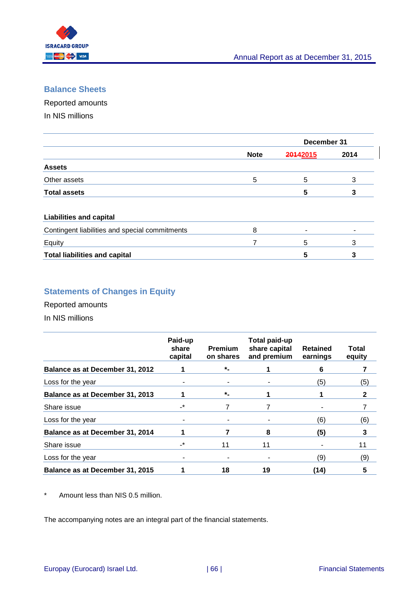

# **Balance Sheets**

Reported amounts

In NIS millions

|                                                |             | December 31 |      |  |
|------------------------------------------------|-------------|-------------|------|--|
|                                                | <b>Note</b> | 20142015    | 2014 |  |
| <b>Assets</b>                                  |             |             |      |  |
| Other assets                                   | 5           | 5           | 3    |  |
| <b>Total assets</b>                            |             | 5           | 3    |  |
| <b>Liabilities and capital</b>                 |             |             |      |  |
| Contingent liabilities and special commitments | 8           |             |      |  |
| Equity                                         |             | 5           | 3    |  |
| <b>Total liabilities and capital</b>           |             | 5           | 3    |  |

# **Statements of Changes in Equity**

Reported amounts

In NIS millions

|                                 | Paid-up<br>share<br>capital | <b>Premium</b><br>on shares | Total paid-up<br>share capital<br>and premium | Retained<br>earnings | Total<br>equity |
|---------------------------------|-----------------------------|-----------------------------|-----------------------------------------------|----------------------|-----------------|
| Balance as at December 31, 2012 |                             | $\star$                     |                                               | 6                    |                 |
| Loss for the year               |                             |                             |                                               | (5)                  | (5)             |
| Balance as at December 31, 2013 |                             | $\star$                     |                                               |                      | 2               |
| Share issue                     | $\cdot^{\star}$             |                             |                                               |                      |                 |
| Loss for the year               |                             |                             |                                               | (6)                  | (6)             |
| Balance as at December 31, 2014 |                             |                             | 8                                             | (5)                  | 3               |
| Share issue                     | -*                          | 11                          | 11                                            |                      | 11              |
| Loss for the year               |                             |                             |                                               | (9)                  | (9)             |
| Balance as at December 31, 2015 |                             | 18                          | 19                                            | (14)                 | 5               |

\* Amount less than NIS 0.5 million.

The accompanying notes are an integral part of the financial statements.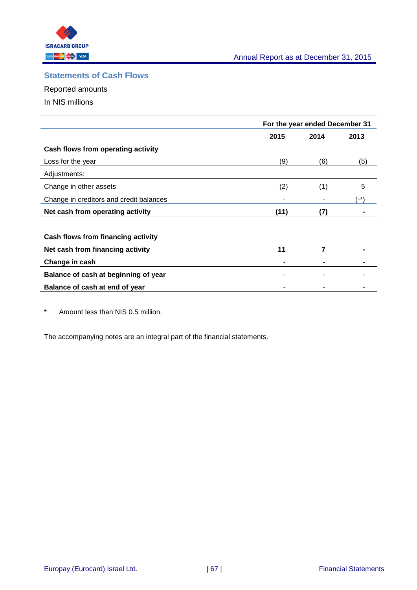

# **Statements of Cash Flows**

# Reported amounts

In NIS millions

|                                         | For the year ended December 31 |      |      |
|-----------------------------------------|--------------------------------|------|------|
|                                         | 2015                           | 2014 | 2013 |
| Cash flows from operating activity      |                                |      |      |
| Loss for the year                       | (9)                            | (6)  | (5)  |
| Adjustments:                            |                                |      |      |
| Change in other assets                  | (2)                            | (1)  | 5    |
| Change in creditors and credit balances |                                |      | (-*) |
| Net cash from operating activity        | (11)                           | (7)  |      |
|                                         |                                |      |      |
| Cash flows from financing activity      |                                |      |      |
| Net cash from financing activity        | 11                             |      |      |
| Change in cash                          |                                |      |      |
| Balance of cash at beginning of year    |                                |      |      |
| Balance of cash at end of year          |                                |      |      |

\* Amount less than NIS 0.5 million.

The accompanying notes are an integral part of the financial statements.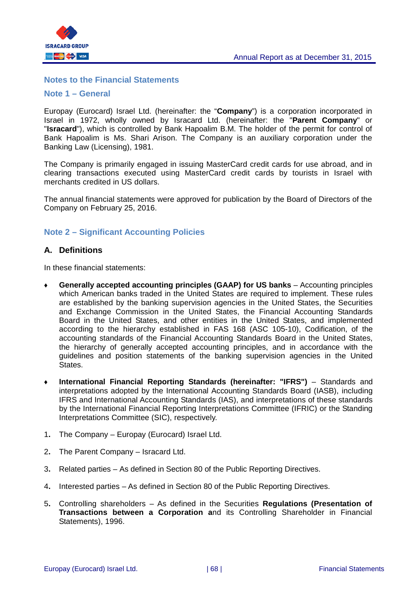

### **Notes to the Financial Statements**

### **Note 1 – General**

Europay (Eurocard) Israel Ltd. (hereinafter: the "**Company**") is a corporation incorporated in Israel in 1972, wholly owned by Isracard Ltd. (hereinafter: the "**Parent Company**" or "**Isracard**"), which is controlled by Bank Hapoalim B.M. The holder of the permit for control of Bank Hapoalim is Ms. Shari Arison. The Company is an auxiliary corporation under the Banking Law (Licensing), 1981.

The Company is primarily engaged in issuing MasterCard credit cards for use abroad, and in clearing transactions executed using MasterCard credit cards by tourists in Israel with merchants credited in US dollars.

The annual financial statements were approved for publication by the Board of Directors of the Company on February 25, 2016.

# **Note 2 – Significant Accounting Policies**

### **A. Definitions**

In these financial statements:

- **Generally accepted accounting principles (GAAP) for US banks** Accounting principles which American banks traded in the United States are required to implement. These rules are established by the banking supervision agencies in the United States, the Securities and Exchange Commission in the United States, the Financial Accounting Standards Board in the United States, and other entities in the United States, and implemented according to the hierarchy established in FAS 168 (ASC 105-10), Codification, of the accounting standards of the Financial Accounting Standards Board in the United States, the hierarchy of generally accepted accounting principles, and in accordance with the guidelines and position statements of the banking supervision agencies in the United States.
- ♦ **International Financial Reporting Standards (hereinafter: "IFRS")** Standards and interpretations adopted by the International Accounting Standards Board (IASB), including IFRS and International Accounting Standards (IAS), and interpretations of these standards by the International Financial Reporting Interpretations Committee (IFRIC) or the Standing Interpretations Committee (SIC), respectively.
- 1**.** The Company Europay (Eurocard) Israel Ltd.
- 2**.** The Parent Company Isracard Ltd.
- 3**.** Related parties As defined in Section 80 of the Public Reporting Directives.
- 4**.** Interested parties As defined in Section 80 of the Public Reporting Directives.
- 5**.** Controlling shareholders As defined in the Securities **Regulations (Presentation of Transactions between a Corporation a**nd its Controlling Shareholder in Financial Statements), 1996.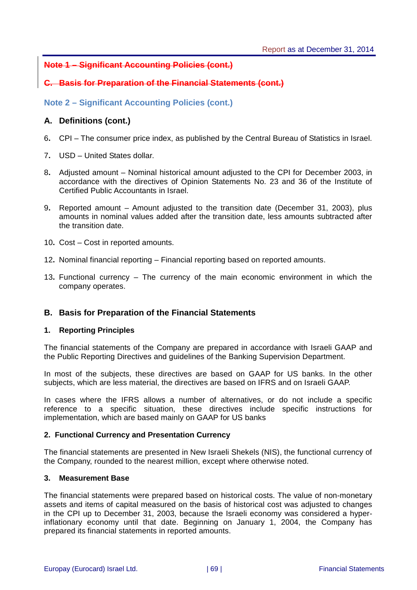**Note 1 – Significant Accounting Policies (cont.)**

# **Basis for Preparation of the Financial Statements (cont.)**

**Note 2 – Significant Accounting Policies (cont.)**

## **A. Definitions (cont.)**

- 6**.** CPI The consumer price index, as published by the Central Bureau of Statistics in Israel.
- 7**.** USD United States dollar.
- 8**.** Adjusted amount Nominal historical amount adjusted to the CPI for December 2003, in accordance with the directives of Opinion Statements No. 23 and 36 of the Institute of Certified Public Accountants in Israel.
- 9**.** Reported amount Amount adjusted to the transition date (December 31, 2003), plus amounts in nominal values added after the transition date, less amounts subtracted after the transition date.
- 10**.** Cost Cost in reported amounts.
- 12**.** Nominal financial reporting Financial reporting based on reported amounts.
- 13**.** Functional currency The currency of the main economic environment in which the company operates.

### **B. Basis for Preparation of the Financial Statements**

#### **1. Reporting Principles**

The financial statements of the Company are prepared in accordance with Israeli GAAP and the Public Reporting Directives and guidelines of the Banking Supervision Department.

In most of the subjects, these directives are based on GAAP for US banks. In the other subjects, which are less material, the directives are based on IFRS and on Israeli GAAP.

In cases where the IFRS allows a number of alternatives, or do not include a specific reference to a specific situation, these directives include specific instructions for implementation, which are based mainly on GAAP for US banks

#### **2. Functional Currency and Presentation Currency**

The financial statements are presented in New Israeli Shekels (NIS), the functional currency of the Company, rounded to the nearest million, except where otherwise noted.

#### **3. Measurement Base**

The financial statements were prepared based on historical costs. The value of non-monetary assets and items of capital measured on the basis of historical cost was adjusted to changes in the CPI up to December 31, 2003, because the Israeli economy was considered a hyperinflationary economy until that date. Beginning on January 1, 2004, the Company has prepared its financial statements in reported amounts.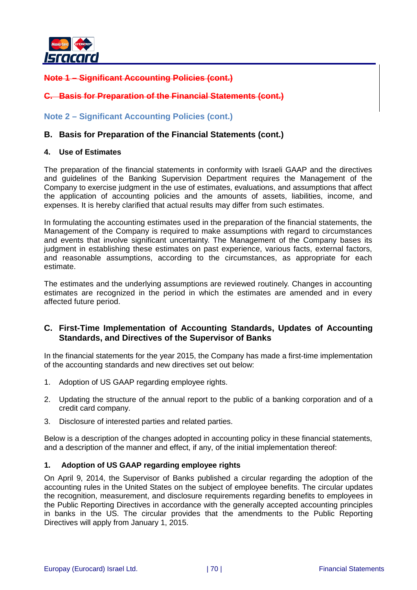

# **Note 1 – Significant Accounting Policies (cont.)**

# **C. Basis for Preparation of the Financial Statements (cont.)**

**Note 2 – Significant Accounting Policies (cont.)**

## **B. Basis for Preparation of the Financial Statements (cont.)**

#### **4. Use of Estimates**

The preparation of the financial statements in conformity with Israeli GAAP and the directives and guidelines of the Banking Supervision Department requires the Management of the Company to exercise judgment in the use of estimates, evaluations, and assumptions that affect the application of accounting policies and the amounts of assets, liabilities, income, and expenses. It is hereby clarified that actual results may differ from such estimates.

In formulating the accounting estimates used in the preparation of the financial statements, the Management of the Company is required to make assumptions with regard to circumstances and events that involve significant uncertainty. The Management of the Company bases its judgment in establishing these estimates on past experience, various facts, external factors, and reasonable assumptions, according to the circumstances, as appropriate for each estimate.

The estimates and the underlying assumptions are reviewed routinely. Changes in accounting estimates are recognized in the period in which the estimates are amended and in every affected future period.

### **C. First-Time Implementation of Accounting Standards, Updates of Accounting Standards, and Directives of the Supervisor of Banks**

In the financial statements for the year 2015, the Company has made a first-time implementation of the accounting standards and new directives set out below:

- 1. Adoption of US GAAP regarding employee rights.
- 2. Updating the structure of the annual report to the public of a banking corporation and of a credit card company.
- 3. Disclosure of interested parties and related parties.

Below is a description of the changes adopted in accounting policy in these financial statements, and a description of the manner and effect, if any, of the initial implementation thereof:

#### **1. Adoption of US GAAP regarding employee rights**

On April 9, 2014, the Supervisor of Banks published a circular regarding the adoption of the accounting rules in the United States on the subject of employee benefits. The circular updates the recognition, measurement, and disclosure requirements regarding benefits to employees in the Public Reporting Directives in accordance with the generally accepted accounting principles in banks in the US. The circular provides that the amendments to the Public Reporting Directives will apply from January 1, 2015.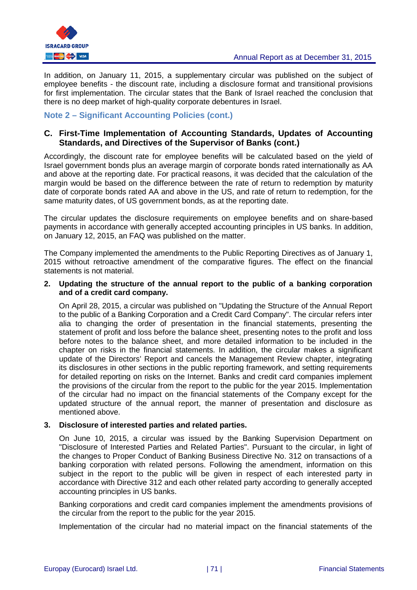

In addition, on January 11, 2015, a supplementary circular was published on the subject of employee benefits - the discount rate, including a disclosure format and transitional provisions for first implementation. The circular states that the Bank of Israel reached the conclusion that there is no deep market of high-quality corporate debentures in Israel.

# **Note 2 – Significant Accounting Policies (cont.)**

### **C. First-Time Implementation of Accounting Standards, Updates of Accounting Standards, and Directives of the Supervisor of Banks (cont.)**

Accordingly, the discount rate for employee benefits will be calculated based on the yield of Israel government bonds plus an average margin of corporate bonds rated internationally as AA and above at the reporting date. For practical reasons, it was decided that the calculation of the margin would be based on the difference between the rate of return to redemption by maturity date of corporate bonds rated AA and above in the US, and rate of return to redemption, for the same maturity dates, of US government bonds, as at the reporting date.

The circular updates the disclosure requirements on employee benefits and on share-based payments in accordance with generally accepted accounting principles in US banks. In addition, on January 12, 2015, an FAQ was published on the matter.

The Company implemented the amendments to the Public Reporting Directives as of January 1, 2015 without retroactive amendment of the comparative figures. The effect on the financial statements is not material.

#### **2. Updating the structure of the annual report to the public of a banking corporation and of a credit card company.**

On April 28, 2015, a circular was published on "Updating the Structure of the Annual Report to the public of a Banking Corporation and a Credit Card Company". The circular refers inter alia to changing the order of presentation in the financial statements, presenting the statement of profit and loss before the balance sheet, presenting notes to the profit and loss before notes to the balance sheet, and more detailed information to be included in the chapter on risks in the financial statements. In addition, the circular makes a significant update of the Directors' Report and cancels the Management Review chapter, integrating its disclosures in other sections in the public reporting framework, and setting requirements for detailed reporting on risks on the Internet. Banks and credit card companies implement the provisions of the circular from the report to the public for the year 2015. Implementation of the circular had no impact on the financial statements of the Company except for the updated structure of the annual report, the manner of presentation and disclosure as mentioned above.

### **3. Disclosure of interested parties and related parties.**

On June 10, 2015, a circular was issued by the Banking Supervision Department on "Disclosure of Interested Parties and Related Parties". Pursuant to the circular, in light of the changes to Proper Conduct of Banking Business Directive No. 312 on transactions of a banking corporation with related persons. Following the amendment, information on this subject in the report to the public will be given in respect of each interested party in accordance with Directive 312 and each other related party according to generally accepted accounting principles in US banks.

Banking corporations and credit card companies implement the amendments provisions of the circular from the report to the public for the year 2015.

Implementation of the circular had no material impact on the financial statements of the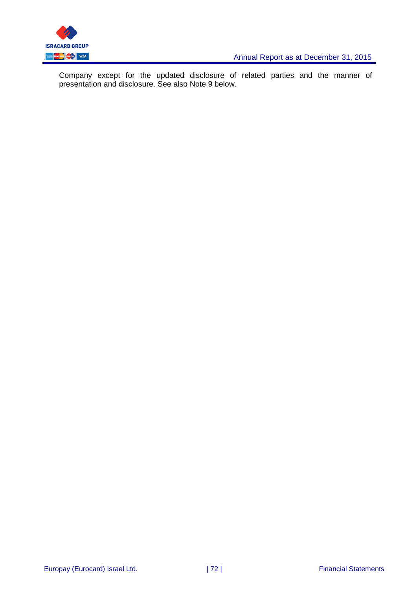

Annual Report as at December 31, 2015

Company except for the updated disclosure of related parties and the manner of presentation and disclosure. See also Note 9 below.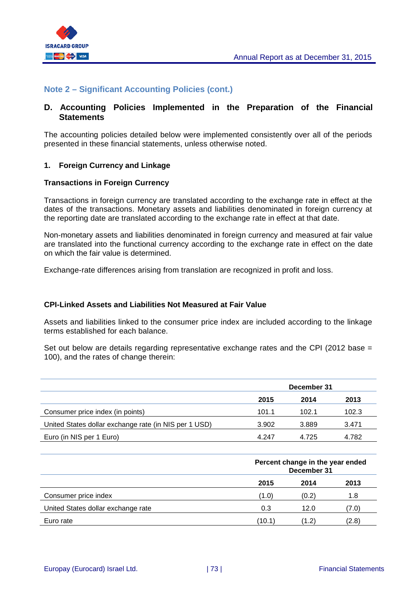



# **D. Accounting Policies Implemented in the Preparation of the Financial Statements**

The accounting policies detailed below were implemented consistently over all of the periods presented in these financial statements, unless otherwise noted.

#### **1. Foreign Currency and Linkage**

#### **Transactions in Foreign Currency**

Transactions in foreign currency are translated according to the exchange rate in effect at the dates of the transactions. Monetary assets and liabilities denominated in foreign currency at the reporting date are translated according to the exchange rate in effect at that date.

Non-monetary assets and liabilities denominated in foreign currency and measured at fair value are translated into the functional currency according to the exchange rate in effect on the date on which the fair value is determined.

Exchange-rate differences arising from translation are recognized in profit and loss.

#### **CPI-Linked Assets and Liabilities Not Measured at Fair Value**

Assets and liabilities linked to the consumer price index are included according to the linkage terms established for each balance.

Set out below are details regarding representative exchange rates and the CPI (2012 base = 100), and the rates of change therein:

|                                                       | December 31 |       |       |
|-------------------------------------------------------|-------------|-------|-------|
|                                                       | 2015        | 2014  | 2013  |
| Consumer price index (in points)                      | 101.1       | 102.1 | 102.3 |
| United States dollar exchange rate (in NIS per 1 USD) | 3.902       | 3.889 | 3.471 |
| Euro (in NIS per 1 Euro)                              | 4.247       | 4.725 | 4.782 |

|                                    | Percent change in the year ended<br>December 31 |       |       |
|------------------------------------|-------------------------------------------------|-------|-------|
|                                    | 2015                                            | 2014  | 2013  |
| Consumer price index               | (1.0)                                           | (0.2) | 1.8   |
| United States dollar exchange rate | 0.3                                             | 12.0  | (7.0) |
| Euro rate                          | (10.1)                                          | (1.2) | (2.8) |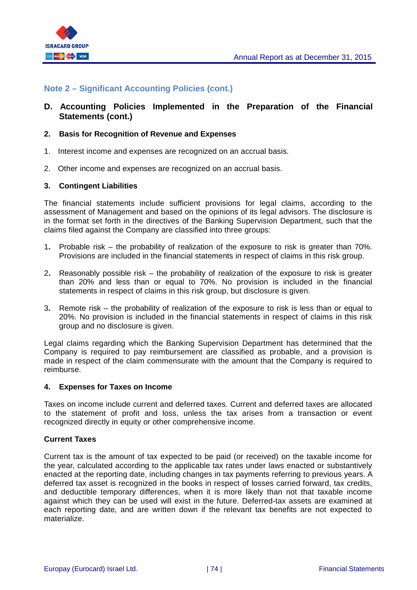



**D. Accounting Policies Implemented in the Preparation of the Financial Statements (cont.)**

### **2. Basis for Recognition of Revenue and Expenses**

- 1. Interest income and expenses are recognized on an accrual basis.
- 2. Other income and expenses are recognized on an accrual basis.

### **3. Contingent Liabilities**

The financial statements include sufficient provisions for legal claims, according to the assessment of Management and based on the opinions of its legal advisors. The disclosure is in the format set forth in the directives of the Banking Supervision Department, such that the claims filed against the Company are classified into three groups:

- 1**.** Probable risk the probability of realization of the exposure to risk is greater than 70%. Provisions are included in the financial statements in respect of claims in this risk group.
- 2**.** Reasonably possible risk the probability of realization of the exposure to risk is greater than 20% and less than or equal to 70%. No provision is included in the financial statements in respect of claims in this risk group, but disclosure is given.
- 3**.** Remote risk the probability of realization of the exposure to risk is less than or equal to 20%. No provision is included in the financial statements in respect of claims in this risk group and no disclosure is given.

Legal claims regarding which the Banking Supervision Department has determined that the Company is required to pay reimbursement are classified as probable, and a provision is made in respect of the claim commensurate with the amount that the Company is required to reimburse.

#### **4. Expenses for Taxes on Income**

Taxes on income include current and deferred taxes. Current and deferred taxes are allocated to the statement of profit and loss, unless the tax arises from a transaction or event recognized directly in equity or other comprehensive income.

#### **Current Taxes**

Current tax is the amount of tax expected to be paid (or received) on the taxable income for the year, calculated according to the applicable tax rates under laws enacted or substantively enacted at the reporting date, including changes in tax payments referring to previous years. A deferred tax asset is recognized in the books in respect of losses carried forward, tax credits, and deductible temporary differences, when it is more likely than not that taxable income against which they can be used will exist in the future. Deferred-tax assets are examined at each reporting date, and are written down if the relevant tax benefits are not expected to materialize.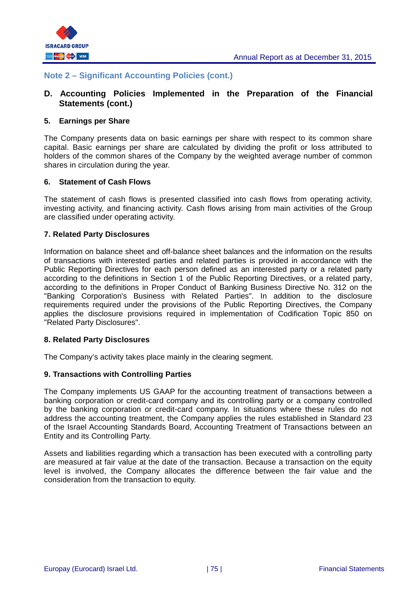



### **D. Accounting Policies Implemented in the Preparation of the Financial Statements (cont.)**

#### **5. Earnings per Share**

The Company presents data on basic earnings per share with respect to its common share capital. Basic earnings per share are calculated by dividing the profit or loss attributed to holders of the common shares of the Company by the weighted average number of common shares in circulation during the year.

#### **6. Statement of Cash Flows**

The statement of cash flows is presented classified into cash flows from operating activity, investing activity, and financing activity. Cash flows arising from main activities of the Group are classified under operating activity.

#### **7. Related Party Disclosures**

Information on balance sheet and off-balance sheet balances and the information on the results of transactions with interested parties and related parties is provided in accordance with the Public Reporting Directives for each person defined as an interested party or a related party according to the definitions in Section 1 of the Public Reporting Directives, or a related party, according to the definitions in Proper Conduct of Banking Business Directive No. 312 on the "Banking Corporation's Business with Related Parties". In addition to the disclosure requirements required under the provisions of the Public Reporting Directives, the Company applies the disclosure provisions required in implementation of Codification Topic 850 on "Related Party Disclosures".

#### **8. Related Party Disclosures**

The Company's activity takes place mainly in the clearing segment.

#### **9. Transactions with Controlling Parties**

The Company implements US GAAP for the accounting treatment of transactions between a banking corporation or credit-card company and its controlling party or a company controlled by the banking corporation or credit-card company. In situations where these rules do not address the accounting treatment, the Company applies the rules established in Standard 23 of the Israel Accounting Standards Board, Accounting Treatment of Transactions between an Entity and its Controlling Party.

Assets and liabilities regarding which a transaction has been executed with a controlling party are measured at fair value at the date of the transaction. Because a transaction on the equity level is involved, the Company allocates the difference between the fair value and the consideration from the transaction to equity.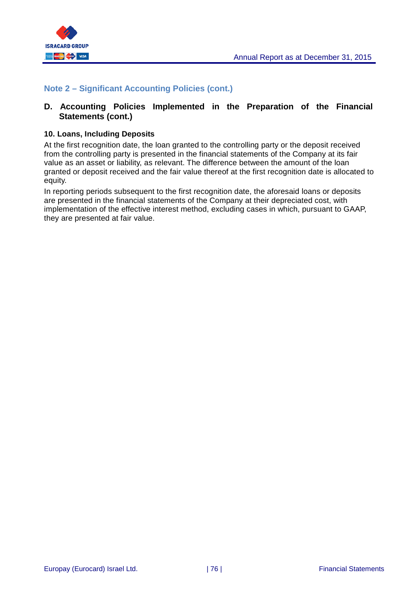



# **D. Accounting Policies Implemented in the Preparation of the Financial Statements (cont.)**

### **10. Loans, Including Deposits**

At the first recognition date, the loan granted to the controlling party or the deposit received from the controlling party is presented in the financial statements of the Company at its fair value as an asset or liability, as relevant. The difference between the amount of the loan granted or deposit received and the fair value thereof at the first recognition date is allocated to equity.

In reporting periods subsequent to the first recognition date, the aforesaid loans or deposits are presented in the financial statements of the Company at their depreciated cost, with implementation of the effective interest method, excluding cases in which, pursuant to GAAP, they are presented at fair value.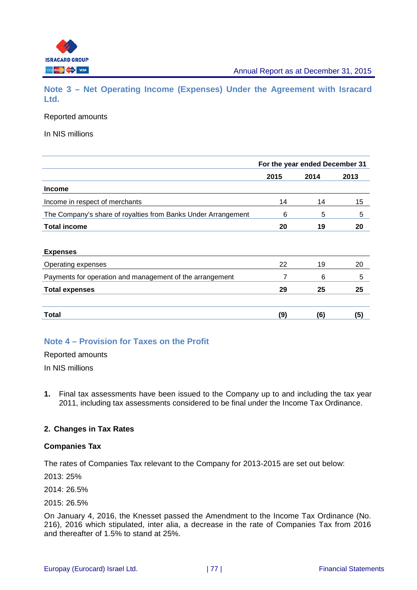

**Note 3 – Net Operating Income (Expenses) Under the Agreement with Isracard Ltd.** 

#### Reported amounts

In NIS millions

|                                                               | For the year ended December 31 |      |      |
|---------------------------------------------------------------|--------------------------------|------|------|
|                                                               | 2015                           | 2014 | 2013 |
| <b>Income</b>                                                 |                                |      |      |
| Income in respect of merchants                                | 14                             | 14   | 15   |
| The Company's share of royalties from Banks Under Arrangement | 6                              | 5    | 5    |
| <b>Total income</b>                                           | 20                             | 19   | 20   |
|                                                               |                                |      |      |
| <b>Expenses</b>                                               |                                |      |      |
| Operating expenses                                            | 22                             | 19   | 20   |
| Payments for operation and management of the arrangement      |                                | 6    | 5    |
| <b>Total expenses</b>                                         | 29                             | 25   | 25   |
| Total                                                         | (9)                            | (6)  | (5)  |

# **Note 4 – Provision for Taxes on the Profit**

#### Reported amounts

In NIS millions

**1.** Final tax assessments have been issued to the Company up to and including the tax year 2011, including tax assessments considered to be final under the Income Tax Ordinance.

#### **2. Changes in Tax Rates**

#### **Companies Tax**

The rates of Companies Tax relevant to the Company for 2013-2015 are set out below:

2013: 25%

2014: 26.5%

2015: 26.5%

On January 4, 2016, the Knesset passed the Amendment to the Income Tax Ordinance (No. 216), 2016 which stipulated, inter alia, a decrease in the rate of Companies Tax from 2016 and thereafter of 1.5% to stand at 25%.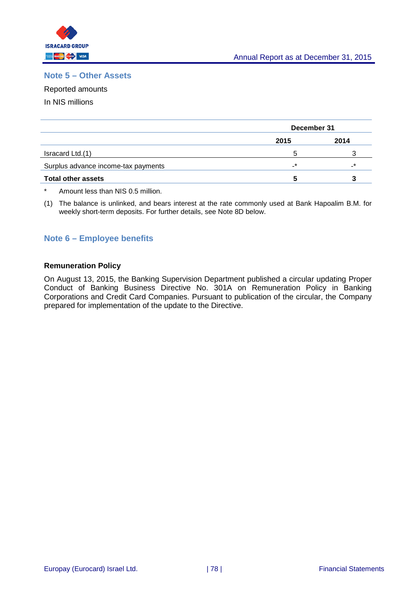

### **Note 5 – Other Assets**

#### Reported amounts

In NIS millions

|                                     | December 31 |      |  |
|-------------------------------------|-------------|------|--|
|                                     | 2015        | 2014 |  |
| Isracard Ltd.(1)                    | h           |      |  |
| Surplus advance income-tax payments | $\star$     |      |  |
| <b>Total other assets</b>           |             |      |  |

\* Amount less than NIS 0.5 million.

(1) The balance is unlinked, and bears interest at the rate commonly used at Bank Hapoalim B.M. for weekly short-term deposits. For further details, see Note 8D below.

# **Note 6 – Employee benefits**

#### **Remuneration Policy**

On August 13, 2015, the Banking Supervision Department published a circular updating Proper Conduct of Banking Business Directive No. 301A on Remuneration Policy in Banking Corporations and Credit Card Companies. Pursuant to publication of the circular, the Company prepared for implementation of the update to the Directive.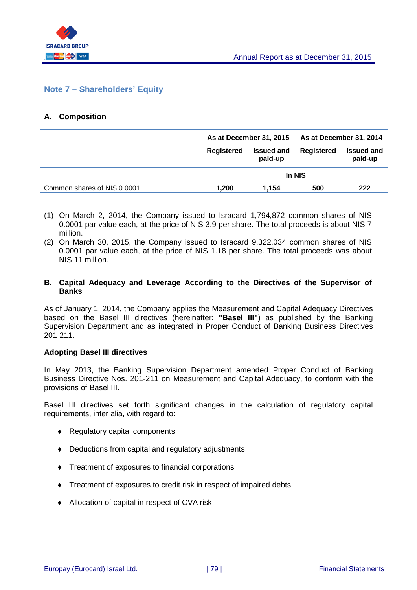

### **Note 7 – Shareholders' Equity**

#### **A. Composition**

|                             |            | As at December 31, 2015      |                   | As at December 31, 2014      |
|-----------------------------|------------|------------------------------|-------------------|------------------------------|
|                             | Registered | <b>Issued and</b><br>paid-up | <b>Registered</b> | <b>Issued and</b><br>paid-up |
|                             |            |                              | In NIS            |                              |
| Common shares of NIS 0.0001 | 1.200      | 1.154                        | 500               | 222                          |

- (1) On March 2, 2014, the Company issued to Isracard 1,794,872 common shares of NIS 0.0001 par value each, at the price of NIS 3.9 per share. The total proceeds is about NIS 7 million.
- (2) On March 30, 2015, the Company issued to Isracard 9,322,034 common shares of NIS 0.0001 par value each, at the price of NIS 1.18 per share. The total proceeds was about NIS 11 million.

#### **B. Capital Adequacy and Leverage According to the Directives of the Supervisor of Banks**

As of January 1, 2014, the Company applies the Measurement and Capital Adequacy Directives based on the Basel III directives (hereinafter: **"Basel III"**) as published by the Banking Supervision Department and as integrated in Proper Conduct of Banking Business Directives 201-211.

#### **Adopting Basel III directives**

In May 2013, the Banking Supervision Department amended Proper Conduct of Banking Business Directive Nos. 201-211 on Measurement and Capital Adequacy, to conform with the provisions of Basel III.

Basel III directives set forth significant changes in the calculation of regulatory capital requirements, inter alia, with regard to:

- ♦ Regulatory capital components
- ♦ Deductions from capital and regulatory adjustments
- ♦ Treatment of exposures to financial corporations
- ♦ Treatment of exposures to credit risk in respect of impaired debts
- ♦ Allocation of capital in respect of CVA risk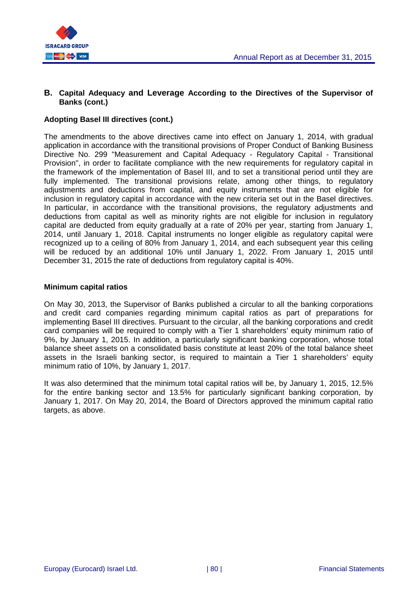

### **B. Capital Adequacy and Leverage According to the Directives of the Supervisor of Banks (cont.)**

### **Adopting Basel III directives (cont.)**

The amendments to the above directives came into effect on January 1, 2014, with gradual application in accordance with the transitional provisions of Proper Conduct of Banking Business Directive No. 299 "Measurement and Capital Adequacy - Regulatory Capital - Transitional Provision", in order to facilitate compliance with the new requirements for regulatory capital in the framework of the implementation of Basel III, and to set a transitional period until they are fully implemented. The transitional provisions relate, among other things, to regulatory adjustments and deductions from capital, and equity instruments that are not eligible for inclusion in regulatory capital in accordance with the new criteria set out in the Basel directives. In particular, in accordance with the transitional provisions, the regulatory adjustments and deductions from capital as well as minority rights are not eligible for inclusion in regulatory capital are deducted from equity gradually at a rate of 20% per year, starting from January 1, 2014, until January 1, 2018. Capital instruments no longer eligible as regulatory capital were recognized up to a ceiling of 80% from January 1, 2014, and each subsequent year this ceiling will be reduced by an additional 10% until January 1, 2022. From January 1, 2015 until December 31, 2015 the rate of deductions from regulatory capital is 40%.

#### **Minimum capital ratios**

On May 30, 2013, the Supervisor of Banks published a circular to all the banking corporations and credit card companies regarding minimum capital ratios as part of preparations for implementing Basel III directives. Pursuant to the circular, all the banking corporations and credit card companies will be required to comply with a Tier 1 shareholders' equity minimum ratio of 9%, by January 1, 2015. In addition, a particularly significant banking corporation, whose total balance sheet assets on a consolidated basis constitute at least 20% of the total balance sheet assets in the Israeli banking sector, is required to maintain a Tier 1 shareholders' equity minimum ratio of 10%, by January 1, 2017.

It was also determined that the minimum total capital ratios will be, by January 1, 2015, 12.5% for the entire banking sector and 13.5% for particularly significant banking corporation, by January 1, 2017. On May 20, 2014, the Board of Directors approved the minimum capital ratio targets, as above.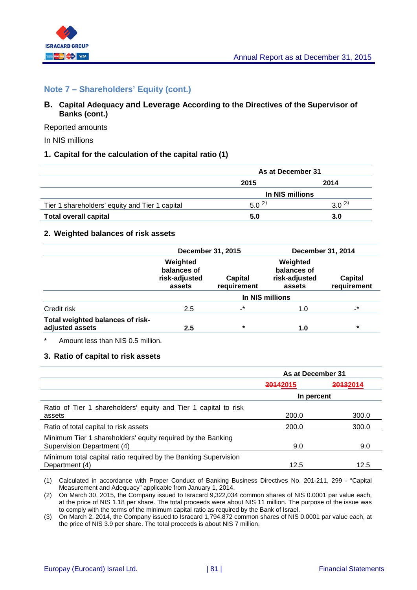

# **Note 7 – Shareholders' Equity (cont.)**

**B. Capital Adequacy and Leverage According to the Directives of the Supervisor of Banks (cont.)**

Reported amounts

In NIS millions

#### **1. Capital for the calculation of the capital ratio (1)**

|                                                | As at December 31 |             |  |
|------------------------------------------------|-------------------|-------------|--|
|                                                | 2015              | 2014        |  |
|                                                | In NIS millions   |             |  |
| Tier 1 shareholders' equity and Tier 1 capital | $5.0^{(2)}$       | $3.0^{(3)}$ |  |
| <b>Total overall capital</b>                   | 5.0               | 3.0         |  |

#### **2. Weighted balances of risk assets**

|                                                     | <b>December 31, 2015</b>                           |                        |                                                    | December 31, 2014      |
|-----------------------------------------------------|----------------------------------------------------|------------------------|----------------------------------------------------|------------------------|
|                                                     | Weighted<br>balances of<br>risk-adjusted<br>assets | Capital<br>requirement | Weighted<br>balances of<br>risk-adjusted<br>assets | Capital<br>requirement |
|                                                     |                                                    |                        | In NIS millions                                    |                        |
| Credit risk                                         | 2.5                                                | $\cdot^{\star}$        | 1.0                                                | $-$ *                  |
| Total weighted balances of risk-<br>adjusted assets | $2.5\phantom{0}$                                   | $\star$                | 1.0                                                | $\star$                |

Amount less than NIS 0.5 million.

#### **3. Ratio of capital to risk assets**

|                                                                 | As at December 31 |          |  |
|-----------------------------------------------------------------|-------------------|----------|--|
|                                                                 | 20142015          | 20132014 |  |
|                                                                 | In percent        |          |  |
| Ratio of Tier 1 shareholders' equity and Tier 1 capital to risk |                   |          |  |
| assets                                                          | 200.0             | 300.0    |  |
| Ratio of total capital to risk assets                           | 200.0             | 300.0    |  |
| Minimum Tier 1 shareholders' equity required by the Banking     |                   |          |  |
| Supervision Department (4)                                      | 9.0               | 9.0      |  |
| Minimum total capital ratio required by the Banking Supervision |                   |          |  |
| Department (4)                                                  | 12.5              | 12.5     |  |

(1) Calculated in accordance with Proper Conduct of Banking Business Directives No. 201-211, 299 - "Capital Measurement and Adequacy" applicable from January 1, 2014.

(2) On March 30, 2015, the Company issued to Isracard 9,322,034 common shares of NIS 0.0001 par value each, at the price of NIS 1.18 per share. The total proceeds were about NIS 11 million. The purpose of the issue was to comply with the terms of the minimum capital ratio as required by the Bank of Israel.

(3) On March 2, 2014, the Company issued to Isracard 1,794,872 common shares of NIS 0.0001 par value each, at the price of NIS 3.9 per share. The total proceeds is about NIS 7 million.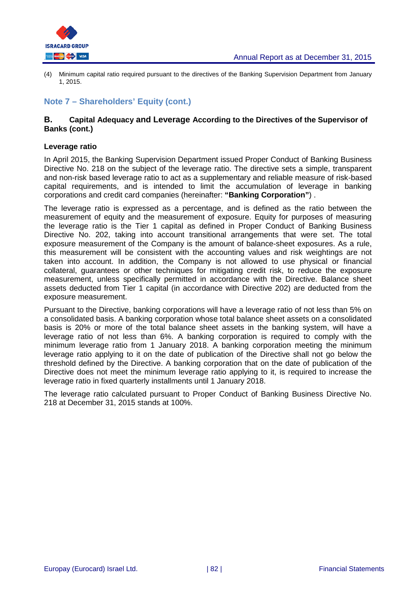

(4) Minimum capital ratio required pursuant to the directives of the Banking Supervision Department from January 1, 2015.

# **Note 7 – Shareholders' Equity (cont.)**

### **B. Capital Adequacy and Leverage According to the Directives of the Supervisor of Banks (cont.)**

#### **Leverage ratio**

In April 2015, the Banking Supervision Department issued Proper Conduct of Banking Business Directive No. 218 on the subject of the leverage ratio. The directive sets a simple, transparent and non-risk based leverage ratio to act as a supplementary and reliable measure of risk-based capital requirements, and is intended to limit the accumulation of leverage in banking corporations and credit card companies (hereinafter: **"Banking Corporation"**) .

The leverage ratio is expressed as a percentage, and is defined as the ratio between the measurement of equity and the measurement of exposure. Equity for purposes of measuring the leverage ratio is the Tier 1 capital as defined in Proper Conduct of Banking Business Directive No. 202, taking into account transitional arrangements that were set. The total exposure measurement of the Company is the amount of balance-sheet exposures. As a rule, this measurement will be consistent with the accounting values and risk weightings are not taken into account. In addition, the Company is not allowed to use physical or financial collateral, guarantees or other techniques for mitigating credit risk, to reduce the exposure measurement, unless specifically permitted in accordance with the Directive. Balance sheet assets deducted from Tier 1 capital (in accordance with Directive 202) are deducted from the exposure measurement.

Pursuant to the Directive, banking corporations will have a leverage ratio of not less than 5% on a consolidated basis. A banking corporation whose total balance sheet assets on a consolidated basis is 20% or more of the total balance sheet assets in the banking system, will have a leverage ratio of not less than 6%. A banking corporation is required to comply with the minimum leverage ratio from 1 January 2018. A banking corporation meeting the minimum leverage ratio applying to it on the date of publication of the Directive shall not go below the threshold defined by the Directive. A banking corporation that on the date of publication of the Directive does not meet the minimum leverage ratio applying to it, is required to increase the leverage ratio in fixed quarterly installments until 1 January 2018.

The leverage ratio calculated pursuant to Proper Conduct of Banking Business Directive No. 218 at December 31, 2015 stands at 100%.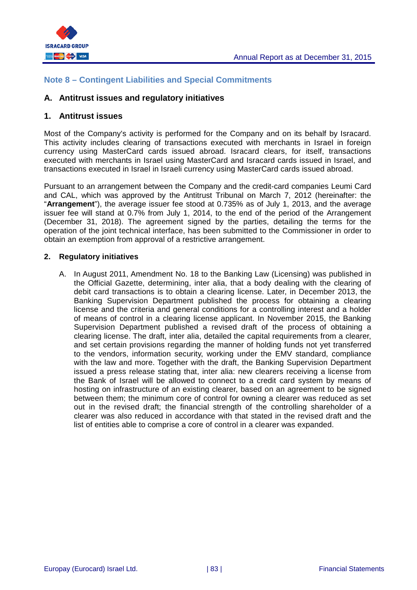

### **A. Antitrust issues and regulatory initiatives**

#### **1. Antitrust issues**

Most of the Company's activity is performed for the Company and on its behalf by Isracard. This activity includes clearing of transactions executed with merchants in Israel in foreign currency using MasterCard cards issued abroad. Isracard clears, for itself, transactions executed with merchants in Israel using MasterCard and Isracard cards issued in Israel, and transactions executed in Israel in Israeli currency using MasterCard cards issued abroad.

Pursuant to an arrangement between the Company and the credit-card companies Leumi Card and CAL, which was approved by the Antitrust Tribunal on March 7, 2012 (hereinafter: the "**Arrangement**"), the average issuer fee stood at 0.735% as of July 1, 2013, and the average issuer fee will stand at 0.7% from July 1, 2014, to the end of the period of the Arrangement (December 31, 2018). The agreement signed by the parties, detailing the terms for the operation of the joint technical interface, has been submitted to the Commissioner in order to obtain an exemption from approval of a restrictive arrangement.

#### **2. Regulatory initiatives**

A. In August 2011, Amendment No. 18 to the Banking Law (Licensing) was published in the Official Gazette, determining, inter alia, that a body dealing with the clearing of debit card transactions is to obtain a clearing license. Later, in December 2013, the Banking Supervision Department published the process for obtaining a clearing license and the criteria and general conditions for a controlling interest and a holder of means of control in a clearing license applicant. In November 2015, the Banking Supervision Department published a revised draft of the process of obtaining a clearing license. The draft, inter alia, detailed the capital requirements from a clearer, and set certain provisions regarding the manner of holding funds not yet transferred to the vendors, information security, working under the EMV standard, compliance with the law and more. Together with the draft, the Banking Supervision Department issued a press release stating that, inter alia: new clearers receiving a license from the Bank of Israel will be allowed to connect to a credit card system by means of hosting on infrastructure of an existing clearer, based on an agreement to be signed between them; the minimum core of control for owning a clearer was reduced as set out in the revised draft; the financial strength of the controlling shareholder of a clearer was also reduced in accordance with that stated in the revised draft and the list of entities able to comprise a core of control in a clearer was expanded.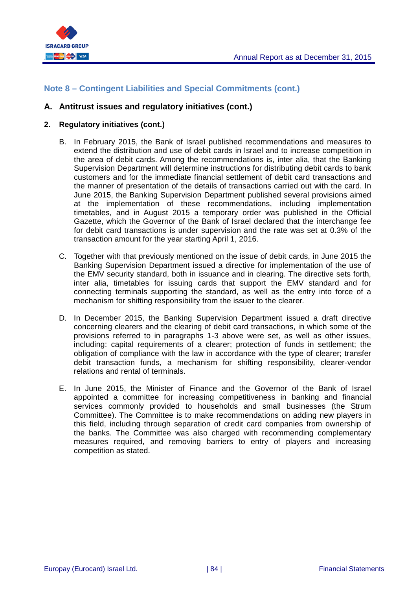

### **A. Antitrust issues and regulatory initiatives (cont.)**

#### **2. Regulatory initiatives (cont.)**

- B. In February 2015, the Bank of Israel published recommendations and measures to extend the distribution and use of debit cards in Israel and to increase competition in the area of debit cards. Among the recommendations is, inter alia, that the Banking Supervision Department will determine instructions for distributing debit cards to bank customers and for the immediate financial settlement of debit card transactions and the manner of presentation of the details of transactions carried out with the card. In June 2015, the Banking Supervision Department published several provisions aimed at the implementation of these recommendations, including implementation timetables, and in August 2015 a temporary order was published in the Official Gazette, which the Governor of the Bank of Israel declared that the interchange fee for debit card transactions is under supervision and the rate was set at 0.3% of the transaction amount for the year starting April 1, 2016.
- C. Together with that previously mentioned on the issue of debit cards, in June 2015 the Banking Supervision Department issued a directive for implementation of the use of the EMV security standard, both in issuance and in clearing. The directive sets forth, inter alia, timetables for issuing cards that support the EMV standard and for connecting terminals supporting the standard, as well as the entry into force of a mechanism for shifting responsibility from the issuer to the clearer.
- D. In December 2015, the Banking Supervision Department issued a draft directive concerning clearers and the clearing of debit card transactions, in which some of the provisions referred to in paragraphs 1-3 above were set, as well as other issues, including: capital requirements of a clearer; protection of funds in settlement; the obligation of compliance with the law in accordance with the type of clearer; transfer debit transaction funds, a mechanism for shifting responsibility, clearer-vendor relations and rental of terminals.
- E. In June 2015, the Minister of Finance and the Governor of the Bank of Israel appointed a committee for increasing competitiveness in banking and financial services commonly provided to households and small businesses (the Strum Committee). The Committee is to make recommendations on adding new players in this field, including through separation of credit card companies from ownership of the banks. The Committee was also charged with recommending complementary measures required, and removing barriers to entry of players and increasing competition as stated.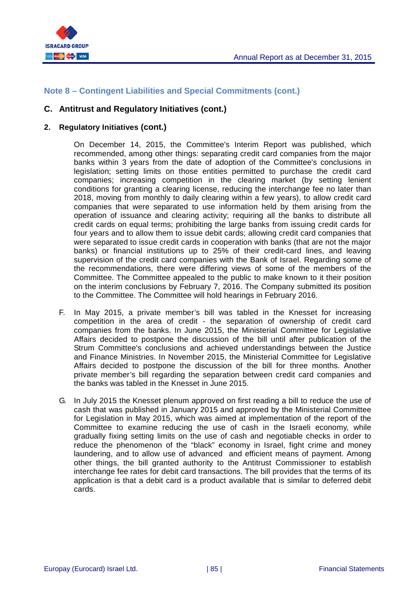

# **C. Antitrust and Regulatory Initiatives (cont.)**

### **2. Regulatory Initiatives (cont.)**

On December 14, 2015, the Committee's Interim Report was published, which recommended, among other things: separating credit card companies from the major banks within 3 years from the date of adoption of the Committee's conclusions in legislation; setting limits on those entities permitted to purchase the credit card companies; increasing competition in the clearing market (by setting lenient conditions for granting a clearing license, reducing the interchange fee no later than 2018, moving from monthly to daily clearing within a few years), to allow credit card companies that were separated to use information held by them arising from the operation of issuance and clearing activity; requiring all the banks to distribute all credit cards on equal terms; prohibiting the large banks from issuing credit cards for four years and to allow them to issue debit cards; allowing credit card companies that were separated to issue credit cards in cooperation with banks (that are not the major banks) or financial institutions up to 25% of their credit-card lines, and leaving supervision of the credit card companies with the Bank of Israel. Regarding some of the recommendations, there were differing views of some of the members of the Committee. The Committee appealed to the public to make known to it their position on the interim conclusions by February 7, 2016. The Company submitted its position to the Committee. The Committee will hold hearings in February 2016.

- F. In May 2015, a private member's bill was tabled in the Knesset for increasing competition in the area of credit - the separation of ownership of credit card companies from the banks. In June 2015, the Ministerial Committee for Legislative Affairs decided to postpone the discussion of the bill until after publication of the Strum Committee's conclusions and achieved understandings between the Justice and Finance Ministries. In November 2015, the Ministerial Committee for Legislative Affairs decided to postpone the discussion of the bill for three months. Another private member's bill regarding the separation between credit card companies and the banks was tabled in the Knesset in June 2015.
- G. In July 2015 the Knesset plenum approved on first reading a bill to reduce the use of cash that was published in January 2015 and approved by the Ministerial Committee for Legislation in May 2015, which was aimed at implementation of the report of the Committee to examine reducing the use of cash in the Israeli economy, while gradually fixing setting limits on the use of cash and negotiable checks in order to reduce the phenomenon of the "black" economy in Israel, fight crime and money laundering, and to allow use of advanced and efficient means of payment. Among other things, the bill granted authority to the Antitrust Commissioner to establish interchange fee rates for debit card transactions. The bill provides that the terms of its application is that a debit card is a product available that is similar to deferred debit cards.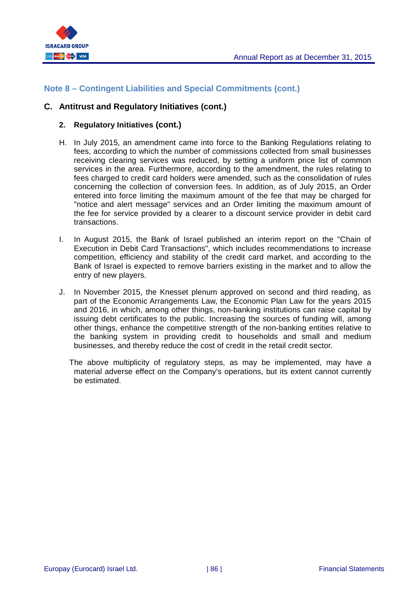

# **C. Antitrust and Regulatory Initiatives (cont.)**

### **2. Regulatory Initiatives (cont.)**

- H. In July 2015, an amendment came into force to the Banking Regulations relating to fees, according to which the number of commissions collected from small businesses receiving clearing services was reduced, by setting a uniform price list of common services in the area. Furthermore, according to the amendment, the rules relating to fees charged to credit card holders were amended, such as the consolidation of rules concerning the collection of conversion fees. In addition, as of July 2015, an Order entered into force limiting the maximum amount of the fee that may be charged for "notice and alert message" services and an Order limiting the maximum amount of the fee for service provided by a clearer to a discount service provider in debit card transactions.
- I. In August 2015, the Bank of Israel published an interim report on the "Chain of Execution in Debit Card Transactions", which includes recommendations to increase competition, efficiency and stability of the credit card market, and according to the Bank of Israel is expected to remove barriers existing in the market and to allow the entry of new players.
- J. In November 2015, the Knesset plenum approved on second and third reading, as part of the Economic Arrangements Law, the Economic Plan Law for the years 2015 and 2016, in which, among other things, non-banking institutions can raise capital by issuing debt certificates to the public. Increasing the sources of funding will, among other things, enhance the competitive strength of the non-banking entities relative to the banking system in providing credit to households and small and medium businesses, and thereby reduce the cost of credit in the retail credit sector.
	- The above multiplicity of regulatory steps, as may be implemented, may have a material adverse effect on the Company's operations, but its extent cannot currently be estimated.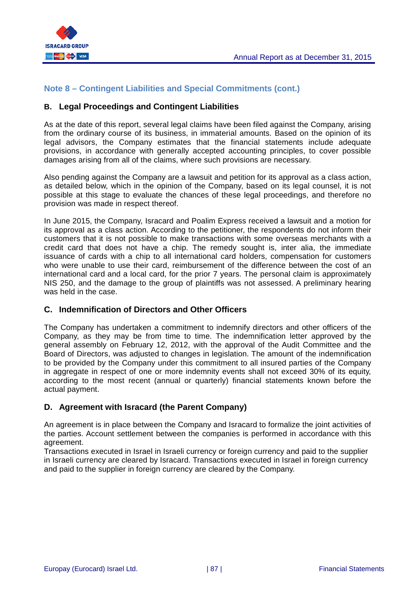



# **B. Legal Proceedings and Contingent Liabilities**

As at the date of this report, several legal claims have been filed against the Company, arising from the ordinary course of its business, in immaterial amounts. Based on the opinion of its legal advisors, the Company estimates that the financial statements include adequate provisions, in accordance with generally accepted accounting principles, to cover possible damages arising from all of the claims, where such provisions are necessary.

Also pending against the Company are a lawsuit and petition for its approval as a class action, as detailed below, which in the opinion of the Company, based on its legal counsel, it is not possible at this stage to evaluate the chances of these legal proceedings, and therefore no provision was made in respect thereof.

In June 2015, the Company, Isracard and Poalim Express received a lawsuit and a motion for its approval as a class action. According to the petitioner, the respondents do not inform their customers that it is not possible to make transactions with some overseas merchants with a credit card that does not have a chip. The remedy sought is, inter alia, the immediate issuance of cards with a chip to all international card holders, compensation for customers who were unable to use their card, reimbursement of the difference between the cost of an international card and a local card, for the prior 7 years. The personal claim is approximately NIS 250, and the damage to the group of plaintiffs was not assessed. A preliminary hearing was held in the case.

# **C. Indemnification of Directors and Other Officers**

The Company has undertaken a commitment to indemnify directors and other officers of the Company, as they may be from time to time. The indemnification letter approved by the general assembly on February 12, 2012, with the approval of the Audit Committee and the Board of Directors, was adjusted to changes in legislation. The amount of the indemnification to be provided by the Company under this commitment to all insured parties of the Company in aggregate in respect of one or more indemnity events shall not exceed 30% of its equity, according to the most recent (annual or quarterly) financial statements known before the actual payment.

# **D. Agreement with Isracard (the Parent Company)**

An agreement is in place between the Company and Isracard to formalize the joint activities of the parties. Account settlement between the companies is performed in accordance with this agreement.

Transactions executed in Israel in Israeli currency or foreign currency and paid to the supplier in Israeli currency are cleared by Isracard. Transactions executed in Israel in foreign currency and paid to the supplier in foreign currency are cleared by the Company.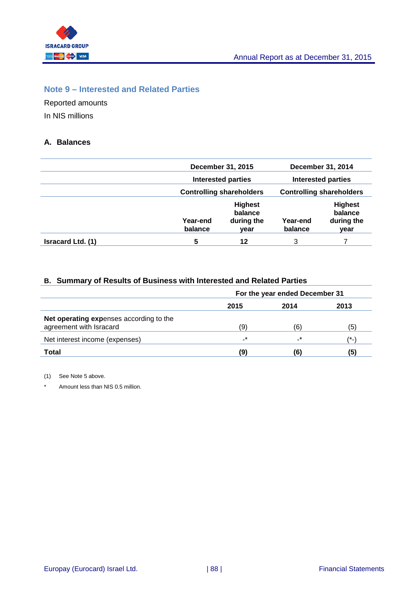

# **Note 9 – Interested and Related Parties**

Reported amounts In NIS millions

# **A. Balances**

|                          |                     | December 31, 2015                               |                     | December 31, 2014                               |
|--------------------------|---------------------|-------------------------------------------------|---------------------|-------------------------------------------------|
|                          |                     | Interested parties                              |                     | Interested parties                              |
|                          |                     | <b>Controlling shareholders</b>                 |                     | <b>Controlling shareholders</b>                 |
|                          | Year-end<br>balance | <b>Highest</b><br>balance<br>during the<br>year | Year-end<br>balance | <b>Highest</b><br>balance<br>during the<br>year |
| <b>Isracard Ltd. (1)</b> | 5                   | 12                                              | 3                   |                                                 |

### **B. Summary of Results of Business with Interested and Related Parties**

|                                         | For the year ended December 31 |           |                    |
|-----------------------------------------|--------------------------------|-----------|--------------------|
|                                         | 2015                           | 2014      | 2013               |
| Net operating expenses according to the |                                |           |                    |
| agreement with Isracard                 | (9)                            | (6)       | (5)                |
| Net interest income (expenses)          | $\cdot^*$                      | $\cdot^*$ | $^{\prime\star}$ – |
| <b>Total</b>                            | (9)                            | (6)       | (5)                |

(1) See Note 5 above.

Amount less than NIS 0.5 million.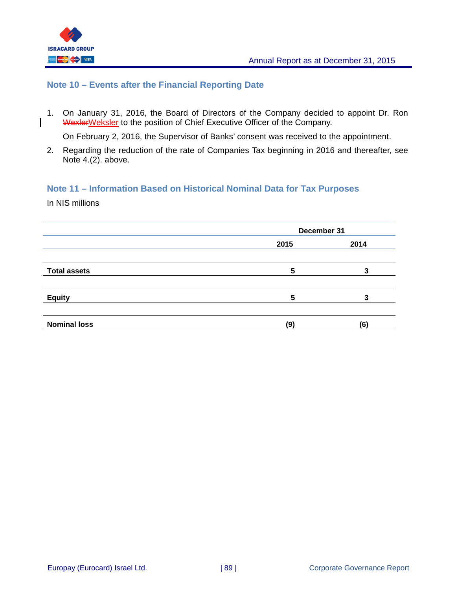

# **Note 10 – Events after the Financial Reporting Date**

1. On January 31, 2016, the Board of Directors of the Company decided to appoint Dr. Ron WexlerWeksler to the position of Chief Executive Officer of the Company.

On February 2, 2016, the Supervisor of Banks' consent was received to the appointment.

2. Regarding the reduction of the rate of Companies Tax beginning in 2016 and thereafter, see Note 4.(2). above.

# **Note 11 – Information Based on Historical Nominal Data for Tax Purposes**

In NIS millions

|                     |      | December 31 |
|---------------------|------|-------------|
|                     | 2015 | 2014        |
| <b>Total assets</b> | 5    | 3           |
| <b>Equity</b>       | 5    |             |
| <b>Nominal loss</b> | (9)  | (6)         |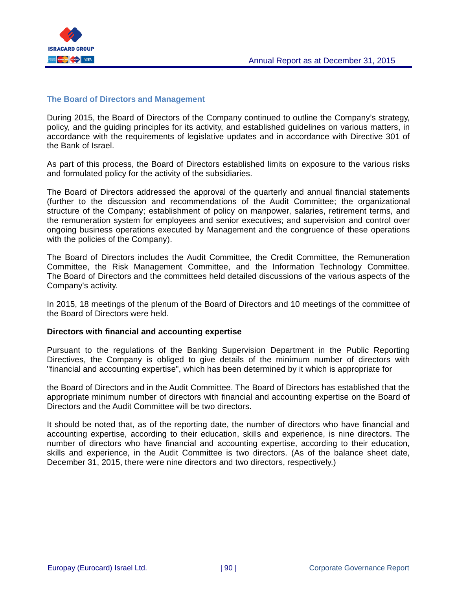

#### **The Board of Directors and Management**

During 2015, the Board of Directors of the Company continued to outline the Company's strategy, policy, and the guiding principles for its activity, and established guidelines on various matters, in accordance with the requirements of legislative updates and in accordance with Directive 301 of the Bank of Israel.

As part of this process, the Board of Directors established limits on exposure to the various risks and formulated policy for the activity of the subsidiaries.

The Board of Directors addressed the approval of the quarterly and annual financial statements (further to the discussion and recommendations of the Audit Committee; the organizational structure of the Company; establishment of policy on manpower, salaries, retirement terms, and the remuneration system for employees and senior executives; and supervision and control over ongoing business operations executed by Management and the congruence of these operations with the policies of the Company).

The Board of Directors includes the Audit Committee, the Credit Committee, the Remuneration Committee, the Risk Management Committee, and the Information Technology Committee. The Board of Directors and the committees held detailed discussions of the various aspects of the Company's activity.

In 2015, 18 meetings of the plenum of the Board of Directors and 10 meetings of the committee of the Board of Directors were held.

#### **Directors with financial and accounting expertise**

Pursuant to the regulations of the Banking Supervision Department in the Public Reporting Directives, the Company is obliged to give details of the minimum number of directors with "financial and accounting expertise", which has been determined by it which is appropriate for

the Board of Directors and in the Audit Committee. The Board of Directors has established that the appropriate minimum number of directors with financial and accounting expertise on the Board of Directors and the Audit Committee will be two directors.

It should be noted that, as of the reporting date, the number of directors who have financial and accounting expertise, according to their education, skills and experience, is nine directors. The number of directors who have financial and accounting expertise, according to their education, skills and experience, in the Audit Committee is two directors. (As of the balance sheet date, December 31, 2015, there were nine directors and two directors, respectively.)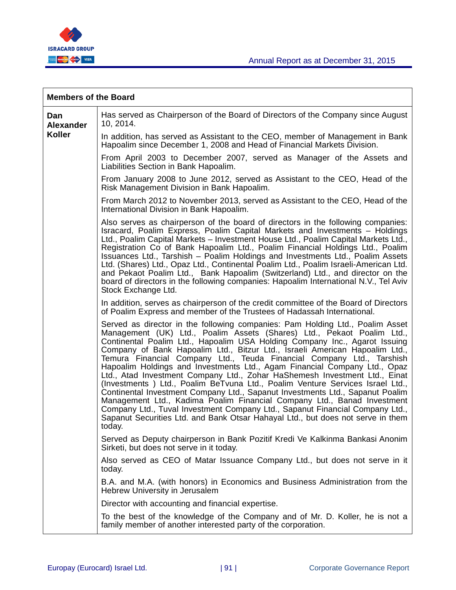

| <b>Members of the Board</b> |                                                                                                                                                                                                                                                                                                                                                                                                                                                                                                                                                                                                                                                                                                                                                                                                                                                                                                                                                                                    |
|-----------------------------|------------------------------------------------------------------------------------------------------------------------------------------------------------------------------------------------------------------------------------------------------------------------------------------------------------------------------------------------------------------------------------------------------------------------------------------------------------------------------------------------------------------------------------------------------------------------------------------------------------------------------------------------------------------------------------------------------------------------------------------------------------------------------------------------------------------------------------------------------------------------------------------------------------------------------------------------------------------------------------|
| Dan<br><b>Alexander</b>     | Has served as Chairperson of the Board of Directors of the Company since August<br>10, 2014.                                                                                                                                                                                                                                                                                                                                                                                                                                                                                                                                                                                                                                                                                                                                                                                                                                                                                       |
| <b>Koller</b>               | In addition, has served as Assistant to the CEO, member of Management in Bank<br>Hapoalim since December 1, 2008 and Head of Financial Markets Division.                                                                                                                                                                                                                                                                                                                                                                                                                                                                                                                                                                                                                                                                                                                                                                                                                           |
|                             | From April 2003 to December 2007, served as Manager of the Assets and<br>Liabilities Section in Bank Hapoalim.                                                                                                                                                                                                                                                                                                                                                                                                                                                                                                                                                                                                                                                                                                                                                                                                                                                                     |
|                             | From January 2008 to June 2012, served as Assistant to the CEO, Head of the<br>Risk Management Division in Bank Hapoalim.                                                                                                                                                                                                                                                                                                                                                                                                                                                                                                                                                                                                                                                                                                                                                                                                                                                          |
|                             | From March 2012 to November 2013, served as Assistant to the CEO, Head of the<br>International Division in Bank Hapoalim.                                                                                                                                                                                                                                                                                                                                                                                                                                                                                                                                                                                                                                                                                                                                                                                                                                                          |
|                             | Also serves as chairperson of the board of directors in the following companies:<br>Isracard, Poalim Express, Poalim Capital Markets and Investments - Holdings<br>Ltd., Poalim Capital Markets - Investment House Ltd., Poalim Capital Markets Ltd.,<br>Registration Co of Bank Hapoalim Ltd., Poalim Financial Holdings Ltd., Poalim<br>Issuances Ltd., Tarshish - Poalim Holdings and Investments Ltd., Poalim Assets<br>Ltd. (Shares) Ltd., Opaz Ltd., Continental Poalim Ltd., Poalim Israeli-American Ltd.<br>and Pekaot Poalim Ltd., Bank Hapoalim (Switzerland) Ltd., and director on the<br>board of directors in the following companies: Hapoalim International N.V., Tel Aviv<br>Stock Exchange Ltd.                                                                                                                                                                                                                                                                   |
|                             | In addition, serves as chairperson of the credit committee of the Board of Directors<br>of Poalim Express and member of the Trustees of Hadassah International.                                                                                                                                                                                                                                                                                                                                                                                                                                                                                                                                                                                                                                                                                                                                                                                                                    |
|                             | Served as director in the following companies: Pam Holding Ltd., Poalim Asset<br>Management (UK) Ltd., Poalim Assets (Shares) Ltd., Pekaot Poalim Ltd.,<br>Continental Poalim Ltd., Hapoalim USA Holding Company Inc., Agarot Issuing<br>Company of Bank Hapoalim Ltd., Bitzur Ltd., Israeli American Hapoalim Ltd.,<br>Temura Financial Company Ltd., Teuda Financial Company Ltd., Tarshish<br>Hapoalim Holdings and Investments Ltd., Agam Financial Company Ltd., Opaz<br>Ltd., Atad Investment Company Ltd., Zohar HaShemesh Investment Ltd., Einat<br>(Investments) Ltd., Poalim BeTvuna Ltd., Poalim Venture Services Israel Ltd.,<br>Continental Investment Company Ltd., Sapanut Investments Ltd., Sapanut Poalim<br>Management Ltd., Kadima Poalim Financial Company Ltd., Banad Investment<br>Company Ltd., Tuval Investment Company Ltd., Sapanut Financial Company Ltd.,<br>Sapanut Securities Ltd. and Bank Otsar Hahayal Ltd., but does not serve in them<br>today. |
|                             | Served as Deputy chairperson in Bank Pozitif Kredi Ve Kalkinma Bankasi Anonim<br>Sirketi, but does not serve in it today.                                                                                                                                                                                                                                                                                                                                                                                                                                                                                                                                                                                                                                                                                                                                                                                                                                                          |
|                             | Also served as CEO of Matar Issuance Company Ltd., but does not serve in it<br>today.                                                                                                                                                                                                                                                                                                                                                                                                                                                                                                                                                                                                                                                                                                                                                                                                                                                                                              |
|                             | B.A. and M.A. (with honors) in Economics and Business Administration from the<br>Hebrew University in Jerusalem                                                                                                                                                                                                                                                                                                                                                                                                                                                                                                                                                                                                                                                                                                                                                                                                                                                                    |
|                             | Director with accounting and financial expertise.                                                                                                                                                                                                                                                                                                                                                                                                                                                                                                                                                                                                                                                                                                                                                                                                                                                                                                                                  |
|                             | To the best of the knowledge of the Company and of Mr. D. Koller, he is not a<br>family member of another interested party of the corporation.                                                                                                                                                                                                                                                                                                                                                                                                                                                                                                                                                                                                                                                                                                                                                                                                                                     |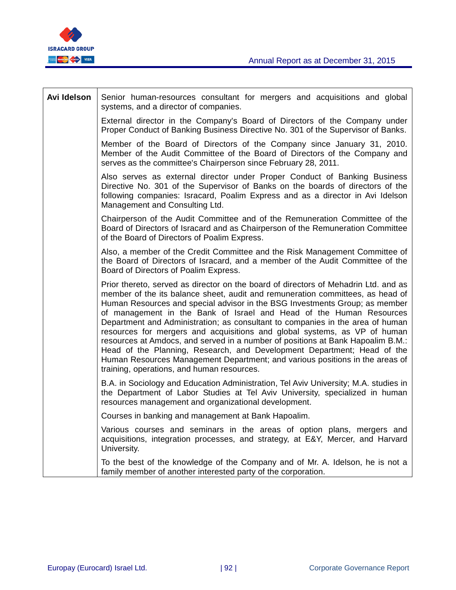

| Avi Idelson | Senior human-resources consultant for mergers and acquisitions and global<br>systems, and a director of companies.                                                                                                                                                                                                                                                                                                                                                                                                                                                                                                                                                                                                                                                                     |
|-------------|----------------------------------------------------------------------------------------------------------------------------------------------------------------------------------------------------------------------------------------------------------------------------------------------------------------------------------------------------------------------------------------------------------------------------------------------------------------------------------------------------------------------------------------------------------------------------------------------------------------------------------------------------------------------------------------------------------------------------------------------------------------------------------------|
|             | External director in the Company's Board of Directors of the Company under<br>Proper Conduct of Banking Business Directive No. 301 of the Supervisor of Banks.                                                                                                                                                                                                                                                                                                                                                                                                                                                                                                                                                                                                                         |
|             | Member of the Board of Directors of the Company since January 31, 2010.<br>Member of the Audit Committee of the Board of Directors of the Company and<br>serves as the committee's Chairperson since February 28, 2011.                                                                                                                                                                                                                                                                                                                                                                                                                                                                                                                                                                |
|             | Also serves as external director under Proper Conduct of Banking Business<br>Directive No. 301 of the Supervisor of Banks on the boards of directors of the<br>following companies: Isracard, Poalim Express and as a director in Avi Idelson<br>Management and Consulting Ltd.                                                                                                                                                                                                                                                                                                                                                                                                                                                                                                        |
|             | Chairperson of the Audit Committee and of the Remuneration Committee of the<br>Board of Directors of Isracard and as Chairperson of the Remuneration Committee<br>of the Board of Directors of Poalim Express.                                                                                                                                                                                                                                                                                                                                                                                                                                                                                                                                                                         |
|             | Also, a member of the Credit Committee and the Risk Management Committee of<br>the Board of Directors of Isracard, and a member of the Audit Committee of the<br>Board of Directors of Poalim Express.                                                                                                                                                                                                                                                                                                                                                                                                                                                                                                                                                                                 |
|             | Prior thereto, served as director on the board of directors of Mehadrin Ltd. and as<br>member of the its balance sheet, audit and remuneration committees, as head of<br>Human Resources and special advisor in the BSG Investments Group; as member<br>of management in the Bank of Israel and Head of the Human Resources<br>Department and Administration; as consultant to companies in the area of human<br>resources for mergers and acquisitions and global systems, as VP of human<br>resources at Amdocs, and served in a number of positions at Bank Hapoalim B.M.:<br>Head of the Planning, Research, and Development Department; Head of the<br>Human Resources Management Department; and various positions in the areas of<br>training, operations, and human resources. |
|             | B.A. in Sociology and Education Administration, Tel Aviv University; M.A. studies in<br>the Department of Labor Studies at Tel Aviv University, specialized in human<br>resources management and organizational development.                                                                                                                                                                                                                                                                                                                                                                                                                                                                                                                                                           |
|             | Courses in banking and management at Bank Hapoalim.                                                                                                                                                                                                                                                                                                                                                                                                                                                                                                                                                                                                                                                                                                                                    |
|             | Various courses and seminars in the areas of option plans, mergers and<br>acquisitions, integration processes, and strategy, at E&Y, Mercer, and Harvard<br>University.                                                                                                                                                                                                                                                                                                                                                                                                                                                                                                                                                                                                                |
|             | To the best of the knowledge of the Company and of Mr. A. Idelson, he is not a<br>family member of another interested party of the corporation.                                                                                                                                                                                                                                                                                                                                                                                                                                                                                                                                                                                                                                        |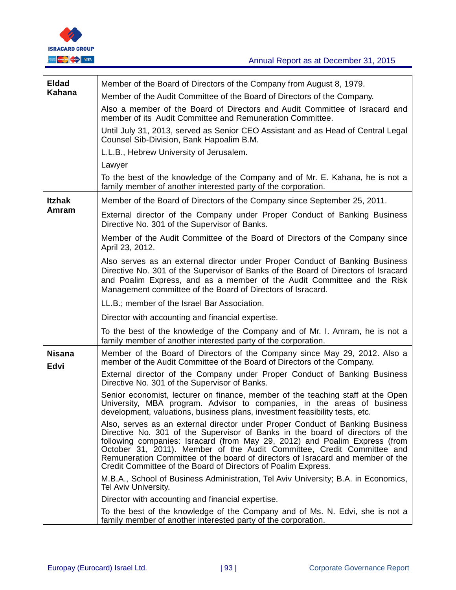

| <b>Eldad</b>                 | Member of the Board of Directors of the Company from August 8, 1979.                                                                                                                                                                                                                                                                                                                                                                                                      |
|------------------------------|---------------------------------------------------------------------------------------------------------------------------------------------------------------------------------------------------------------------------------------------------------------------------------------------------------------------------------------------------------------------------------------------------------------------------------------------------------------------------|
| <b>Kahana</b>                | Member of the Audit Committee of the Board of Directors of the Company.                                                                                                                                                                                                                                                                                                                                                                                                   |
|                              | Also a member of the Board of Directors and Audit Committee of Isracard and<br>member of its Audit Committee and Remuneration Committee.                                                                                                                                                                                                                                                                                                                                  |
|                              | Until July 31, 2013, served as Senior CEO Assistant and as Head of Central Legal<br>Counsel Sib-Division, Bank Hapoalim B.M.                                                                                                                                                                                                                                                                                                                                              |
|                              | L.L.B., Hebrew University of Jerusalem.                                                                                                                                                                                                                                                                                                                                                                                                                                   |
|                              | Lawyer                                                                                                                                                                                                                                                                                                                                                                                                                                                                    |
|                              | To the best of the knowledge of the Company and of Mr. E. Kahana, he is not a<br>family member of another interested party of the corporation.                                                                                                                                                                                                                                                                                                                            |
| <b>Itzhak</b>                | Member of the Board of Directors of the Company since September 25, 2011.                                                                                                                                                                                                                                                                                                                                                                                                 |
| Amram                        | External director of the Company under Proper Conduct of Banking Business<br>Directive No. 301 of the Supervisor of Banks.                                                                                                                                                                                                                                                                                                                                                |
|                              | Member of the Audit Committee of the Board of Directors of the Company since<br>April 23, 2012.                                                                                                                                                                                                                                                                                                                                                                           |
|                              | Also serves as an external director under Proper Conduct of Banking Business<br>Directive No. 301 of the Supervisor of Banks of the Board of Directors of Isracard<br>and Poalim Express, and as a member of the Audit Committee and the Risk<br>Management committee of the Board of Directors of Isracard.                                                                                                                                                              |
|                              | LL.B.; member of the Israel Bar Association.                                                                                                                                                                                                                                                                                                                                                                                                                              |
|                              | Director with accounting and financial expertise.                                                                                                                                                                                                                                                                                                                                                                                                                         |
|                              | To the best of the knowledge of the Company and of Mr. I. Amram, he is not a<br>family member of another interested party of the corporation.                                                                                                                                                                                                                                                                                                                             |
| <b>Nisana</b><br><b>Edvi</b> | Member of the Board of Directors of the Company since May 29, 2012. Also a<br>member of the Audit Committee of the Board of Directors of the Company.                                                                                                                                                                                                                                                                                                                     |
|                              | External director of the Company under Proper Conduct of Banking Business<br>Directive No. 301 of the Supervisor of Banks.                                                                                                                                                                                                                                                                                                                                                |
|                              | Senior economist, lecturer on finance, member of the teaching staff at the Open<br>University, MBA program. Advisor to companies, in the areas of business<br>development, valuations, business plans, investment feasibility tests, etc.                                                                                                                                                                                                                                 |
|                              | Also, serves as an external director under Proper Conduct of Banking Business<br>Directive No. 301 of the Supervisor of Banks in the board of directors of the<br>following companies: Isracard (from May 29, 2012) and Poalim Express (from<br>October 31, 2011). Member of the Audit Committee, Credit Committee and<br>Remuneration Committee of the board of directors of Isracard and member of the<br>Credit Committee of the Board of Directors of Poalim Express. |
|                              | M.B.A., School of Business Administration, Tel Aviv University; B.A. in Economics,<br>Tel Aviv University.                                                                                                                                                                                                                                                                                                                                                                |
|                              | Director with accounting and financial expertise.                                                                                                                                                                                                                                                                                                                                                                                                                         |
|                              | To the best of the knowledge of the Company and of Ms. N. Edvi, she is not a<br>family member of another interested party of the corporation.                                                                                                                                                                                                                                                                                                                             |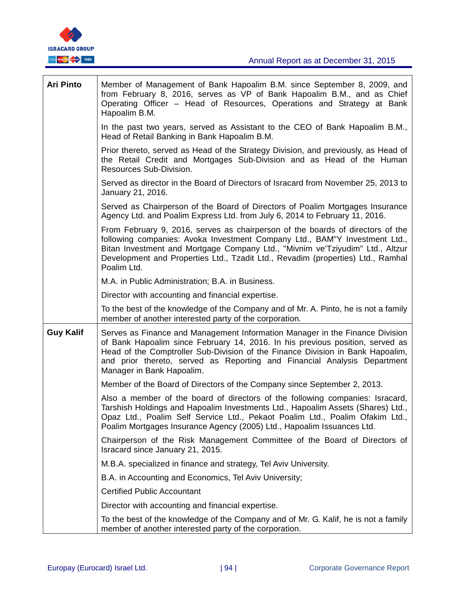

| <b>Ari Pinto</b> | Member of Management of Bank Hapoalim B.M. since September 8, 2009, and<br>from February 8, 2016, serves as VP of Bank Hapoalim B.M., and as Chief<br>Operating Officer - Head of Resources, Operations and Strategy at Bank<br>Hapoalim B.M.                                                                                                            |
|------------------|----------------------------------------------------------------------------------------------------------------------------------------------------------------------------------------------------------------------------------------------------------------------------------------------------------------------------------------------------------|
|                  | In the past two years, served as Assistant to the CEO of Bank Hapoalim B.M.,<br>Head of Retail Banking in Bank Hapoalim B.M.                                                                                                                                                                                                                             |
|                  | Prior thereto, served as Head of the Strategy Division, and previously, as Head of<br>the Retail Credit and Mortgages Sub-Division and as Head of the Human<br>Resources Sub-Division.                                                                                                                                                                   |
|                  | Served as director in the Board of Directors of Isracard from November 25, 2013 to<br>January 21, 2016.                                                                                                                                                                                                                                                  |
|                  | Served as Chairperson of the Board of Directors of Poalim Mortgages Insurance<br>Agency Ltd. and Poalim Express Ltd. from July 6, 2014 to February 11, 2016.                                                                                                                                                                                             |
|                  | From February 9, 2016, serves as chairperson of the boards of directors of the<br>following companies: Avoka Investment Company Ltd., BAM"Y Investment Ltd.,<br>Bitan Investment and Mortgage Company Ltd., "Mivnim ve'Tziyudim" Ltd., Altzur<br>Development and Properties Ltd., Tzadit Ltd., Revadim (properties) Ltd., Ramhal<br>Poalim Ltd.          |
|                  | M.A. in Public Administration; B.A. in Business.                                                                                                                                                                                                                                                                                                         |
|                  | Director with accounting and financial expertise.                                                                                                                                                                                                                                                                                                        |
|                  | To the best of the knowledge of the Company and of Mr. A. Pinto, he is not a family<br>member of another interested party of the corporation.                                                                                                                                                                                                            |
| <b>Guy Kalif</b> | Serves as Finance and Management Information Manager in the Finance Division<br>of Bank Hapoalim since February 14, 2016. In his previous position, served as<br>Head of the Comptroller Sub-Division of the Finance Division in Bank Hapoalim,<br>and prior thereto, served as Reporting and Financial Analysis Department<br>Manager in Bank Hapoalim. |
|                  | Member of the Board of Directors of the Company since September 2, 2013.                                                                                                                                                                                                                                                                                 |
|                  | Also a member of the board of directors of the following companies: Isracard,<br>Tarshish Holdings and Hapoalim Investments Ltd., Hapoalim Assets (Shares) Ltd.,<br>Opaz Ltd., Poalim Self Service Ltd., Pekaot Poalim Ltd., Poalim Ofakim Ltd.,<br>Poalim Mortgages Insurance Agency (2005) Ltd., Hapoalim Issuances Ltd.                               |
|                  | Chairperson of the Risk Management Committee of the Board of Directors of<br>Isracard since January 21, 2015.                                                                                                                                                                                                                                            |
|                  | M.B.A. specialized in finance and strategy, Tel Aviv University.                                                                                                                                                                                                                                                                                         |
|                  | B.A. in Accounting and Economics, Tel Aviv University;                                                                                                                                                                                                                                                                                                   |
|                  | <b>Certified Public Accountant</b>                                                                                                                                                                                                                                                                                                                       |
|                  | Director with accounting and financial expertise.                                                                                                                                                                                                                                                                                                        |
|                  | To the best of the knowledge of the Company and of Mr. G. Kalif, he is not a family<br>member of another interested party of the corporation.                                                                                                                                                                                                            |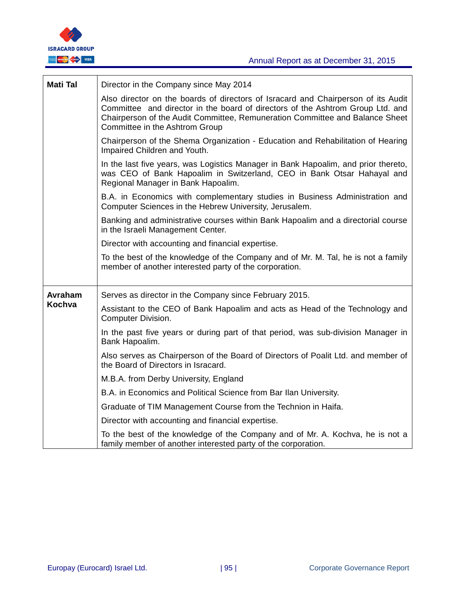

| <b>Mati Tal</b> | Director in the Company since May 2014                                                                                                                                                                                                                                                |
|-----------------|---------------------------------------------------------------------------------------------------------------------------------------------------------------------------------------------------------------------------------------------------------------------------------------|
|                 | Also director on the boards of directors of Isracard and Chairperson of its Audit<br>Committee and director in the board of directors of the Ashtrom Group Ltd. and<br>Chairperson of the Audit Committee, Remuneration Committee and Balance Sheet<br>Committee in the Ashtrom Group |
|                 | Chairperson of the Shema Organization - Education and Rehabilitation of Hearing<br>Impaired Children and Youth.                                                                                                                                                                       |
|                 | In the last five years, was Logistics Manager in Bank Hapoalim, and prior thereto,<br>was CEO of Bank Hapoalim in Switzerland, CEO in Bank Otsar Hahayal and<br>Regional Manager in Bank Hapoalim.                                                                                    |
|                 | B.A. in Economics with complementary studies in Business Administration and<br>Computer Sciences in the Hebrew University, Jerusalem.                                                                                                                                                 |
|                 | Banking and administrative courses within Bank Hapoalim and a directorial course<br>in the Israeli Management Center.                                                                                                                                                                 |
|                 | Director with accounting and financial expertise.                                                                                                                                                                                                                                     |
|                 | To the best of the knowledge of the Company and of Mr. M. Tal, he is not a family<br>member of another interested party of the corporation.                                                                                                                                           |
| Avraham         | Serves as director in the Company since February 2015.                                                                                                                                                                                                                                |
| Kochva          | Assistant to the CEO of Bank Hapoalim and acts as Head of the Technology and<br><b>Computer Division.</b>                                                                                                                                                                             |
|                 | In the past five years or during part of that period, was sub-division Manager in<br>Bank Hapoalim.                                                                                                                                                                                   |
|                 | Also serves as Chairperson of the Board of Directors of Poalit Ltd. and member of<br>the Board of Directors in Isracard.                                                                                                                                                              |
|                 | M.B.A. from Derby University, England                                                                                                                                                                                                                                                 |
|                 | B.A. in Economics and Political Science from Bar Ilan University.                                                                                                                                                                                                                     |
|                 | Graduate of TIM Management Course from the Technion in Haifa.                                                                                                                                                                                                                         |
|                 | Director with accounting and financial expertise.                                                                                                                                                                                                                                     |
|                 | To the best of the knowledge of the Company and of Mr. A. Kochva, he is not a<br>family member of another interested party of the corporation.                                                                                                                                        |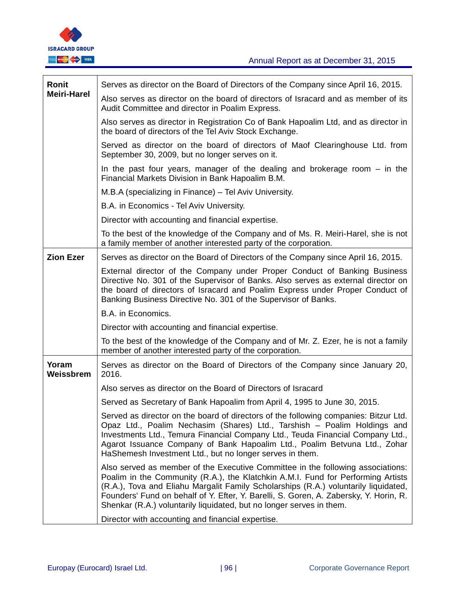

| Ronit              | Serves as director on the Board of Directors of the Company since April 16, 2015.                                                                                                                                                                                                                                                                                                                                           |
|--------------------|-----------------------------------------------------------------------------------------------------------------------------------------------------------------------------------------------------------------------------------------------------------------------------------------------------------------------------------------------------------------------------------------------------------------------------|
| <b>Meiri-Harel</b> | Also serves as director on the board of directors of Isracard and as member of its<br>Audit Committee and director in Poalim Express.                                                                                                                                                                                                                                                                                       |
|                    | Also serves as director in Registration Co of Bank Hapoalim Ltd, and as director in<br>the board of directors of the Tel Aviv Stock Exchange.                                                                                                                                                                                                                                                                               |
|                    | Served as director on the board of directors of Maof Clearinghouse Ltd. from<br>September 30, 2009, but no longer serves on it.                                                                                                                                                                                                                                                                                             |
|                    | In the past four years, manager of the dealing and brokerage room $-$ in the<br>Financial Markets Division in Bank Hapoalim B.M.                                                                                                                                                                                                                                                                                            |
|                    | M.B.A (specializing in Finance) – Tel Aviv University.                                                                                                                                                                                                                                                                                                                                                                      |
|                    | B.A. in Economics - Tel Aviv University.                                                                                                                                                                                                                                                                                                                                                                                    |
|                    | Director with accounting and financial expertise.                                                                                                                                                                                                                                                                                                                                                                           |
|                    | To the best of the knowledge of the Company and of Ms. R. Meiri-Harel, she is not<br>a family member of another interested party of the corporation.                                                                                                                                                                                                                                                                        |
| <b>Zion Ezer</b>   | Serves as director on the Board of Directors of the Company since April 16, 2015.                                                                                                                                                                                                                                                                                                                                           |
|                    | External director of the Company under Proper Conduct of Banking Business<br>Directive No. 301 of the Supervisor of Banks. Also serves as external director on<br>the board of directors of Isracard and Poalim Express under Proper Conduct of<br>Banking Business Directive No. 301 of the Supervisor of Banks.                                                                                                           |
|                    | B.A. in Economics.                                                                                                                                                                                                                                                                                                                                                                                                          |
|                    | Director with accounting and financial expertise.                                                                                                                                                                                                                                                                                                                                                                           |
|                    | To the best of the knowledge of the Company and of Mr. Z. Ezer, he is not a family<br>member of another interested party of the corporation.                                                                                                                                                                                                                                                                                |
| Yoram<br>Weissbrem | Serves as director on the Board of Directors of the Company since January 20,<br>2016.                                                                                                                                                                                                                                                                                                                                      |
|                    | Also serves as director on the Board of Directors of Isracard                                                                                                                                                                                                                                                                                                                                                               |
|                    | Served as Secretary of Bank Hapoalim from April 4, 1995 to June 30, 2015.                                                                                                                                                                                                                                                                                                                                                   |
|                    | Served as director on the board of directors of the following companies: Bitzur Ltd.<br>Opaz Ltd., Poalim Nechasim (Shares) Ltd., Tarshish - Poalim Holdings and<br>Investments Ltd., Temura Financial Company Ltd., Teuda Financial Company Ltd.,<br>Agarot Issuance Company of Bank Hapoalim Ltd., Poalim Betvuna Ltd., Zohar<br>HaShemesh Investment Ltd., but no longer serves in them.                                 |
|                    | Also served as member of the Executive Committee in the following associations:<br>Poalim in the Community (R.A.), the Klatchkin A.M.I. Fund for Performing Artists<br>(R.A.), Tova and Eliahu Margalit Family Scholarships (R.A.) voluntarily liquidated,<br>Founders' Fund on behalf of Y. Efter, Y. Barelli, S. Goren, A. Zabersky, Y. Horin, R.<br>Shenkar (R.A.) voluntarily liquidated, but no longer serves in them. |
|                    | Director with accounting and financial expertise.                                                                                                                                                                                                                                                                                                                                                                           |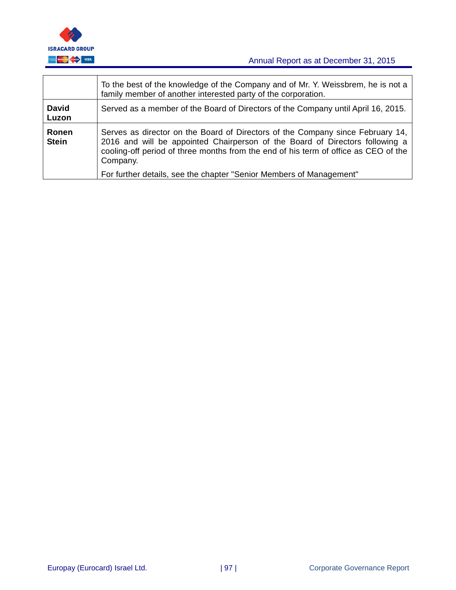

|                       | To the best of the knowledge of the Company and of Mr. Y. Weissbrem, he is not a<br>family member of another interested party of the corporation.                                                                                                                                                                                        |
|-----------------------|------------------------------------------------------------------------------------------------------------------------------------------------------------------------------------------------------------------------------------------------------------------------------------------------------------------------------------------|
| <b>David</b><br>Luzon | Served as a member of the Board of Directors of the Company until April 16, 2015.                                                                                                                                                                                                                                                        |
| Ronen<br><b>Stein</b> | Serves as director on the Board of Directors of the Company since February 14,<br>2016 and will be appointed Chairperson of the Board of Directors following a<br>cooling-off period of three months from the end of his term of office as CEO of the<br>Company.<br>For further details, see the chapter "Senior Members of Management" |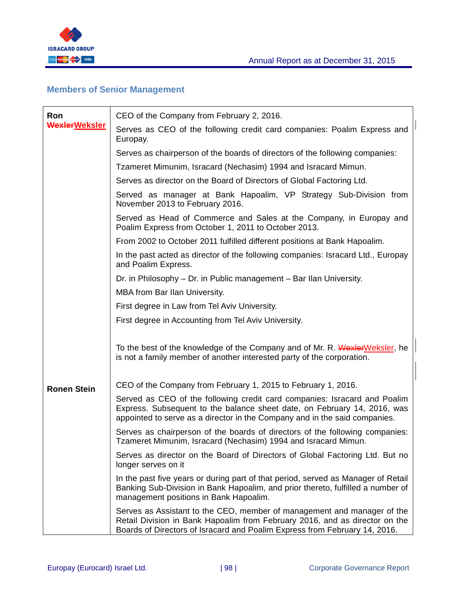

# **Members of Senior Management**

| Ron                  | CEO of the Company from February 2, 2016.                                                                                                                                                                                            |
|----------------------|--------------------------------------------------------------------------------------------------------------------------------------------------------------------------------------------------------------------------------------|
| <b>WexlerWeksler</b> | Serves as CEO of the following credit card companies: Poalim Express and<br>Europay.                                                                                                                                                 |
|                      | Serves as chairperson of the boards of directors of the following companies:                                                                                                                                                         |
|                      | Tzameret Mimunim, Isracard (Nechasim) 1994 and Isracard Mimun.                                                                                                                                                                       |
|                      | Serves as director on the Board of Directors of Global Factoring Ltd.                                                                                                                                                                |
|                      | Served as manager at Bank Hapoalim, VP Strategy Sub-Division from<br>November 2013 to February 2016.                                                                                                                                 |
|                      | Served as Head of Commerce and Sales at the Company, in Europay and<br>Poalim Express from October 1, 2011 to October 2013.                                                                                                          |
|                      | From 2002 to October 2011 fulfilled different positions at Bank Hapoalim.                                                                                                                                                            |
|                      | In the past acted as director of the following companies: Isracard Ltd., Europay<br>and Poalim Express.                                                                                                                              |
|                      | Dr. in Philosophy – Dr. in Public management – Bar Ilan University.                                                                                                                                                                  |
|                      | MBA from Bar Ilan University.                                                                                                                                                                                                        |
|                      | First degree in Law from Tel Aviv University.                                                                                                                                                                                        |
|                      | First degree in Accounting from Tel Aviv University.                                                                                                                                                                                 |
|                      | To the best of the knowledge of the Company and of Mr. R. Wexler Weksler, he<br>is not a family member of another interested party of the corporation.                                                                               |
| <b>Ronen Stein</b>   | CEO of the Company from February 1, 2015 to February 1, 2016.                                                                                                                                                                        |
|                      | Served as CEO of the following credit card companies: Isracard and Poalim<br>Express. Subsequent to the balance sheet date, on February 14, 2016, was<br>appointed to serve as a director in the Company and in the said companies.  |
|                      | Serves as chairperson of the boards of directors of the following companies:<br>Tzameret Mimunim, Isracard (Nechasim) 1994 and Isracard Mimun.                                                                                       |
|                      | Serves as director on the Board of Directors of Global Factoring Ltd. But no<br>longer serves on it                                                                                                                                  |
|                      | In the past five years or during part of that period, served as Manager of Retail<br>Banking Sub-Division in Bank Hapoalim, and prior thereto, fulfilled a number of<br>management positions in Bank Hapoalim.                       |
|                      | Serves as Assistant to the CEO, member of management and manager of the<br>Retail Division in Bank Hapoalim from February 2016, and as director on the<br>Boards of Directors of Isracard and Poalim Express from February 14, 2016. |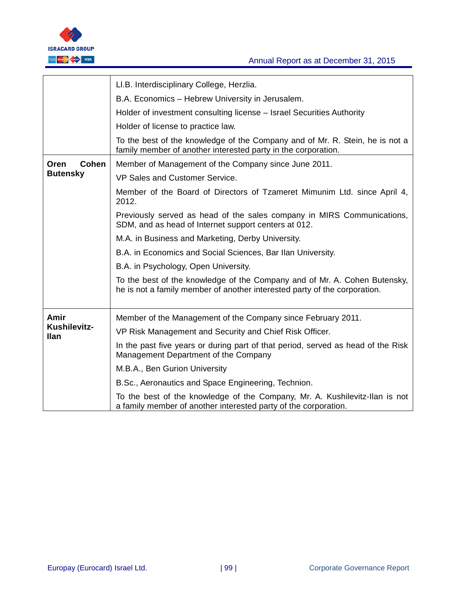

|                      | LI.B. Interdisciplinary College, Herzlia.                                                                                                              |
|----------------------|--------------------------------------------------------------------------------------------------------------------------------------------------------|
|                      | B.A. Economics - Hebrew University in Jerusalem.                                                                                                       |
|                      | Holder of investment consulting license – Israel Securities Authority                                                                                  |
|                      | Holder of license to practice law.                                                                                                                     |
|                      | To the best of the knowledge of the Company and of Mr. R. Stein, he is not a<br>family member of another interested party in the corporation.          |
| <b>Cohen</b><br>Oren | Member of Management of the Company since June 2011.                                                                                                   |
| <b>Butensky</b>      | VP Sales and Customer Service.                                                                                                                         |
|                      | Member of the Board of Directors of Tzameret Mimunim Ltd. since April 4,<br>2012.                                                                      |
|                      | Previously served as head of the sales company in MIRS Communications,<br>SDM, and as head of Internet support centers at 012.                         |
|                      | M.A. in Business and Marketing, Derby University.                                                                                                      |
|                      | B.A. in Economics and Social Sciences, Bar Ilan University.                                                                                            |
|                      | B.A. in Psychology, Open University.                                                                                                                   |
|                      | To the best of the knowledge of the Company and of Mr. A. Cohen Butensky,<br>he is not a family member of another interested party of the corporation. |
|                      |                                                                                                                                                        |
| Amir<br>Kushilevitz- | Member of the Management of the Company since February 2011.                                                                                           |
| <b>Ilan</b>          | VP Risk Management and Security and Chief Risk Officer.                                                                                                |
|                      | In the past five years or during part of that period, served as head of the Risk<br>Management Department of the Company                               |
|                      | M.B.A., Ben Gurion University                                                                                                                          |
|                      | B.Sc., Aeronautics and Space Engineering, Technion.                                                                                                    |
|                      | To the best of the knowledge of the Company, Mr. A. Kushilevitz-Ilan is not<br>a family member of another interested party of the corporation.         |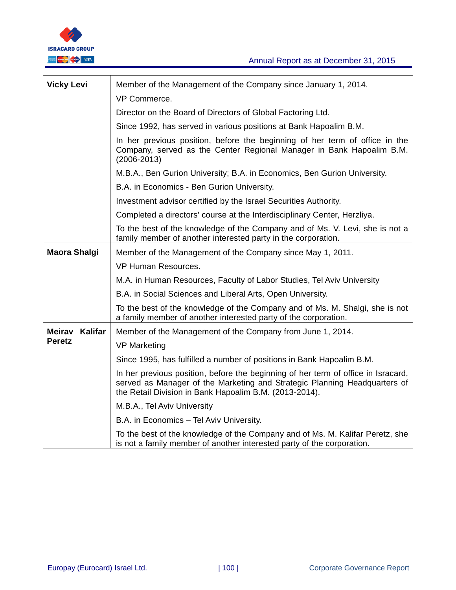

| <b>Vicky Levi</b>        | Member of the Management of the Company since January 1, 2014.                                                                                                                                                           |
|--------------------------|--------------------------------------------------------------------------------------------------------------------------------------------------------------------------------------------------------------------------|
|                          | VP Commerce.                                                                                                                                                                                                             |
|                          | Director on the Board of Directors of Global Factoring Ltd.                                                                                                                                                              |
|                          | Since 1992, has served in various positions at Bank Hapoalim B.M.                                                                                                                                                        |
|                          | In her previous position, before the beginning of her term of office in the<br>Company, served as the Center Regional Manager in Bank Hapoalim B.M.<br>$(2006 - 2013)$                                                   |
|                          | M.B.A., Ben Gurion University; B.A. in Economics, Ben Gurion University.                                                                                                                                                 |
|                          | B.A. in Economics - Ben Gurion University.                                                                                                                                                                               |
|                          | Investment advisor certified by the Israel Securities Authority.                                                                                                                                                         |
|                          | Completed a directors' course at the Interdisciplinary Center, Herzliya.                                                                                                                                                 |
|                          | To the best of the knowledge of the Company and of Ms. V. Levi, she is not a<br>family member of another interested party in the corporation.                                                                            |
| <b>Maora Shalgi</b>      | Member of the Management of the Company since May 1, 2011.                                                                                                                                                               |
|                          | VP Human Resources.                                                                                                                                                                                                      |
|                          | M.A. in Human Resources, Faculty of Labor Studies, Tel Aviv University                                                                                                                                                   |
|                          | B.A. in Social Sciences and Liberal Arts, Open University.                                                                                                                                                               |
|                          | To the best of the knowledge of the Company and of Ms. M. Shalgi, she is not<br>a family member of another interested party of the corporation.                                                                          |
| Meirav<br><b>Kalifar</b> | Member of the Management of the Company from June 1, 2014.                                                                                                                                                               |
| <b>Peretz</b>            | <b>VP Marketing</b>                                                                                                                                                                                                      |
|                          | Since 1995, has fulfilled a number of positions in Bank Hapoalim B.M.                                                                                                                                                    |
|                          | In her previous position, before the beginning of her term of office in Isracard,<br>served as Manager of the Marketing and Strategic Planning Headquarters of<br>the Retail Division in Bank Hapoalim B.M. (2013-2014). |
|                          | M.B.A., Tel Aviv University                                                                                                                                                                                              |
|                          | B.A. in Economics - Tel Aviv University.                                                                                                                                                                                 |
|                          | To the best of the knowledge of the Company and of Ms. M. Kalifar Peretz, she<br>is not a family member of another interested party of the corporation.                                                                  |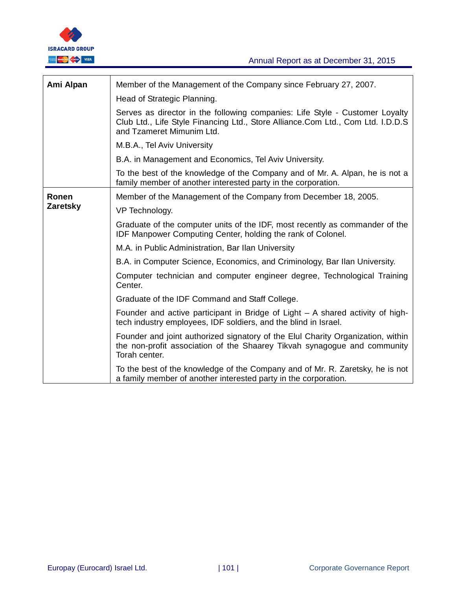

Annual Report as at December 31, 2015

| Ami Alpan       | Member of the Management of the Company since February 27, 2007.                                                                                                                             |
|-----------------|----------------------------------------------------------------------------------------------------------------------------------------------------------------------------------------------|
|                 | Head of Strategic Planning.                                                                                                                                                                  |
|                 | Serves as director in the following companies: Life Style - Customer Loyalty<br>Club Ltd., Life Style Financing Ltd., Store Alliance.Com Ltd., Com Ltd. I.D.D.S<br>and Tzameret Mimunim Ltd. |
|                 | M.B.A., Tel Aviv University                                                                                                                                                                  |
|                 | B.A. in Management and Economics, Tel Aviv University.                                                                                                                                       |
|                 | To the best of the knowledge of the Company and of Mr. A. Alpan, he is not a<br>family member of another interested party in the corporation.                                                |
| <b>Ronen</b>    | Member of the Management of the Company from December 18, 2005.                                                                                                                              |
| <b>Zaretsky</b> | VP Technology.                                                                                                                                                                               |
|                 | Graduate of the computer units of the IDF, most recently as commander of the<br>IDF Manpower Computing Center, holding the rank of Colonel.                                                  |
|                 | M.A. in Public Administration, Bar Ilan University                                                                                                                                           |
|                 | B.A. in Computer Science, Economics, and Criminology, Bar Ilan University.                                                                                                                   |
|                 | Computer technician and computer engineer degree, Technological Training<br>Center.                                                                                                          |
|                 | Graduate of the IDF Command and Staff College.                                                                                                                                               |
|                 | Founder and active participant in Bridge of Light $- A$ shared activity of high-<br>tech industry employees, IDF soldiers, and the blind in Israel.                                          |
|                 | Founder and joint authorized signatory of the Elul Charity Organization, within<br>the non-profit association of the Shaarey Tikvah synagogue and community<br>Torah center.                 |
|                 | To the best of the knowledge of the Company and of Mr. R. Zaretsky, he is not<br>a family member of another interested party in the corporation.                                             |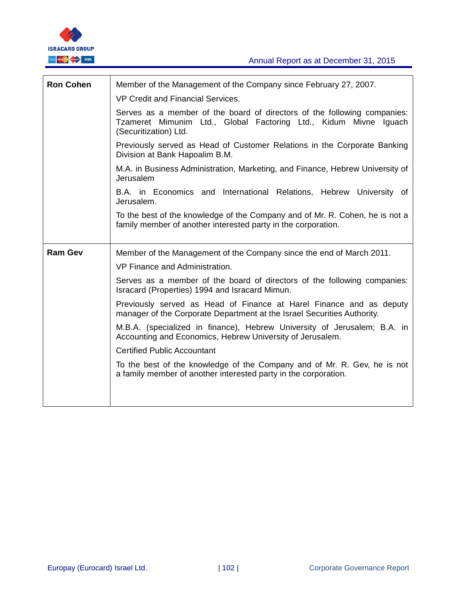

Annual Report as at December 31, 2015

| <b>Ron Cohen</b> | Member of the Management of the Company since February 27, 2007.                                                                                                      |
|------------------|-----------------------------------------------------------------------------------------------------------------------------------------------------------------------|
|                  | VP Credit and Financial Services.                                                                                                                                     |
|                  | Serves as a member of the board of directors of the following companies:<br>Tzameret Mimunim Ltd., Global Factoring Ltd., Kidum Mivne Iguach<br>(Securitization) Ltd. |
|                  | Previously served as Head of Customer Relations in the Corporate Banking<br>Division at Bank Hapoalim B.M.                                                            |
|                  | M.A. in Business Administration, Marketing, and Finance, Hebrew University of<br>Jerusalem                                                                            |
|                  | B.A. in Economics and International Relations, Hebrew University of<br>Jerusalem.                                                                                     |
|                  | To the best of the knowledge of the Company and of Mr. R. Cohen, he is not a<br>family member of another interested party in the corporation.                         |
| <b>Ram Gev</b>   | Member of the Management of the Company since the end of March 2011.                                                                                                  |
|                  | VP Finance and Administration.                                                                                                                                        |
|                  | Serves as a member of the board of directors of the following companies:<br>Isracard (Properties) 1994 and Isracard Mimun.                                            |
|                  | Previously served as Head of Finance at Harel Finance and as deputy<br>manager of the Corporate Department at the Israel Securities Authority.                        |
|                  | M.B.A. (specialized in finance), Hebrew University of Jerusalem; B.A. in<br>Accounting and Economics, Hebrew University of Jerusalem.                                 |
|                  | <b>Certified Public Accountant</b>                                                                                                                                    |
|                  | To the best of the knowledge of the Company and of Mr. R. Gev, he is not<br>a family member of another interested party in the corporation.                           |
|                  |                                                                                                                                                                       |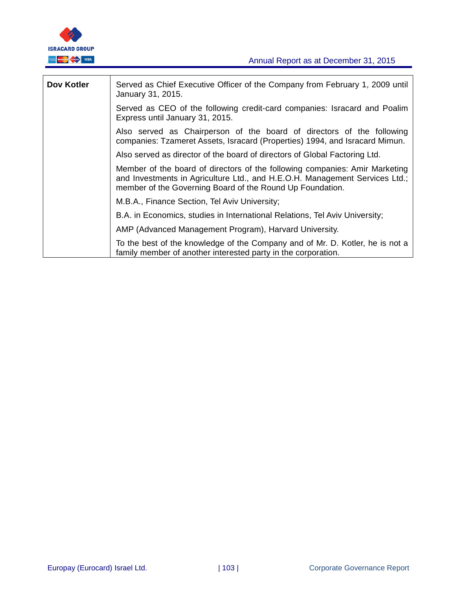

| Dov Kotler | Served as Chief Executive Officer of the Company from February 1, 2009 until<br>January 31, 2015.                                                                                                                       |
|------------|-------------------------------------------------------------------------------------------------------------------------------------------------------------------------------------------------------------------------|
|            | Served as CEO of the following credit-card companies: Isracard and Poalim<br>Express until January 31, 2015.                                                                                                            |
|            | Also served as Chairperson of the board of directors of the following<br>companies: Tzameret Assets, Isracard (Properties) 1994, and Isracard Mimun.                                                                    |
|            | Also served as director of the board of directors of Global Factoring Ltd.                                                                                                                                              |
|            | Member of the board of directors of the following companies: Amir Marketing<br>and Investments in Agriculture Ltd., and H.E.O.H. Management Services Ltd.;<br>member of the Governing Board of the Round Up Foundation. |
|            | M.B.A., Finance Section, Tel Aviv University;                                                                                                                                                                           |
|            | B.A. in Economics, studies in International Relations, Tel Aviv University;                                                                                                                                             |
|            | AMP (Advanced Management Program), Harvard University.                                                                                                                                                                  |
|            | To the best of the knowledge of the Company and of Mr. D. Kotler, he is not a<br>family member of another interested party in the corporation.                                                                          |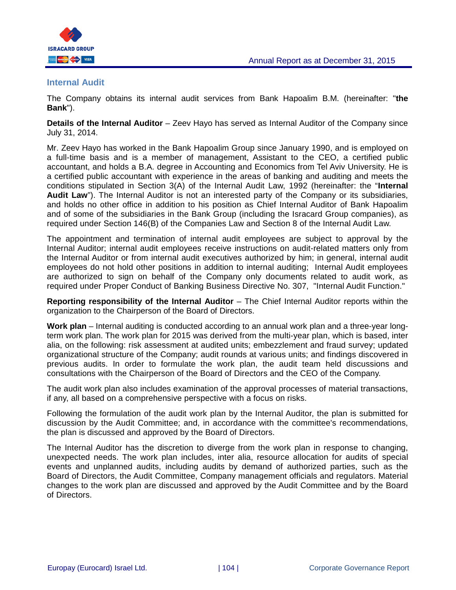

#### **Internal Audit**

The Company obtains its internal audit services from Bank Hapoalim B.M. (hereinafter: "**the Bank**").

**Details of the Internal Auditor** – Zeev Hayo has served as Internal Auditor of the Company since July 31, 2014.

Mr. Zeev Hayo has worked in the Bank Hapoalim Group since January 1990, and is employed on a full-time basis and is a member of management, Assistant to the CEO, a certified public accountant, and holds a B.A. degree in Accounting and Economics from Tel Aviv University. He is a certified public accountant with experience in the areas of banking and auditing and meets the conditions stipulated in Section 3(A) of the Internal Audit Law, 1992 (hereinafter: the "**Internal Audit Law**"). The Internal Auditor is not an interested party of the Company or its subsidiaries, and holds no other office in addition to his position as Chief Internal Auditor of Bank Hapoalim and of some of the subsidiaries in the Bank Group (including the Isracard Group companies), as required under Section 146(B) of the Companies Law and Section 8 of the Internal Audit Law.

The appointment and termination of internal audit employees are subject to approval by the Internal Auditor; internal audit employees receive instructions on audit-related matters only from the Internal Auditor or from internal audit executives authorized by him; in general, internal audit employees do not hold other positions in addition to internal auditing; Internal Audit employees are authorized to sign on behalf of the Company only documents related to audit work, as required under Proper Conduct of Banking Business Directive No. 307, "Internal Audit Function."

**Reporting responsibility of the Internal Auditor** – The Chief Internal Auditor reports within the organization to the Chairperson of the Board of Directors.

**Work plan** – Internal auditing is conducted according to an annual work plan and a three-year longterm work plan. The work plan for 2015 was derived from the multi-year plan, which is based, inter alia, on the following: risk assessment at audited units; embezzlement and fraud survey; updated organizational structure of the Company; audit rounds at various units; and findings discovered in previous audits. In order to formulate the work plan, the audit team held discussions and consultations with the Chairperson of the Board of Directors and the CEO of the Company.

The audit work plan also includes examination of the approval processes of material transactions, if any, all based on a comprehensive perspective with a focus on risks.

Following the formulation of the audit work plan by the Internal Auditor, the plan is submitted for discussion by the Audit Committee; and, in accordance with the committee's recommendations, the plan is discussed and approved by the Board of Directors.

The Internal Auditor has the discretion to diverge from the work plan in response to changing, unexpected needs. The work plan includes, inter alia, resource allocation for audits of special events and unplanned audits, including audits by demand of authorized parties, such as the Board of Directors, the Audit Committee, Company management officials and regulators. Material changes to the work plan are discussed and approved by the Audit Committee and by the Board of Directors.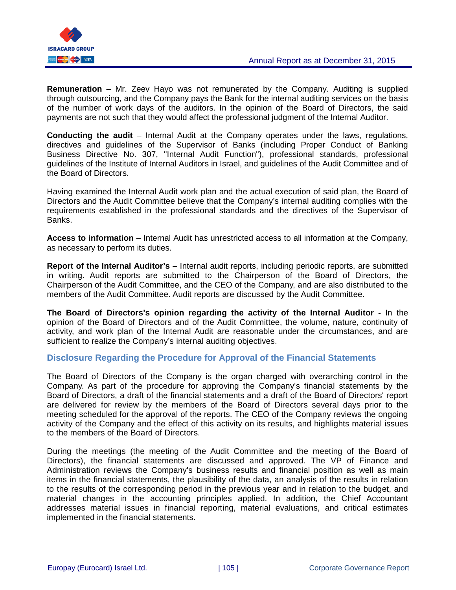

**Remuneration** – Mr. Zeev Hayo was not remunerated by the Company. Auditing is supplied through outsourcing, and the Company pays the Bank for the internal auditing services on the basis of the number of work days of the auditors. In the opinion of the Board of Directors, the said payments are not such that they would affect the professional judgment of the Internal Auditor.

**Conducting the audit** – Internal Audit at the Company operates under the laws, regulations, directives and guidelines of the Supervisor of Banks (including Proper Conduct of Banking Business Directive No. 307, "Internal Audit Function"), professional standards, professional guidelines of the Institute of Internal Auditors in Israel, and guidelines of the Audit Committee and of the Board of Directors.

Having examined the Internal Audit work plan and the actual execution of said plan, the Board of Directors and the Audit Committee believe that the Company's internal auditing complies with the requirements established in the professional standards and the directives of the Supervisor of Banks.

**Access to information** – Internal Audit has unrestricted access to all information at the Company, as necessary to perform its duties.

**Report of the Internal Auditor's** – Internal audit reports, including periodic reports, are submitted in writing. Audit reports are submitted to the Chairperson of the Board of Directors, the Chairperson of the Audit Committee, and the CEO of the Company, and are also distributed to the members of the Audit Committee. Audit reports are discussed by the Audit Committee.

**The Board of Directors's opinion regarding the activity of the Internal Auditor -** In the opinion of the Board of Directors and of the Audit Committee, the volume, nature, continuity of activity, and work plan of the Internal Audit are reasonable under the circumstances, and are sufficient to realize the Company's internal auditing objectives.

#### **Disclosure Regarding the Procedure for Approval of the Financial Statements**

The Board of Directors of the Company is the organ charged with overarching control in the Company. As part of the procedure for approving the Company's financial statements by the Board of Directors, a draft of the financial statements and a draft of the Board of Directors' report are delivered for review by the members of the Board of Directors several days prior to the meeting scheduled for the approval of the reports. The CEO of the Company reviews the ongoing activity of the Company and the effect of this activity on its results, and highlights material issues to the members of the Board of Directors.

During the meetings (the meeting of the Audit Committee and the meeting of the Board of Directors), the financial statements are discussed and approved. The VP of Finance and Administration reviews the Company's business results and financial position as well as main items in the financial statements, the plausibility of the data, an analysis of the results in relation to the results of the corresponding period in the previous year and in relation to the budget, and material changes in the accounting principles applied. In addition, the Chief Accountant addresses material issues in financial reporting, material evaluations, and critical estimates implemented in the financial statements.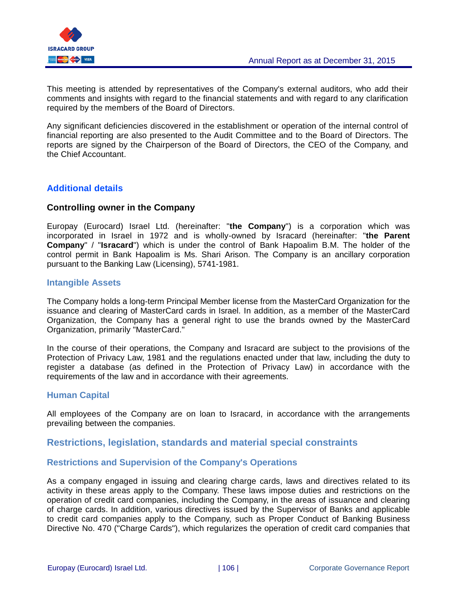

This meeting is attended by representatives of the Company's external auditors, who add their comments and insights with regard to the financial statements and with regard to any clarification required by the members of the Board of Directors.

Any significant deficiencies discovered in the establishment or operation of the internal control of financial reporting are also presented to the Audit Committee and to the Board of Directors. The reports are signed by the Chairperson of the Board of Directors, the CEO of the Company, and the Chief Accountant.

### **Additional details**

#### **Controlling owner in the Company**

Europay (Eurocard) Israel Ltd. (hereinafter: "**the Company**") is a corporation which was incorporated in Israel in 1972 and is wholly-owned by Isracard (hereinafter: "**the Parent Company**" / "**Isracard**") which is under the control of Bank Hapoalim B.M. The holder of the control permit in Bank Hapoalim is Ms. Shari Arison. The Company is an ancillary corporation pursuant to the Banking Law (Licensing), 5741-1981.

#### **Intangible Assets**

The Company holds a long-term Principal Member license from the MasterCard Organization for the issuance and clearing of MasterCard cards in Israel. In addition, as a member of the MasterCard Organization, the Company has a general right to use the brands owned by the MasterCard Organization, primarily "MasterCard."

In the course of their operations, the Company and Isracard are subject to the provisions of the Protection of Privacy Law, 1981 and the regulations enacted under that law, including the duty to register a database (as defined in the Protection of Privacy Law) in accordance with the requirements of the law and in accordance with their agreements.

#### **Human Capital**

All employees of the Company are on loan to Isracard, in accordance with the arrangements prevailing between the companies.

#### **Restrictions, legislation, standards and material special constraints**

#### **Restrictions and Supervision of the Company's Operations**

As a company engaged in issuing and clearing charge cards, laws and directives related to its activity in these areas apply to the Company. These laws impose duties and restrictions on the operation of credit card companies, including the Company, in the areas of issuance and clearing of charge cards. In addition, various directives issued by the Supervisor of Banks and applicable to credit card companies apply to the Company, such as Proper Conduct of Banking Business Directive No. 470 ("Charge Cards"), which regularizes the operation of credit card companies that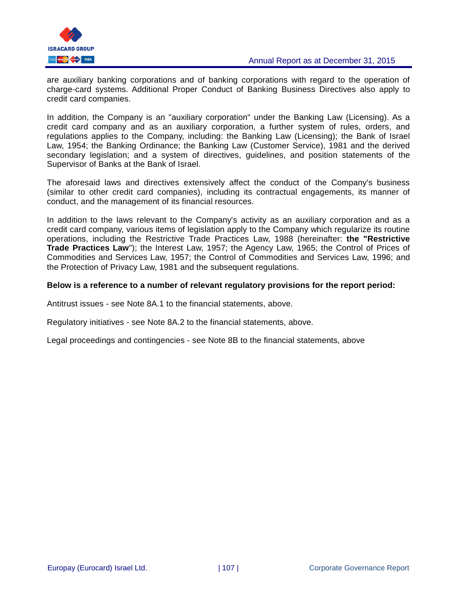

are auxiliary banking corporations and of banking corporations with regard to the operation of charge-card systems. Additional Proper Conduct of Banking Business Directives also apply to credit card companies.

In addition, the Company is an "auxiliary corporation" under the Banking Law (Licensing). As a credit card company and as an auxiliary corporation, a further system of rules, orders, and regulations applies to the Company, including: the Banking Law (Licensing); the Bank of Israel Law, 1954; the Banking Ordinance; the Banking Law (Customer Service), 1981 and the derived secondary legislation; and a system of directives, guidelines, and position statements of the Supervisor of Banks at the Bank of Israel.

The aforesaid laws and directives extensively affect the conduct of the Company's business (similar to other credit card companies), including its contractual engagements, its manner of conduct, and the management of its financial resources.

In addition to the laws relevant to the Company's activity as an auxiliary corporation and as a credit card company, various items of legislation apply to the Company which regularize its routine operations, including the Restrictive Trade Practices Law, 1988 (hereinafter: **the "Restrictive Trade Practices Law**"); the Interest Law, 1957; the Agency Law, 1965; the Control of Prices of Commodities and Services Law, 1957; the Control of Commodities and Services Law, 1996; and the Protection of Privacy Law, 1981 and the subsequent regulations.

#### **Below is a reference to a number of relevant regulatory provisions for the report period:**

Antitrust issues - see Note 8A.1 to the financial statements, above.

Regulatory initiatives - see Note 8A.2 to the financial statements, above.

Legal proceedings and contingencies - see Note 8B to the financial statements, above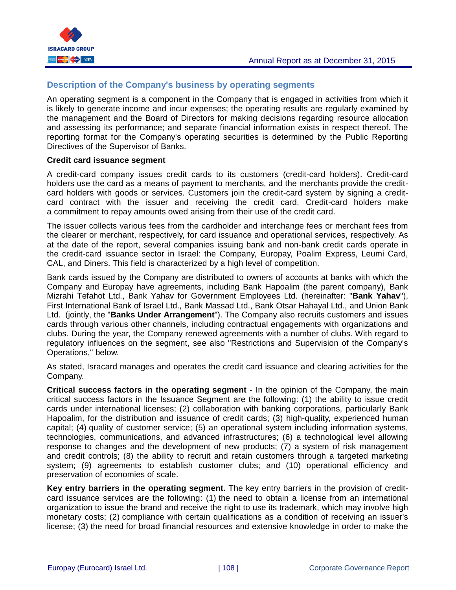

### **Description of the Company's business by operating segments**

An operating segment is a component in the Company that is engaged in activities from which it is likely to generate income and incur expenses; the operating results are regularly examined by the management and the Board of Directors for making decisions regarding resource allocation and assessing its performance; and separate financial information exists in respect thereof. The reporting format for the Company's operating securities is determined by the Public Reporting Directives of the Supervisor of Banks.

#### **Credit card issuance segment**

A credit-card company issues credit cards to its customers (credit-card holders). Credit-card holders use the card as a means of payment to merchants, and the merchants provide the creditcard holders with goods or services. Customers join the credit-card system by signing a creditcard contract with the issuer and receiving the credit card. Credit-card holders make a commitment to repay amounts owed arising from their use of the credit card.

The issuer collects various fees from the cardholder and interchange fees or merchant fees from the clearer or merchant, respectively, for card issuance and operational services, respectively. As at the date of the report, several companies issuing bank and non-bank credit cards operate in the credit-card issuance sector in Israel: the Company, Europay, Poalim Express, Leumi Card, CAL, and Diners. This field is characterized by a high level of competition.

Bank cards issued by the Company are distributed to owners of accounts at banks with which the Company and Europay have agreements, including Bank Hapoalim (the parent company), Bank Mizrahi Tefahot Ltd., Bank Yahav for Government Employees Ltd. (hereinafter: "**Bank Yahav**"), First International Bank of Israel Ltd., Bank Massad Ltd., Bank Otsar Hahayal Ltd., and Union Bank Ltd. (jointly, the "**Banks Under Arrangement**"). The Company also recruits customers and issues cards through various other channels, including contractual engagements with organizations and clubs. During the year, the Company renewed agreements with a number of clubs. With regard to regulatory influences on the segment, see also "Restrictions and Supervision of the Company's Operations," below.

As stated, Isracard manages and operates the credit card issuance and clearing activities for the Company.

**Critical success factors in the operating segment** - In the opinion of the Company, the main critical success factors in the Issuance Segment are the following: (1) the ability to issue credit cards under international licenses; (2) collaboration with banking corporations, particularly Bank Hapoalim, for the distribution and issuance of credit cards; (3) high-quality, experienced human capital; (4) quality of customer service; (5) an operational system including information systems, technologies, communications, and advanced infrastructures; (6) a technological level allowing response to changes and the development of new products; (7) a system of risk management and credit controls; (8) the ability to recruit and retain customers through a targeted marketing system; (9) agreements to establish customer clubs; and (10) operational efficiency and preservation of economies of scale.

**Key entry barriers in the operating segment.** The key entry barriers in the provision of creditcard issuance services are the following: (1) the need to obtain a license from an international organization to issue the brand and receive the right to use its trademark, which may involve high monetary costs; (2) compliance with certain qualifications as a condition of receiving an issuer's license; (3) the need for broad financial resources and extensive knowledge in order to make the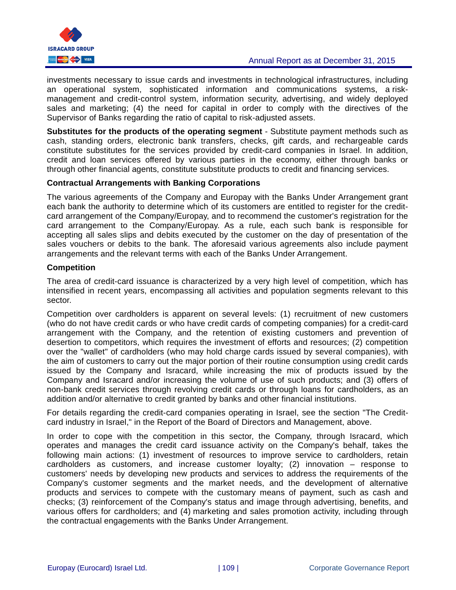

investments necessary to issue cards and investments in technological infrastructures, including an operational system, sophisticated information and communications systems, a riskmanagement and credit-control system, information security, advertising, and widely deployed sales and marketing; (4) the need for capital in order to comply with the directives of the Supervisor of Banks regarding the ratio of capital to risk-adjusted assets.

**Substitutes for the products of the operating segment** - Substitute payment methods such as cash, standing orders, electronic bank transfers, checks, gift cards, and rechargeable cards constitute substitutes for the services provided by credit-card companies in Israel. In addition, credit and loan services offered by various parties in the economy, either through banks or through other financial agents, constitute substitute products to credit and financing services.

#### **Contractual Arrangements with Banking Corporations**

The various agreements of the Company and Europay with the Banks Under Arrangement grant each bank the authority to determine which of its customers are entitled to register for the creditcard arrangement of the Company/Europay, and to recommend the customer's registration for the card arrangement to the Company/Europay. As a rule, each such bank is responsible for accepting all sales slips and debits executed by the customer on the day of presentation of the sales vouchers or debits to the bank. The aforesaid various agreements also include payment arrangements and the relevant terms with each of the Banks Under Arrangement.

#### **Competition**

The area of credit-card issuance is characterized by a very high level of competition, which has intensified in recent years, encompassing all activities and population segments relevant to this sector.

Competition over cardholders is apparent on several levels: (1) recruitment of new customers (who do not have credit cards or who have credit cards of competing companies) for a credit-card arrangement with the Company, and the retention of existing customers and prevention of desertion to competitors, which requires the investment of efforts and resources; (2) competition over the "wallet" of cardholders (who may hold charge cards issued by several companies), with the aim of customers to carry out the major portion of their routine consumption using credit cards issued by the Company and Isracard, while increasing the mix of products issued by the Company and Isracard and/or increasing the volume of use of such products; and (3) offers of non-bank credit services through revolving credit cards or through loans for cardholders, as an addition and/or alternative to credit granted by banks and other financial institutions.

For details regarding the credit-card companies operating in Israel, see the section "The Creditcard industry in Israel," in the Report of the Board of Directors and Management, above.

In order to cope with the competition in this sector, the Company, through Isracard, which operates and manages the credit card issuance activity on the Company's behalf, takes the following main actions: (1) investment of resources to improve service to cardholders, retain cardholders as customers, and increase customer loyalty; (2) innovation – response to customers' needs by developing new products and services to address the requirements of the Company's customer segments and the market needs, and the development of alternative products and services to compete with the customary means of payment, such as cash and checks; (3) reinforcement of the Company's status and image through advertising, benefits, and various offers for cardholders; and (4) marketing and sales promotion activity, including through the contractual engagements with the Banks Under Arrangement.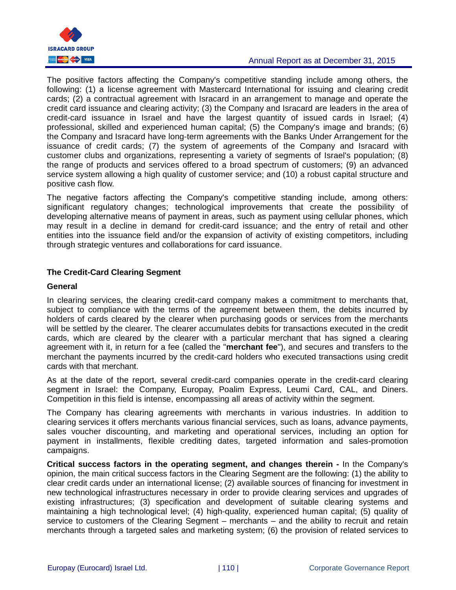

The positive factors affecting the Company's competitive standing include among others, the following: (1) a license agreement with Mastercard International for issuing and clearing credit cards; (2) a contractual agreement with Isracard in an arrangement to manage and operate the credit card issuance and clearing activity; (3) the Company and Isracard are leaders in the area of credit-card issuance in Israel and have the largest quantity of issued cards in Israel; (4) professional, skilled and experienced human capital; (5) the Company's image and brands; (6) the Company and Isracard have long-term agreements with the Banks Under Arrangement for the issuance of credit cards; (7) the system of agreements of the Company and Isracard with customer clubs and organizations, representing a variety of segments of Israel's population; (8) the range of products and services offered to a broad spectrum of customers; (9) an advanced service system allowing a high quality of customer service; and (10) a robust capital structure and positive cash flow.

The negative factors affecting the Company's competitive standing include, among others: significant regulatory changes; technological improvements that create the possibility of developing alternative means of payment in areas, such as payment using cellular phones, which may result in a decline in demand for credit-card issuance; and the entry of retail and other entities into the issuance field and/or the expansion of activity of existing competitors, including through strategic ventures and collaborations for card issuance.

## **The Credit-Card Clearing Segment**

#### **General**

In clearing services, the clearing credit-card company makes a commitment to merchants that, subject to compliance with the terms of the agreement between them, the debits incurred by holders of cards cleared by the clearer when purchasing goods or services from the merchants will be settled by the clearer. The clearer accumulates debits for transactions executed in the credit cards, which are cleared by the clearer with a particular merchant that has signed a clearing agreement with it, in return for a fee (called the "**merchant fee**"), and secures and transfers to the merchant the payments incurred by the credit-card holders who executed transactions using credit cards with that merchant.

As at the date of the report, several credit-card companies operate in the credit-card clearing segment in Israel: the Company, Europay, Poalim Express, Leumi Card, CAL, and Diners. Competition in this field is intense, encompassing all areas of activity within the segment.

The Company has clearing agreements with merchants in various industries. In addition to clearing services it offers merchants various financial services, such as loans, advance payments, sales voucher discounting, and marketing and operational services, including an option for payment in installments, flexible crediting dates, targeted information and sales-promotion campaigns.

**Critical success factors in the operating segment, and changes therein -** In the Company's opinion, the main critical success factors in the Clearing Segment are the following: (1) the ability to clear credit cards under an international license; (2) available sources of financing for investment in new technological infrastructures necessary in order to provide clearing services and upgrades of existing infrastructures; (3) specification and development of suitable clearing systems and maintaining a high technological level; (4) high-quality, experienced human capital; (5) quality of service to customers of the Clearing Segment – merchants – and the ability to recruit and retain merchants through a targeted sales and marketing system; (6) the provision of related services to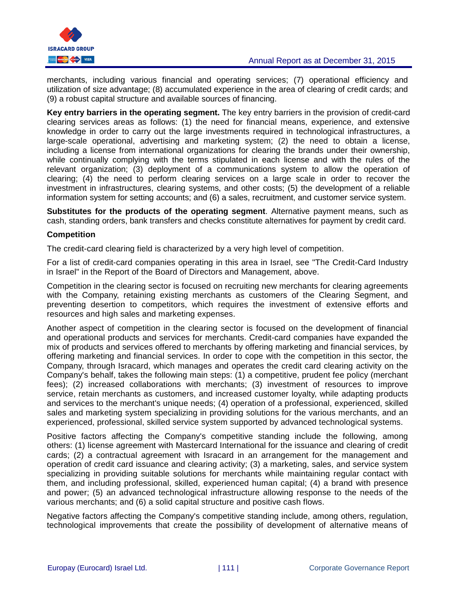

merchants, including various financial and operating services; (7) operational efficiency and utilization of size advantage; (8) accumulated experience in the area of clearing of credit cards; and (9) a robust capital structure and available sources of financing.

**Key entry barriers in the operating segment.** The key entry barriers in the provision of credit-card clearing services areas as follows: (1) the need for financial means, experience, and extensive knowledge in order to carry out the large investments required in technological infrastructures, a large-scale operational, advertising and marketing system; (2) the need to obtain a license, including a license from international organizations for clearing the brands under their ownership, while continually complying with the terms stipulated in each license and with the rules of the relevant organization; (3) deployment of a communications system to allow the operation of clearing; (4) the need to perform clearing services on a large scale in order to recover the investment in infrastructures, clearing systems, and other costs; (5) the development of a reliable information system for setting accounts; and (6) a sales, recruitment, and customer service system.

**Substitutes for the products of the operating segment**. Alternative payment means, such as cash, standing orders, bank transfers and checks constitute alternatives for payment by credit card.

## **Competition**

The credit-card clearing field is characterized by a very high level of competition.

For a list of credit-card companies operating in this area in Israel, see "The Credit-Card Industry in Israel" in the Report of the Board of Directors and Management, above.

Competition in the clearing sector is focused on recruiting new merchants for clearing agreements with the Company, retaining existing merchants as customers of the Clearing Segment, and preventing desertion to competitors, which requires the investment of extensive efforts and resources and high sales and marketing expenses.

Another aspect of competition in the clearing sector is focused on the development of financial and operational products and services for merchants. Credit-card companies have expanded the mix of products and services offered to merchants by offering marketing and financial services, by offering marketing and financial services. In order to cope with the competition in this sector, the Company, through Isracard, which manages and operates the credit card clearing activity on the Company's behalf, takes the following main steps: (1) a competitive, prudent fee policy (merchant fees); (2) increased collaborations with merchants; (3) investment of resources to improve service, retain merchants as customers, and increased customer loyalty, while adapting products and services to the merchant's unique needs; (4) operation of a professional, experienced, skilled sales and marketing system specializing in providing solutions for the various merchants, and an experienced, professional, skilled service system supported by advanced technological systems.

Positive factors affecting the Company's competitive standing include the following, among others: (1) license agreement with Mastercard International for the issuance and clearing of credit cards; (2) a contractual agreement with Isracard in an arrangement for the management and operation of credit card issuance and clearing activity; (3) a marketing, sales, and service system specializing in providing suitable solutions for merchants while maintaining regular contact with them, and including professional, skilled, experienced human capital; (4) a brand with presence and power; (5) an advanced technological infrastructure allowing response to the needs of the various merchants; and (6) a solid capital structure and positive cash flows.

Negative factors affecting the Company's competitive standing include, among others, regulation, technological improvements that create the possibility of development of alternative means of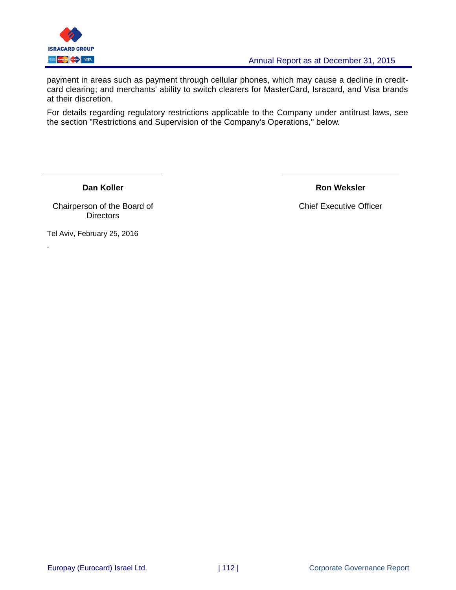

payment in areas such as payment through cellular phones, which may cause a decline in creditcard clearing; and merchants' ability to switch clearers for MasterCard, Isracard, and Visa brands at their discretion.

For details regarding regulatory restrictions applicable to the Company under antitrust laws, see the section "Restrictions and Supervision of the Company's Operations," below.

**Dan Koller**

**Ron Weksler**

Chairperson of the Board of **Directors** 

Chief Executive Officer

Tel Aviv, February 25, 2016

.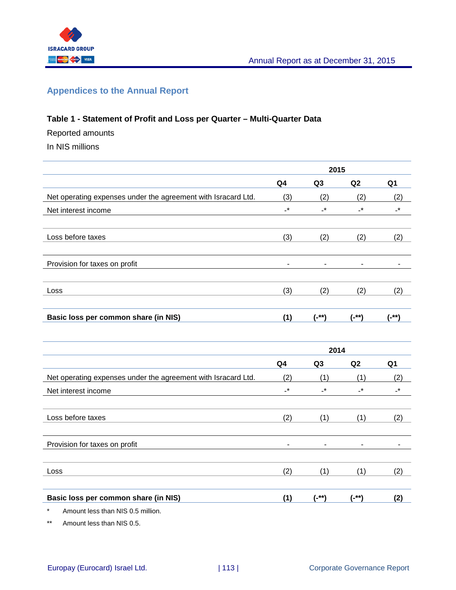

# **Appendices to the Annual Report**

## **Table 1 - Statement of Profit and Loss per Quarter – Multi-Quarter Data**

Reported amounts

In NIS millions

|                                                               | 2015            |                          |                          |                 |
|---------------------------------------------------------------|-----------------|--------------------------|--------------------------|-----------------|
|                                                               | Q4              | Q3                       | Q <sub>2</sub>           | Q <sub>1</sub>  |
| Net operating expenses under the agreement with Isracard Ltd. | (3)             | (2)                      | (2)                      | (2)             |
| Net interest income                                           | $\cdot^{\star}$ | $\overline{\phantom{a}}$ | $\overline{\phantom{a}}$ | $\cdot^{\star}$ |
|                                                               |                 |                          |                          |                 |
| Loss before taxes                                             | (3)             | (2)                      | (2)                      | (2)             |
|                                                               |                 |                          |                          |                 |
| Provision for taxes on profit                                 | ۰               | ۰                        | ٠                        |                 |
|                                                               |                 |                          |                          |                 |
| Loss                                                          | (3)             | (2)                      | (2)                      | (2)             |
|                                                               |                 |                          |                          |                 |
| Basic loss per common share (in NIS)                          | (1)             | (-**)                    | (-**)                    | (-**)           |
|                                                               |                 |                          |                          |                 |

|                                                               | 2014                     |           |                          |                 |
|---------------------------------------------------------------|--------------------------|-----------|--------------------------|-----------------|
|                                                               | Q4                       | Q3        | Q <sub>2</sub>           | Q <sub>1</sub>  |
| Net operating expenses under the agreement with Isracard Ltd. | (2)                      | (1)       | (1)                      | (2)             |
| Net interest income                                           | $\overline{\phantom{a}}$ | $\cdot^*$ | $\overline{\phantom{a}}$ | $\cdot^{\star}$ |
|                                                               |                          |           |                          |                 |
| Loss before taxes                                             | (2)                      | (1)       | (1)                      | (2)             |
|                                                               |                          |           |                          |                 |
| Provision for taxes on profit                                 | ۰                        | ٠         |                          |                 |
|                                                               |                          |           |                          |                 |
| <b>Loss</b>                                                   | (2)                      | (1)       | (1)                      | (2)             |
|                                                               |                          |           |                          |                 |
| Basic loss per common share (in NIS)                          | (1)                      | (-**)     | (-**)                    | (2)             |
| $\star$<br>Amount less than NIS 0.5 million.                  |                          |           |                          |                 |

\*\* Amount less than NIS 0.5.